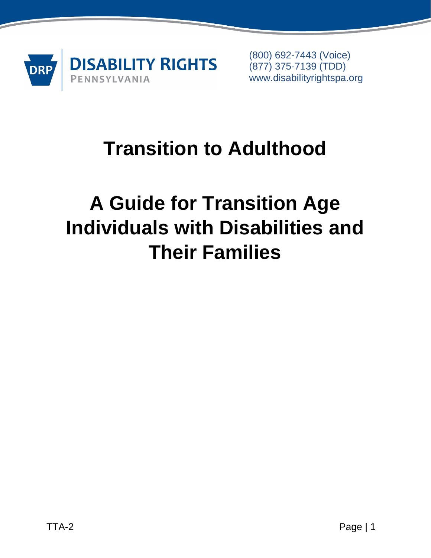

(800) 692-7443 (Voice) (877) 375-7139 (TDD) www.disabilityrightspa.org

## **Transition to Adulthood**

# **A Guide for Transition Age Individuals with Disabilities and Their Families**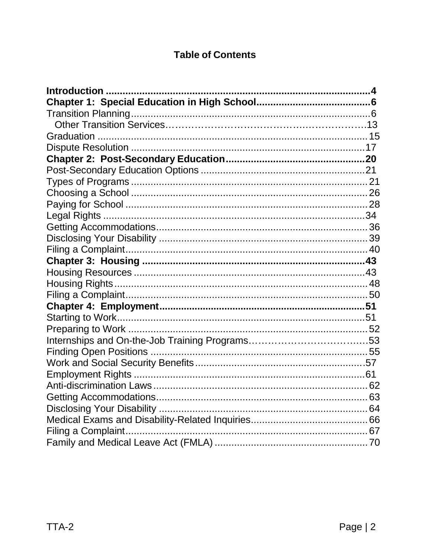#### **Table of Contents**

| Introduction |  |
|--------------|--|
|              |  |
|              |  |
|              |  |
|              |  |
|              |  |
|              |  |
|              |  |
|              |  |
|              |  |
|              |  |
|              |  |
|              |  |
|              |  |
|              |  |
|              |  |
|              |  |
|              |  |
|              |  |
|              |  |
|              |  |
|              |  |
|              |  |
|              |  |
|              |  |
|              |  |
|              |  |
|              |  |
|              |  |
|              |  |
|              |  |
|              |  |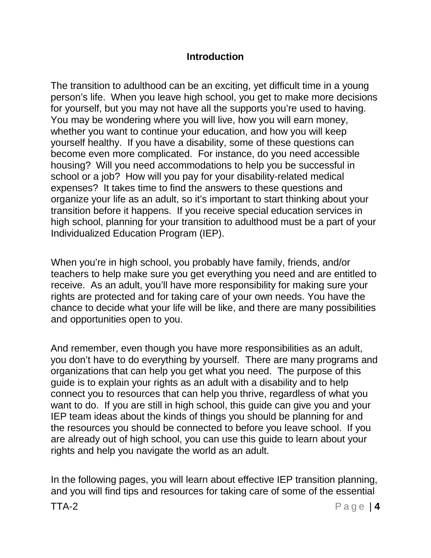#### **Introduction**

<span id="page-3-0"></span>The transition to adulthood can be an exciting, yet difficult time in a young person's life. When you leave high school, you get to make more decisions for yourself, but you may not have all the supports you're used to having. You may be wondering where you will live, how you will earn money, whether you want to continue your education, and how you will keep yourself healthy. If you have a disability, some of these questions can become even more complicated. For instance, do you need accessible housing? Will you need accommodations to help you be successful in school or a job? How will you pay for your disability-related medical expenses? It takes time to find the answers to these questions and organize your life as an adult, so it's important to start thinking about your transition before it happens. If you receive special education services in high school, planning for your transition to adulthood must be a part of your Individualized Education Program (IEP).

When you're in high school, you probably have family, friends, and/or teachers to help make sure you get everything you need and are entitled to receive. As an adult, you'll have more responsibility for making sure your rights are protected and for taking care of your own needs. You have the chance to decide what your life will be like, and there are many possibilities and opportunities open to you.

And remember, even though you have more responsibilities as an adult, you don't have to do everything by yourself. There are many programs and organizations that can help you get what you need. The purpose of this guide is to explain your rights as an adult with a disability and to help connect you to resources that can help you thrive, regardless of what you want to do. If you are still in high school, this guide can give you and your IEP team ideas about the kinds of things you should be planning for and the resources you should be connected to before you leave school. If you are already out of high school, you can use this guide to learn about your rights and help you navigate the world as an adult.

In the following pages, you will learn about effective IEP transition planning, and you will find tips and resources for taking care of some of the essential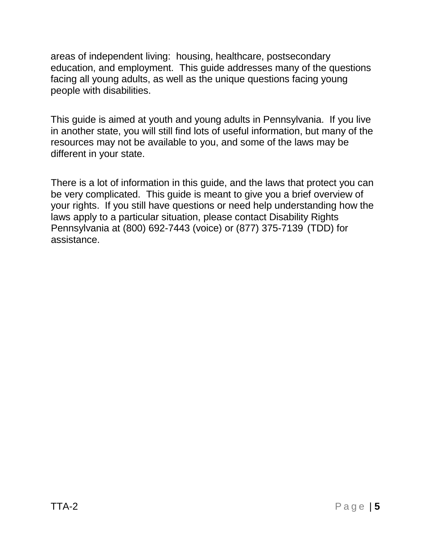areas of independent living: housing, healthcare, postsecondary education, and employment. This guide addresses many of the questions facing all young adults, as well as the unique questions facing young people with disabilities.

This guide is aimed at youth and young adults in Pennsylvania. If you live in another state, you will still find lots of useful information, but many of the resources may not be available to you, and some of the laws may be different in your state.

There is a lot of information in this guide, and the laws that protect you can be very complicated. This guide is meant to give you a brief overview of your rights. If you still have questions or need help understanding how the laws apply to a particular situation, please contact Disability Rights Pennsylvania at (800) 692-7443 (voice) or (877) 375-7139 (TDD) for assistance.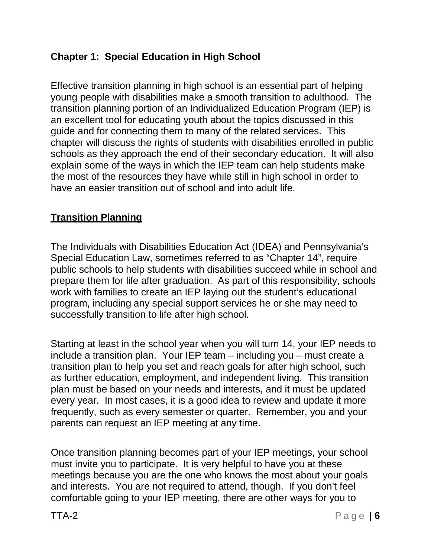### <span id="page-5-0"></span>**Chapter 1: Special Education in High School**

Effective transition planning in high school is an essential part of helping young people with disabilities make a smooth transition to adulthood. The transition planning portion of an Individualized Education Program (IEP) is an excellent tool for educating youth about the topics discussed in this guide and for connecting them to many of the related services. This chapter will discuss the rights of students with disabilities enrolled in public schools as they approach the end of their secondary education. It will also explain some of the ways in which the IEP team can help students make the most of the resources they have while still in high school in order to have an easier transition out of school and into adult life.

### <span id="page-5-1"></span>**Transition Planning**

The Individuals with Disabilities Education Act (IDEA) and Pennsylvania's Special Education Law, sometimes referred to as "Chapter 14", require public schools to help students with disabilities succeed while in school and prepare them for life after graduation. As part of this responsibility, schools work with families to create an IEP laying out the student's educational program, including any special support services he or she may need to successfully transition to life after high school.

Starting at least in the school year when you will turn 14, your IEP needs to include a transition plan. Your IEP team – including you – must create a transition plan to help you set and reach goals for after high school, such as further education, employment, and independent living. This transition plan must be based on your needs and interests, and it must be updated every year. In most cases, it is a good idea to review and update it more frequently, such as every semester or quarter. Remember, you and your parents can request an IEP meeting at any time.

Once transition planning becomes part of your IEP meetings, your school must invite you to participate. It is very helpful to have you at these meetings because you are the one who knows the most about your goals and interests. You are not required to attend, though. If you don't feel comfortable going to your IEP meeting, there are other ways for you to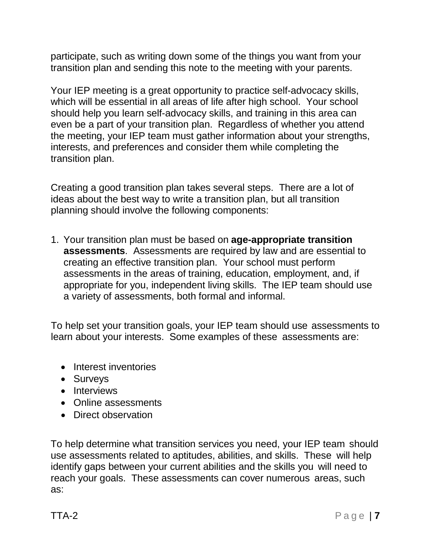participate, such as writing down some of the things you want from your transition plan and sending this note to the meeting with your parents.

Your IEP meeting is a great opportunity to practice self-advocacy skills, which will be essential in all areas of life after high school. Your school should help you learn self-advocacy skills, and training in this area can even be a part of your transition plan. Regardless of whether you attend the meeting, your IEP team must gather information about your strengths, interests, and preferences and consider them while completing the transition plan.

Creating a good transition plan takes several steps. There are a lot of ideas about the best way to write a transition plan, but all transition planning should involve the following components:

1. Your transition plan must be based on **age-appropriate transition assessments**. Assessments are required by law and are essential to creating an effective transition plan. Your school must perform assessments in the areas of training, education, employment, and, if appropriate for you, independent living skills. The IEP team should use a variety of assessments, both formal and informal.

To help set your transition goals, your IEP team should use assessments to learn about your interests. Some examples of these assessments are:

- Interest inventories
- Surveys
- Interviews
- Online assessments
- Direct observation

To help determine what transition services you need, your IEP team should use assessments related to aptitudes, abilities, and skills. These will help identify gaps between your current abilities and the skills you will need to reach your goals. These assessments can cover numerous areas, such as: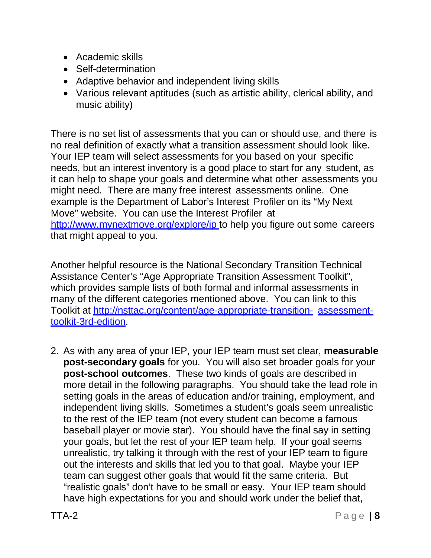- Academic skills
- Self-determination
- Adaptive behavior and independent living skills
- Various relevant aptitudes (such as artistic ability, clerical ability, and music ability)

There is no set list of assessments that you can or should use, and there is no real definition of exactly what a transition assessment should look like. Your IEP team will select assessments for you based on your specific needs, but an interest inventory is a good place to start for any student, as it can help to shape your goals and determine what other assessments you might need. There are many free interest assessments online. One example is the Department of Labor's Interest Profiler on its "My Next Move" website. You can use the Interest Profiler at [http://www.mynextmove.org/explore/ip t](http://www.mynextmove.org/explore/ip)o help you figure out some careers that might appeal to you.

Another helpful resource is the National Secondary Transition Technical Assistance Center's "Age Appropriate Transition Assessment Toolkit", which provides sample lists of both formal and informal assessments in many of the different categories mentioned above. You can link to this Toolkit at <http://nsttac.org/content/age-appropriate-transition-> assessmenttoolkit-3rd-edition.

2. As with any area of your IEP, your IEP team must set clear, **measurable post-secondary goals** for you. You will also set broader goals for your **post-school outcomes**. These two kinds of goals are described in more detail in the following paragraphs. You should take the lead role in setting goals in the areas of education and/or training, employment, and independent living skills. Sometimes a student's goals seem unrealistic to the rest of the IEP team (not every student can become a famous baseball player or movie star). You should have the final say in setting your goals, but let the rest of your IEP team help. If your goal seems unrealistic, try talking it through with the rest of your IEP team to figure out the interests and skills that led you to that goal. Maybe your IEP team can suggest other goals that would fit the same criteria. But "realistic goals" don't have to be small or easy. Your IEP team should have high expectations for you and should work under the belief that,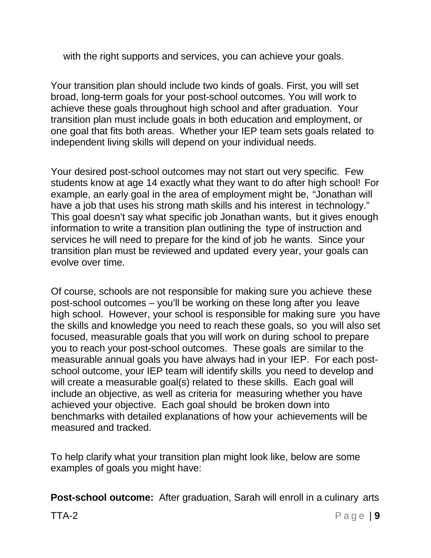with the right supports and services, you can achieve your goals.

Your transition plan should include two kinds of goals. First, you will set broad, long-term goals for your post-school outcomes. You will work to achieve these goals throughout high school and after graduation. Your transition plan must include goals in both education and employment, or one goal that fits both areas. Whether your IEP team sets goals related to independent living skills will depend on your individual needs.

Your desired post-school outcomes may not start out very specific. Few students know at age 14 exactly what they want to do after high school! For example, an early goal in the area of employment might be, "Jonathan will have a job that uses his strong math skills and his interest in technology." This goal doesn't say what specific job Jonathan wants, but it gives enough information to write a transition plan outlining the type of instruction and services he will need to prepare for the kind of job he wants. Since your transition plan must be reviewed and updated every year, your goals can evolve over time.

Of course, schools are not responsible for making sure you achieve these post-school outcomes – you'll be working on these long after you leave high school. However, your school is responsible for making sure you have the skills and knowledge you need to reach these goals, so you will also set focused, measurable goals that you will work on during school to prepare you to reach your post-school outcomes. These goals are similar to the measurable annual goals you have always had in your IEP. For each postschool outcome, your IEP team will identify skills you need to develop and will create a measurable goal(s) related to these skills. Each goal will include an objective, as well as criteria for measuring whether you have achieved your objective. Each goal should be broken down into benchmarks with detailed explanations of how your achievements will be measured and tracked.

To help clarify what your transition plan might look like, below are some examples of goals you might have:

**Post-school outcome:** After graduation, Sarah will enroll in a culinary arts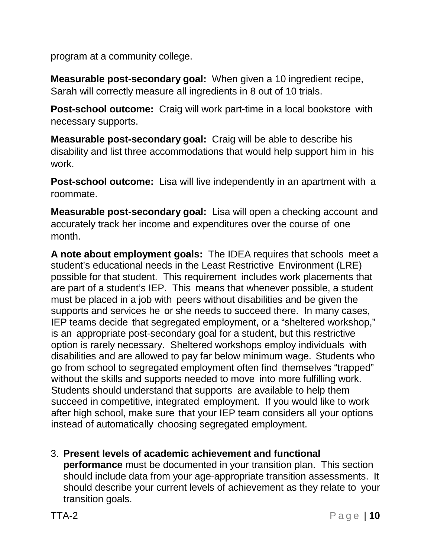program at a community college.

**Measurable post-secondary goal:** When given a 10 ingredient recipe, Sarah will correctly measure all ingredients in 8 out of 10 trials.

**Post-school outcome:** Craig will work part-time in a local bookstore with necessary supports.

**Measurable post-secondary goal:** Craig will be able to describe his disability and list three accommodations that would help support him in his work.

**Post-school outcome:** Lisa will live independently in an apartment with a roommate.

**Measurable post-secondary goal:** Lisa will open a checking account and accurately track her income and expenditures over the course of one month.

**A note about employment goals:** The IDEA requires that schools meet a student's educational needs in the Least Restrictive Environment (LRE) possible for that student. This requirement includes work placements that are part of a student's IEP. This means that whenever possible, a student must be placed in a job with peers without disabilities and be given the supports and services he or she needs to succeed there. In many cases, IEP teams decide that segregated employment, or a "sheltered workshop," is an appropriate post-secondary goal for a student, but this restrictive option is rarely necessary. Sheltered workshops employ individuals with disabilities and are allowed to pay far below minimum wage. Students who go from school to segregated employment often find themselves "trapped" without the skills and supports needed to move into more fulfilling work. Students should understand that supports are available to help them succeed in competitive, integrated employment. If you would like to work after high school, make sure that your IEP team considers all your options instead of automatically choosing segregated employment.

3. **Present levels of academic achievement and functional performance** must be documented in your transition plan. This section should include data from your age-appropriate transition assessments. It should describe your current levels of achievement as they relate to your transition goals.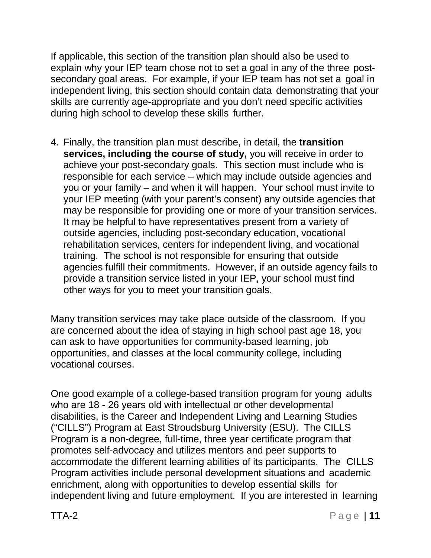If applicable, this section of the transition plan should also be used to explain why your IEP team chose not to set a goal in any of the three postsecondary goal areas. For example, if your IEP team has not set a goal in independent living, this section should contain data demonstrating that your skills are currently age-appropriate and you don't need specific activities during high school to develop these skills further.

4. Finally, the transition plan must describe, in detail, the **transition services, including the course of study,** you will receive in order to achieve your post-secondary goals. This section must include who is responsible for each service – which may include outside agencies and you or your family – and when it will happen. Your school must invite to your IEP meeting (with your parent's consent) any outside agencies that may be responsible for providing one or more of your transition services. It may be helpful to have representatives present from a variety of outside agencies, including post-secondary education, vocational rehabilitation services, centers for independent living, and vocational training. The school is not responsible for ensuring that outside agencies fulfill their commitments. However, if an outside agency fails to provide a transition service listed in your IEP, your school must find other ways for you to meet your transition goals.

Many transition services may take place outside of the classroom. If you are concerned about the idea of staying in high school past age 18, you can ask to have opportunities for community-based learning, job opportunities, and classes at the local community college, including vocational courses.

One good example of a college-based transition program for young adults who are 18 - 26 years old with intellectual or other developmental disabilities, is the Career and Independent Living and Learning Studies ("CILLS") Program at East Stroudsburg University (ESU). The CILLS Program is a non-degree, full-time, three year certificate program that promotes self-advocacy and utilizes mentors and peer supports to accommodate the different learning abilities of its participants. The CILLS Program activities include personal development situations and academic enrichment, along with opportunities to develop essential skills for independent living and future employment. If you are interested in learning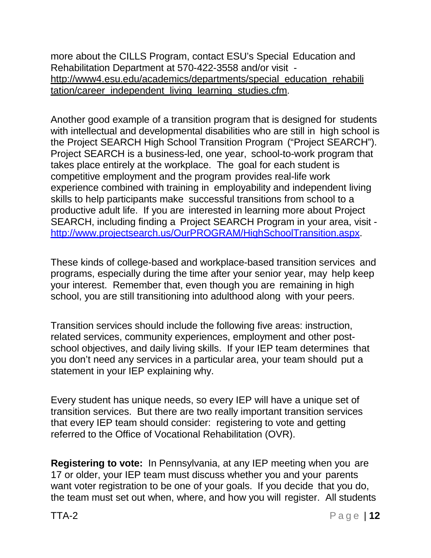more about the CILLS Program, contact ESU's Special Education and Rehabilitation Department at 570-422-3558 and/or visit [http://www4.esu.edu/academics/departments/special\\_education\\_rehabili](http://www4.esu.edu/academics/departments/special_education_rehabili) tation/career\_independent\_living\_learning\_studies.cfm.

Another good example of a transition program that is designed for students with intellectual and developmental disabilities who are still in high school is the Project SEARCH High School Transition Program ("Project SEARCH"). Project SEARCH is a business-led, one year, school-to-work program that takes place entirely at the workplace. The goal for each student is competitive employment and the program provides real-life work experience combined with training in employability and independent living skills to help participants make successful transitions from school to a productive adult life. If you are interested in learning more about Project SEARCH, including finding a Project SEARCH Program in your area, visit [http://www.projectsearch.us/OurPROGRAM/HighSchoolTransition.aspx.](http://www.projectsearch.us/OurPROGRAM/HighSchoolTransition.aspx)

These kinds of college-based and workplace-based transition services and programs, especially during the time after your senior year, may help keep your interest. Remember that, even though you are remaining in high school, you are still transitioning into adulthood along with your peers.

Transition services should include the following five areas: instruction, related services, community experiences, employment and other postschool objectives, and daily living skills. If your IEP team determines that you don't need any services in a particular area, your team should put a statement in your IEP explaining why.

Every student has unique needs, so every IEP will have a unique set of transition services. But there are two really important transition services that every IEP team should consider: registering to vote and getting referred to the Office of Vocational Rehabilitation (OVR).

**Registering to vote:** In Pennsylvania, at any IEP meeting when you are 17 or older, your IEP team must discuss whether you and your parents want voter registration to be one of your goals. If you decide that you do, the team must set out when, where, and how you will register. All students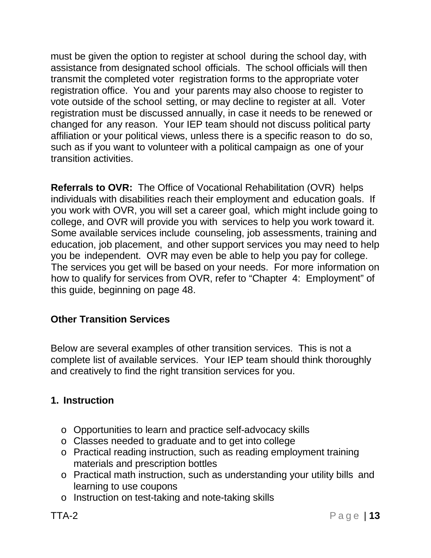must be given the option to register at school during the school day, with assistance from designated school officials. The school officials will then transmit the completed voter registration forms to the appropriate voter registration office. You and your parents may also choose to register to vote outside of the school setting, or may decline to register at all. Voter registration must be discussed annually, in case it needs to be renewed or changed for any reason. Your IEP team should not discuss political party affiliation or your political views, unless there is a specific reason to do so, such as if you want to volunteer with a political campaign as one of your transition activities.

**Referrals to OVR:** The Office of Vocational Rehabilitation (OVR) helps individuals with disabilities reach their employment and education goals. If you work with OVR, you will set a career goal, which might include going to college, and OVR will provide you with services to help you work toward it. Some available services include counseling, job assessments, training and education, job placement, and other support services you may need to help you be independent. OVR may even be able to help you pay for college. The services you get will be based on your needs. For more information on how to qualify for services from OVR, refer to "Chapter 4: Employment" of this guide, beginning on page 48.

## **Other Transition Services**

Below are several examples of other transition services. This is not a complete list of available services. Your IEP team should think thoroughly and creatively to find the right transition services for you.

#### **1. Instruction**

- o Opportunities to learn and practice self-advocacy skills
- o Classes needed to graduate and to get into college
- o Practical reading instruction, such as reading employment training materials and prescription bottles
- o Practical math instruction, such as understanding your utility bills and learning to use coupons
- o Instruction on test-taking and note-taking skills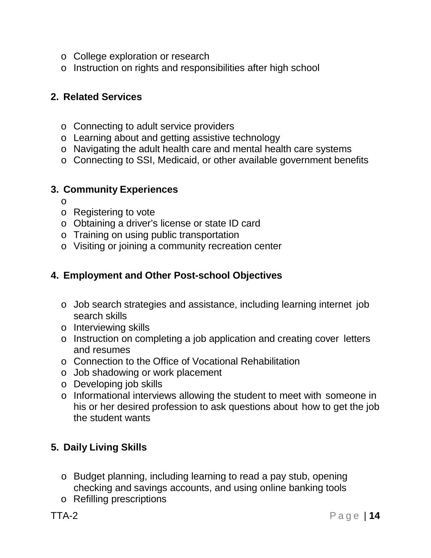- o College exploration or research
- o Instruction on rights and responsibilities after high school

#### **2. Related Services**

- o Connecting to adult service providers
- o Learning about and getting assistive technology
- o Navigating the adult health care and mental health care systems
- o Connecting to SSI, Medicaid, or other available government benefits

#### **3. Community Experiences**

- o
- o Registering to vote
- o Obtaining a driver's license or state ID card
- o Training on using public transportation
- o Visiting or joining a community recreation center

#### **4. Employment and Other Post-school Objectives**

- o Job search strategies and assistance, including learning internet job search skills
- o Interviewing skills
- o Instruction on completing a job application and creating cover letters and resumes
- o Connection to the Office of Vocational Rehabilitation
- o Job shadowing or work placement
- o Developing job skills
- o Informational interviews allowing the student to meet with someone in his or her desired profession to ask questions about how to get the job the student wants

## **5. Daily Living Skills**

- o Budget planning, including learning to read a pay stub, opening checking and savings accounts, and using online banking tools
- o Refilling prescriptions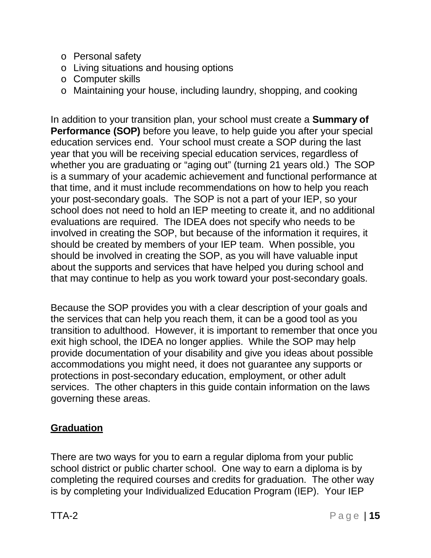- o Personal safety
- o Living situations and housing options
- o Computer skills
- o Maintaining your house, including laundry, shopping, and cooking

In addition to your transition plan, your school must create a **Summary of Performance (SOP)** before you leave, to help guide you after your special education services end. Your school must create a SOP during the last year that you will be receiving special education services, regardless of whether you are graduating or "aging out" (turning 21 years old.) The SOP is a summary of your academic achievement and functional performance at that time, and it must include recommendations on how to help you reach your post-secondary goals. The SOP is not a part of your IEP, so your school does not need to hold an IEP meeting to create it, and no additional evaluations are required. The IDEA does not specify who needs to be involved in creating the SOP, but because of the information it requires, it should be created by members of your IEP team. When possible, you should be involved in creating the SOP, as you will have valuable input about the supports and services that have helped you during school and that may continue to help as you work toward your post-secondary goals.

Because the SOP provides you with a clear description of your goals and the services that can help you reach them, it can be a good tool as you transition to adulthood. However, it is important to remember that once you exit high school, the IDEA no longer applies. While the SOP may help provide documentation of your disability and give you ideas about possible accommodations you might need, it does not guarantee any supports or protections in post-secondary education, employment, or other adult services. The other chapters in this guide contain information on the laws governing these areas.

## **Graduation**

There are two ways for you to earn a regular diploma from your public school district or public charter school. One way to earn a diploma is by completing the required courses and credits for graduation. The other way is by completing your Individualized Education Program (IEP). Your IEP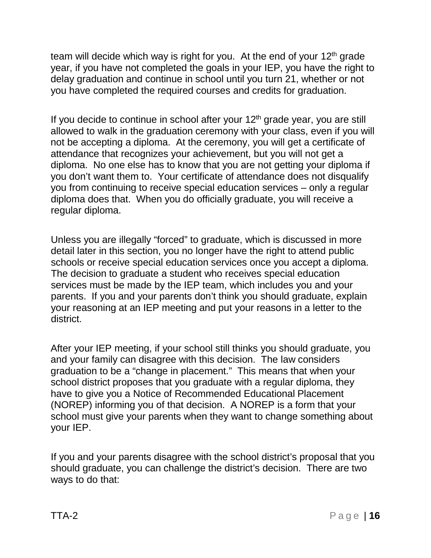team will decide which way is right for you. At the end of your  $12<sup>th</sup>$  grade year, if you have not completed the goals in your IEP, you have the right to delay graduation and continue in school until you turn 21, whether or not you have completed the required courses and credits for graduation.

If you decide to continue in school after your  $12<sup>th</sup>$  grade year, you are still allowed to walk in the graduation ceremony with your class, even if you will not be accepting a diploma. At the ceremony, you will get a certificate of attendance that recognizes your achievement, but you will not get a diploma. No one else has to know that you are not getting your diploma if you don't want them to. Your certificate of attendance does not disqualify you from continuing to receive special education services – only a regular diploma does that. When you do officially graduate, you will receive a regular diploma.

Unless you are illegally "forced" to graduate, which is discussed in more detail later in this section, you no longer have the right to attend public schools or receive special education services once you accept a diploma. The decision to graduate a student who receives special education services must be made by the IEP team, which includes you and your parents. If you and your parents don't think you should graduate, explain your reasoning at an IEP meeting and put your reasons in a letter to the district.

After your IEP meeting, if your school still thinks you should graduate, you and your family can disagree with this decision. The law considers graduation to be a "change in placement." This means that when your school district proposes that you graduate with a regular diploma, they have to give you a Notice of Recommended Educational Placement (NOREP) informing you of that decision. A NOREP is a form that your school must give your parents when they want to change something about your IEP.

If you and your parents disagree with the school district's proposal that you should graduate, you can challenge the district's decision. There are two ways to do that: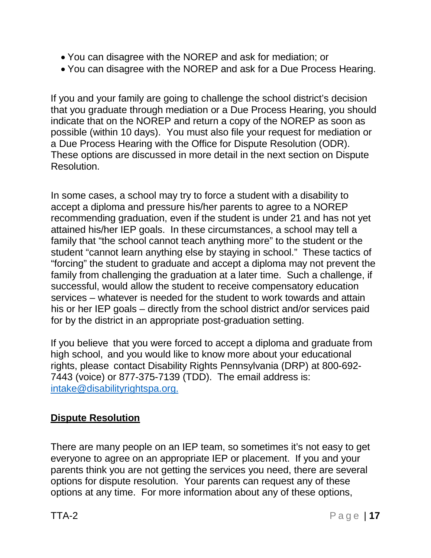- You can disagree with the NOREP and ask for mediation; or
- You can disagree with the NOREP and ask for a Due Process Hearing.

If you and your family are going to challenge the school district's decision that you graduate through mediation or a Due Process Hearing, you should indicate that on the NOREP and return a copy of the NOREP as soon as possible (within 10 days). You must also file your request for mediation or a Due Process Hearing with the Office for Dispute Resolution (ODR). These options are discussed in more detail in the next section on Dispute Resolution.

In some cases, a school may try to force a student with a disability to accept a diploma and pressure his/her parents to agree to a NOREP recommending graduation, even if the student is under 21 and has not yet attained his/her IEP goals. In these circumstances, a school may tell a family that "the school cannot teach anything more" to the student or the student "cannot learn anything else by staying in school." These tactics of "forcing" the student to graduate and accept a diploma may not prevent the family from challenging the graduation at a later time. Such a challenge, if successful, would allow the student to receive compensatory education services – whatever is needed for the student to work towards and attain his or her IEP goals – directly from the school district and/or services paid for by the district in an appropriate post-graduation setting.

If you believe that you were forced to accept a diploma and graduate from high school, and you would like to know more about your educational rights, please contact Disability Rights Pennsylvania (DRP) at 800-692- 7443 (voice) or 877-375-7139 (TDD). The email address is[:](mailto:%20intake@disabilityrightspa.org.) [intake@disabilityrightspa.org.](mailto:%20intake@disabilityrightspa.org.)

#### <span id="page-16-0"></span>**Dispute Resolution**

There are many people on an IEP team, so sometimes it's not easy to get everyone to agree on an appropriate IEP or placement. If you and your parents think you are not getting the services you need, there are several options for dispute resolution. Your parents can request any of these options at any time. For more information about any of these options,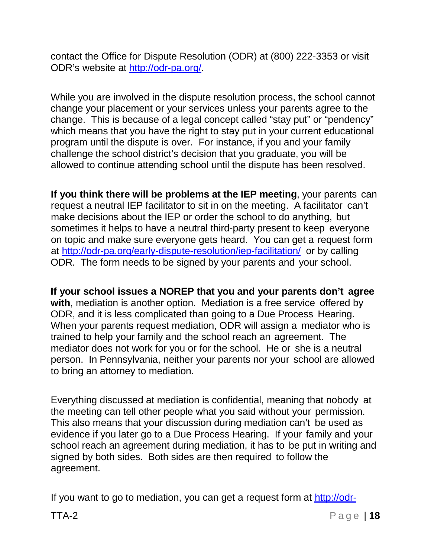contact the Office for Dispute Resolution (ODR) at (800) 222-3353 or visit ODR's website at [http://odr-pa.org/.](http://odr-pa.org/)

While you are involved in the dispute resolution process, the school cannot change your placement or your services unless your parents agree to the change. This is because of a legal concept called "stay put" or "pendency" which means that you have the right to stay put in your current educational program until the dispute is over. For instance, if you and your family challenge the school district's decision that you graduate, you will be allowed to continue attending school until the dispute has been resolved.

**If you think there will be problems at the IEP meeting**, your parents can request a neutral IEP facilitator to sit in on the meeting. A facilitator can't make decisions about the IEP or order the school to do anything, but sometimes it helps to have a neutral third-party present to keep everyone on topic and make sure everyone gets heard. You can get a request form at<http://odr-pa.org/early-dispute-resolution/iep-facilitation/> or by calling ODR. The form needs to be signed by your parents and your school.

**If your school issues a NOREP that you and your parents don't agree with**, mediation is another option. Mediation is a free service offered by ODR, and it is less complicated than going to a Due Process Hearing. When your parents request mediation, ODR will assign a mediator who is trained to help your family and the school reach an agreement. The mediator does not work for you or for the school. He or she is a neutral person. In Pennsylvania, neither your parents nor your school are allowed to bring an attorney to mediation.

Everything discussed at mediation is confidential, meaning that nobody at the meeting can tell other people what you said without your permission. This also means that your discussion during mediation can't be used as evidence if you later go to a Due Process Hearing. If your family and your school reach an agreement during mediation, it has to be put in writing and signed by both sides. Both sides are then required to follow the agreement.

If you want to go to mediation, you can get a request form at [http://odr-](http://odr-/)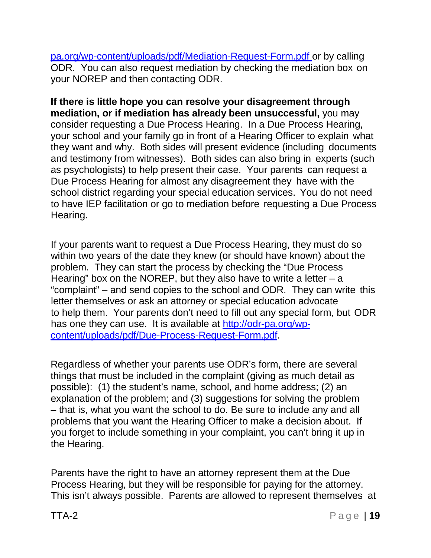pa.org/wp-content/uploads/pdf/Mediation-Request-Form.pdf or by calling ODR. You can also request mediation by checking the mediation box on your NOREP and then contacting ODR.

**If there is little hope you can resolve your disagreement through mediation, or if mediation has already been unsuccessful,** you may consider requesting a Due Process Hearing. In a Due Process Hearing, your school and your family go in front of a Hearing Officer to explain what they want and why. Both sides will present evidence (including documents and testimony from witnesses). Both sides can also bring in experts (such as psychologists) to help present their case. Your parents can request a Due Process Hearing for almost any disagreement they have with the school district regarding your special education services. You do not need to have IEP facilitation or go to mediation before requesting a Due Process Hearing.

If your parents want to request a Due Process Hearing, they must do so within two years of the date they knew (or should have known) about the problem. They can start the process by checking the "Due Process Hearing" box on the NOREP, but they also have to write a letter  $-$  a "complaint" – and send copies to the school and ODR. They can write this letter themselves or ask an attorney or special education advocate to help them. Your parents don't need to fill out any special form, but ODR has one they can use. It is available at [http://odr-pa.org/wp](http://odr-pa.org/wp-)content/uploads/pdf/Due-Process-Request-Form.pdf.

Regardless of whether your parents use ODR's form, there are several things that must be included in the complaint (giving as much detail as possible): (1) the student's name, school, and home address; (2) an explanation of the problem; and (3) suggestions for solving the problem – that is, what you want the school to do. Be sure to include any and all problems that you want the Hearing Officer to make a decision about. If you forget to include something in your complaint, you can't bring it up in the Hearing.

Parents have the right to have an attorney represent them at the Due Process Hearing, but they will be responsible for paying for the attorney. This isn't always possible. Parents are allowed to represent themselves at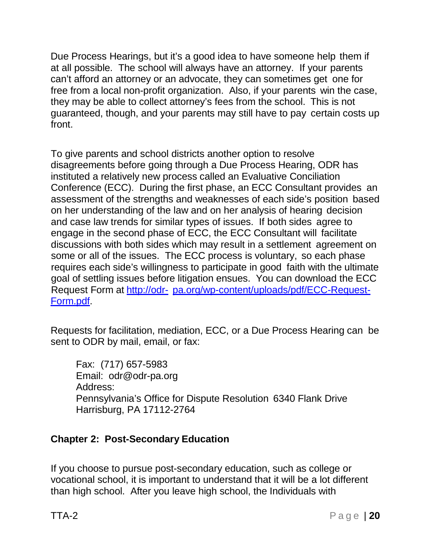Due Process Hearings, but it's a good idea to have someone help them if at all possible. The school will always have an attorney. If your parents can't afford an attorney or an advocate, they can sometimes get one for free from a local non-profit organization. Also, if your parents win the case, they may be able to collect attorney's fees from the school. This is not guaranteed, though, and your parents may still have to pay certain costs up front.

To give parents and school districts another option to resolve disagreements before going through a Due Process Hearing, ODR has instituted a relatively new process called an Evaluative Conciliation Conference (ECC). During the first phase, an ECC Consultant provides an assessment of the strengths and weaknesses of each side's position based on her understanding of the law and on her analysis of hearing decision and case law trends for similar types of issues. If both sides agree to engage in the second phase of ECC, the ECC Consultant will facilitate discussions with both sides which may result in a settlement agreement on some or all of the issues. The ECC process is voluntary, so each phase requires each side's willingness to participate in good faith with the ultimate goal of settling issues before litigation ensues. You can download the ECC Request Form at [http://odr-](http://odr-/) pa.org/wp-content/uploads/pdf/ECC-Request-Form.pdf.

Requests for facilitation, mediation, ECC, or a Due Process Hearing can be sent to ODR by mail, email, or fax:

Fax: (717) 657-5983 Email: [odr@odr-pa.org](mailto:odr@odr-pa.org) Address: Pennsylvania's Office for Dispute Resolution 6340 Flank Drive Harrisburg, PA 17112-2764

#### <span id="page-19-0"></span>**Chapter 2: Post-Secondary Education**

If you choose to pursue post-secondary education, such as college or vocational school, it is important to understand that it will be a lot different than high school. After you leave high school, the Individuals with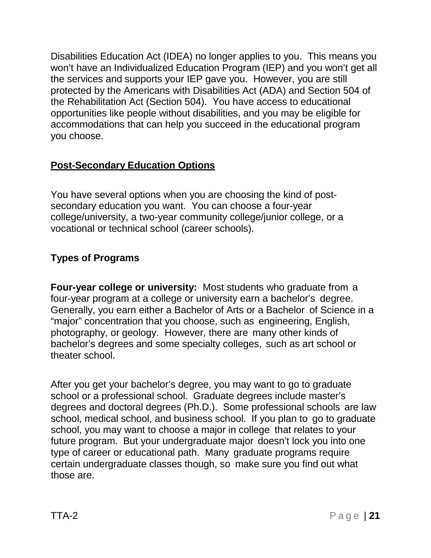Disabilities Education Act (IDEA) no longer applies to you. This means you won't have an Individualized Education Program (IEP) and you won't get all the services and supports your IEP gave you. However, you are still protected by the Americans with Disabilities Act (ADA) and Section 504 of the Rehabilitation Act (Section 504). You have access to educational opportunities like people without disabilities, and you may be eligible for accommodations that can help you succeed in the educational program you choose.

### <span id="page-20-0"></span>**Post-Secondary Education Options**

You have several options when you are choosing the kind of postsecondary education you want. You can choose a four-year college/university, a two-year community college/junior college, or a vocational or technical school (career schools).

### <span id="page-20-1"></span>**Types of Programs**

**Four-year college or university:** Most students who graduate from a four-year program at a college or university earn a bachelor's degree. Generally, you earn either a Bachelor of Arts or a Bachelor of Science in a "major" concentration that you choose, such as engineering, English, photography, or geology. However, there are many other kinds of bachelor's degrees and some specialty colleges, such as art school or theater school.

After you get your bachelor's degree, you may want to go to graduate school or a professional school. Graduate degrees include master's degrees and doctoral degrees (Ph.D.). Some professional schools are law school, medical school, and business school. If you plan to go to graduate school, you may want to choose a major in college that relates to your future program. But your undergraduate major doesn't lock you into one type of career or educational path. Many graduate programs require certain undergraduate classes though, so make sure you find out what those are.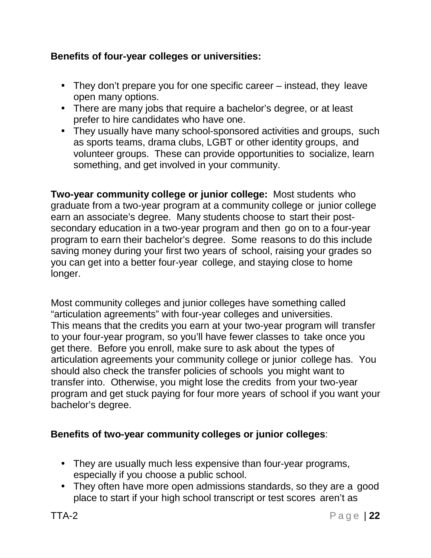#### **Benefits of four-year colleges or universities:**

- They don't prepare you for one specific career instead, they leave open many options.
- There are many jobs that require a bachelor's degree, or at least prefer to hire candidates who have one.
- They usually have many school-sponsored activities and groups, such as sports teams, drama clubs, LGBT or other identity groups, and volunteer groups. These can provide opportunities to socialize, learn something, and get involved in your community.

**Two-year community college or junior college:** Most students who graduate from a two-year program at a community college or junior college earn an associate's degree. Many students choose to start their postsecondary education in a two-year program and then go on to a four-year program to earn their bachelor's degree. Some reasons to do this include saving money during your first two years of school, raising your grades so you can get into a better four-year college, and staying close to home longer.

Most community colleges and junior colleges have something called "articulation agreements" with four-year colleges and universities. This means that the credits you earn at your two-year program will transfer to your four-year program, so you'll have fewer classes to take once you get there. Before you enroll, make sure to ask about the types of articulation agreements your community college or junior college has. You should also check the transfer policies of schools you might want to transfer into. Otherwise, you might lose the credits from your two-year program and get stuck paying for four more years of school if you want your bachelor's degree.

#### **Benefits of two-year community colleges or junior colleges**:

- They are usually much less expensive than four-year programs, especially if you choose a public school.
- They often have more open admissions standards, so they are a good place to start if your high school transcript or test scores aren't as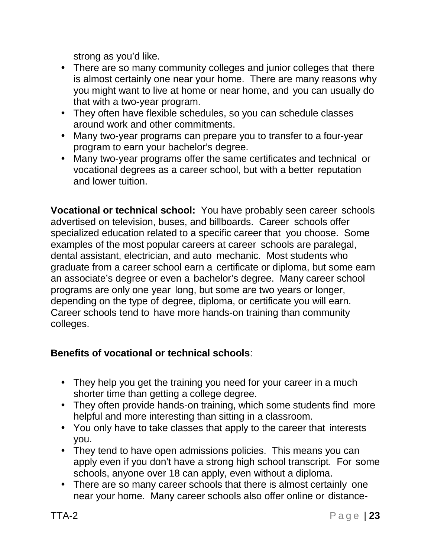strong as you'd like.

- There are so many community colleges and junior colleges that there is almost certainly one near your home. There are many reasons why you might want to live at home or near home, and you can usually do that with a two-year program.
- They often have flexible schedules, so you can schedule classes around work and other commitments.
- Many two-year programs can prepare you to transfer to a four-year program to earn your bachelor's degree.
- Many two-year programs offer the same certificates and technical or vocational degrees as a career school, but with a better reputation and lower tuition.

**Vocational or technical school:** You have probably seen career schools advertised on television, buses, and billboards. Career schools offer specialized education related to a specific career that you choose. Some examples of the most popular careers at career schools are paralegal, dental assistant, electrician, and auto mechanic. Most students who graduate from a career school earn a certificate or diploma, but some earn an associate's degree or even a bachelor's degree. Many career school programs are only one year long, but some are two years or longer, depending on the type of degree, diploma, or certificate you will earn. Career schools tend to have more hands-on training than community colleges.

## **Benefits of vocational or technical schools**:

- They help you get the training you need for your career in a much shorter time than getting a college degree.
- They often provide hands-on training, which some students find more helpful and more interesting than sitting in a classroom.
- You only have to take classes that apply to the career that interests you.
- They tend to have open admissions policies. This means you can apply even if you don't have a strong high school transcript. For some schools, anyone over 18 can apply, even without a diploma.
- There are so many career schools that there is almost certainly one near your home. Many career schools also offer online or distance-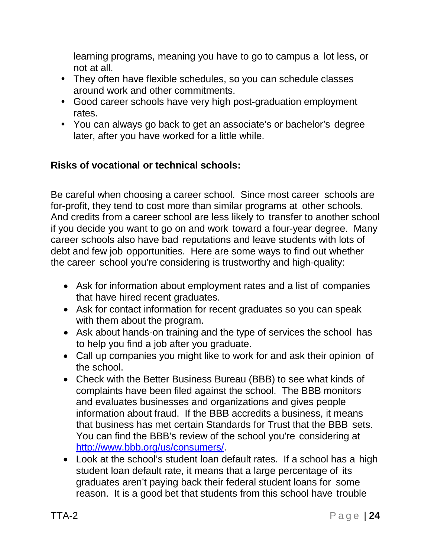learning programs, meaning you have to go to campus a lot less, or not at all.

- They often have flexible schedules, so you can schedule classes around work and other commitments.
- Good career schools have very high post-graduation employment rates.
- You can always go back to get an associate's or bachelor's degree later, after you have worked for a little while.

### **Risks of vocational or technical schools:**

Be careful when choosing a career school. Since most career schools are for-profit, they tend to cost more than similar programs at other schools. And credits from a career school are less likely to transfer to another school if you decide you want to go on and work toward a four-year degree. Many career schools also have bad reputations and leave students with lots of debt and few job opportunities. Here are some ways to find out whether the career school you're considering is trustworthy and high-quality:

- Ask for information about employment rates and a list of companies that have hired recent graduates.
- Ask for contact information for recent graduates so you can speak with them about the program.
- Ask about hands-on training and the type of services the school has to help you find a job after you graduate.
- Call up companies you might like to work for and ask their opinion of the school.
- Check with the Better Business Bureau (BBB) to see what kinds of complaints have been filed against the school. The BBB monitors and evaluates businesses and organizations and gives people information about fraud. If the BBB accredits a business, it means that business has met certain Standards for Trust that the BBB sets. You can find the BBB's review of the school you're considering at [http://www.bbb.org/us/consumers/.](http://www.bbb.org/us/consumers/)
- Look at the school's student loan default rates. If a school has a high student loan default rate, it means that a large percentage of its graduates aren't paying back their federal student loans for some reason. It is a good bet that students from this school have trouble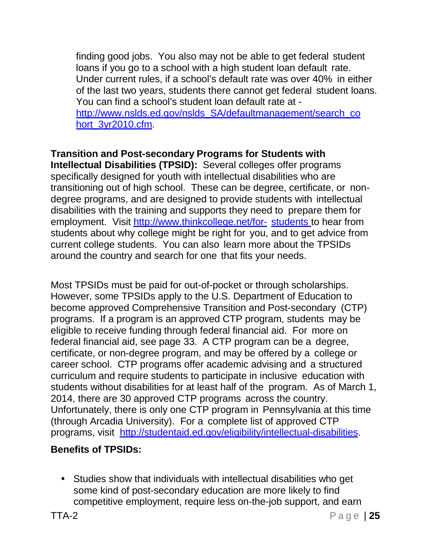finding good jobs. You also may not be able to get federal student loans if you go to a school with a high student loan default rate. Under current rules, if a school's default rate was over 40% in either of the last two years, students there cannot get federal student loans. You can find a school's student loan default rate at [http://www.nslds.ed.gov/nslds\\_SA/defaultmanagement/search\\_co](http://www.nslds.ed.gov/nslds_SA/defaultmanagement/search_co) hort\_3yr2010.cfm

**Transition and Post-secondary Programs for Students with Intellectual Disabilities (TPSID):** Several colleges offer programs specifically designed for youth with intellectual disabilities who are transitioning out of high school. These can be degree, certificate, or nondegree programs, and are designed to provide students with intellectual disabilities with the training and supports they need to prepare them for employment. Visit <http://www.thinkcollege.net/for-> students to hear from students about why college might be right for you, and to get advice from current college students. You can also learn more about the TPSIDs around the country and search for one that fits your needs.

Most TPSIDs must be paid for out-of-pocket or through scholarships. However, some TPSIDs apply to the U.S. Department of Education to become approved Comprehensive Transition and Post-secondary (CTP) programs. If a program is an approved CTP program, students may be eligible to receive funding through federal financial aid. For more on federal financial aid, see page 33. A CTP program can be a degree, certificate, or non-degree program, and may be offered by a college or career school. CTP programs offer academic advising and a structured curriculum and require students to participate in inclusive education with students without disabilities for at least half of the program. As of March 1, 2014, there are 30 approved CTP programs across the country. Unfortunately, there is only one CTP program in Pennsylvania at this time (through Arcadia University). For a complete list of approved CTP programs, visit [http://studentaid.ed.gov/eligibility/intellectual-disabilities.](http://studentaid.ed.gov/eligibility/intellectual-disabilities)

## **Benefits of TPSIDs:**

 Studies show that individuals with intellectual disabilities who get some kind of post-secondary education are more likely to find competitive employment, require less on-the-job support, and earn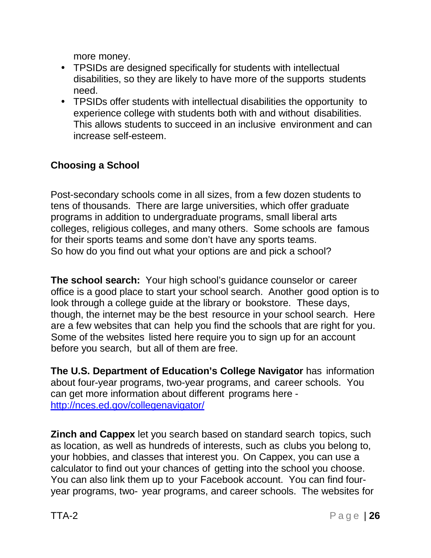more money.

- TPSIDs are designed specifically for students with intellectual disabilities, so they are likely to have more of the supports students need.
- TPSIDs offer students with intellectual disabilities the opportunity to experience college with students both with and without disabilities. This allows students to succeed in an inclusive environment and can increase self-esteem.

## <span id="page-25-0"></span>**Choosing a School**

Post-secondary schools come in all sizes, from a few dozen students to tens of thousands. There are large universities, which offer graduate programs in addition to undergraduate programs, small liberal arts colleges, religious colleges, and many others. Some schools are famous for their sports teams and some don't have any sports teams. So how do you find out what your options are and pick a school?

**The school search:** Your high school's guidance counselor or career office is a good place to start your school search. Another good option is to look through a college guide at the library or bookstore. These days, though, the internet may be the best resource in your school search. Here are a few websites that can help you find the schools that are right for you. Some of the websites listed here require you to sign up for an account before you search, but all of them are free.

**The U.S. Department of Education's College Navigator** has information about four-year programs, two-year programs, and career schools. You can get more information about different programs here <http://nces.ed.gov/collegenavigator/>

**Zinch and Cappex** let you search based on standard search topics, such as location, as well as hundreds of interests, such as clubs you belong to, your hobbies, and classes that interest you. On Cappex, you can use a calculator to find out your chances of getting into the school you choose. You can also link them up to your Facebook account. You can find fouryear programs, two- year programs, and career schools. The websites for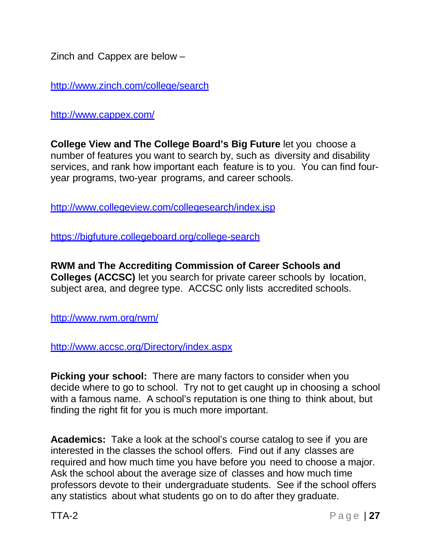Zinch and Cappex are below –

<http://www.zinch.com/college/search>

<http://www.cappex.com/>

**College View and The College Board's Big Future** let you choose a number of features you want to search by, such as diversity and disability services, and rank how important each feature is to you. You can find fouryear programs, two-year programs, and career schools.

<http://www.collegeview.com/collegesearch/index.jsp>

https://bigfuture.collegeboard.org/college-search

**RWM and The Accrediting Commission of Career Schools and Colleges (ACCSC)** let you search for private career schools by location, subject area, and degree type. ACCSC only lists accredited schools.

<http://www.rwm.org/rwm/>

<http://www.accsc.org/Directory/index.aspx>

**Picking your school:** There are many factors to consider when you decide where to go to school. Try not to get caught up in choosing a school with a famous name. A school's reputation is one thing to think about, but finding the right fit for you is much more important.

**Academics:** Take a look at the school's course catalog to see if you are interested in the classes the school offers. Find out if any classes are required and how much time you have before you need to choose a major. Ask the school about the average size of classes and how much time professors devote to their undergraduate students. See if the school offers any statistics about what students go on to do after they graduate.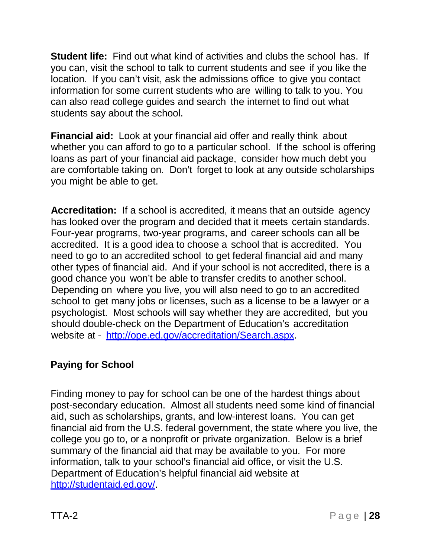**Student life:** Find out what kind of activities and clubs the school has. If you can, visit the school to talk to current students and see if you like the location. If you can't visit, ask the admissions office to give you contact information for some current students who are willing to talk to you. You can also read college guides and search the internet to find out what students say about the school.

**Financial aid:** Look at your financial aid offer and really think about whether you can afford to go to a particular school. If the school is offering loans as part of your financial aid package, consider how much debt you are comfortable taking on. Don't forget to look at any outside scholarships you might be able to get.

**Accreditation:** If a school is accredited, it means that an outside agency has looked over the program and decided that it meets certain standards. Four-year programs, two-year programs, and career schools can all be accredited. It is a good idea to choose a school that is accredited. You need to go to an accredited school to get federal financial aid and many other types of financial aid. And if your school is not accredited, there is a good chance you won't be able to transfer credits to another school. Depending on where you live, you will also need to go to an accredited school to get many jobs or licenses, such as a license to be a lawyer or a psychologist. Most schools will say whether they are accredited, but you should double-check on the Department of Education's accreditation website at - [http://ope.ed.gov/accreditation/Search.aspx.](http://ope.ed.gov/accreditation/Search.aspx)

## <span id="page-27-0"></span>**Paying for School**

Finding money to pay for school can be one of the hardest things about post-secondary education. Almost all students need some kind of financial aid, such as scholarships, grants, and low-interest loans. You can get financial aid from the U.S. federal government, the state where you live, the college you go to, or a nonprofit or private organization. Below is a brief summary of the financial aid that may be available to you. For more information, talk to your school's financial aid office, or visit the U.S. Department of Education's helpful financial aid website at [http://studentaid.ed.gov/.](http://studentaid.ed.gov/)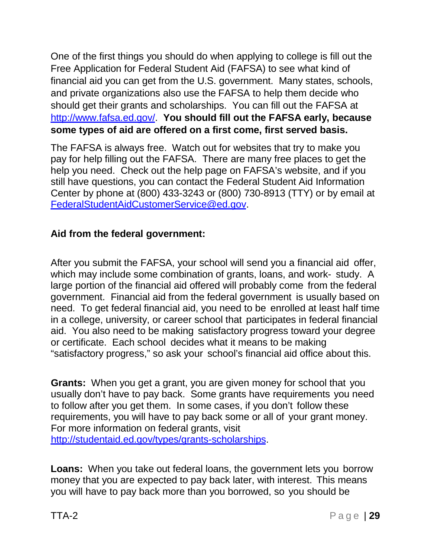One of the first things you should do when applying to college is fill out the Free Application for Federal Student Aid (FAFSA) to see what kind of financial aid you can get from the U.S. government. Many states, schools, and private organizations also use the FAFSA to help them decide who should get their grants and scholarships. You can fill out the FAFSA at [http://www.fafsa.ed.gov/.](http://www.fafsa.ed.gov/) **You should fill out the FAFSA early, because some types of aid are offered on a first come, first served basis.**

The FAFSA is always free. Watch out for websites that try to make you pay for help filling out the FAFSA. There are many free places to get the help you need. Check out the help page on FAFSA's website, and if you still have questions, you can contact the Federal Student Aid Information Center by phone at (800) 433-3243 or (800) 730-8913 (TTY) or by email at [FederalStudentAidCustomerService@ed.gov.](mailto:FederalStudentAidCustomerService@ed.gov)

#### **Aid from the federal government:**

After you submit the FAFSA, your school will send you a financial aid offer, which may include some combination of grants, loans, and work- study. A large portion of the financial aid offered will probably come from the federal government. Financial aid from the federal government is usually based on need. To get federal financial aid, you need to be enrolled at least half time in a college, university, or career school that participates in federal financial aid. You also need to be making satisfactory progress toward your degree or certificate. Each school decides what it means to be making "satisfactory progress," so ask your school's financial aid office about this.

**Grants:** When you get a grant, you are given money for school that you usually don't have to pay back. Some grants have requirements you need to follow after you get them. In some cases, if you don't follow these requirements, you will have to pay back some or all of your grant money. For more information on federal grants, visit [http://studentaid.ed.gov/types/grants-scholarships.](http://studentaid.ed.gov/types/grants-scholarships)

**Loans:** When you take out federal loans, the government lets you borrow money that you are expected to pay back later, with interest. This means you will have to pay back more than you borrowed, so you should be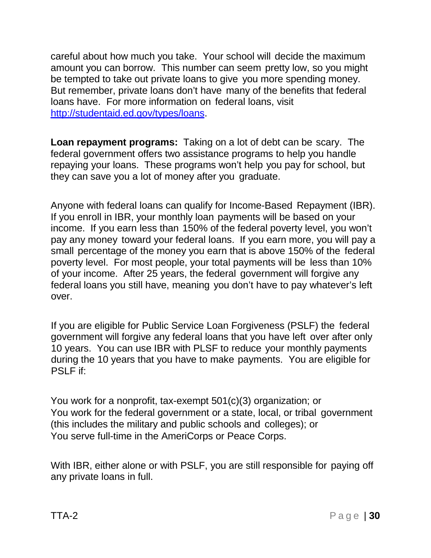careful about how much you take. Your school will decide the maximum amount you can borrow. This number can seem pretty low, so you might be tempted to take out private loans to give you more spending money. But remember, private loans don't have many of the benefits that federal loans have. For more information on federal loans, visit [http://studentaid.ed.gov/types/loans.](http://studentaid.ed.gov/types/loans)

**Loan repayment programs:** Taking on a lot of debt can be scary. The federal government offers two assistance programs to help you handle repaying your loans. These programs won't help you pay for school, but they can save you a lot of money after you graduate.

Anyone with federal loans can qualify for Income-Based Repayment (IBR). If you enroll in IBR, your monthly loan payments will be based on your income. If you earn less than 150% of the federal poverty level, you won't pay any money toward your federal loans. If you earn more, you will pay a small percentage of the money you earn that is above 150% of the federal poverty level. For most people, your total payments will be less than 10% of your income. After 25 years, the federal government will forgive any federal loans you still have, meaning you don't have to pay whatever's left over.

If you are eligible for Public Service Loan Forgiveness (PSLF) the federal government will forgive any federal loans that you have left over after only 10 years. You can use IBR with PLSF to reduce your monthly payments during the 10 years that you have to make payments. You are eligible for PSLF if:

You work for a nonprofit, tax-exempt 501(c)(3) organization; or You work for the federal government or a state, local, or tribal government (this includes the military and public schools and colleges); or You serve full-time in the AmeriCorps or Peace Corps.

With IBR, either alone or with PSLF, you are still responsible for paying off any private loans in full.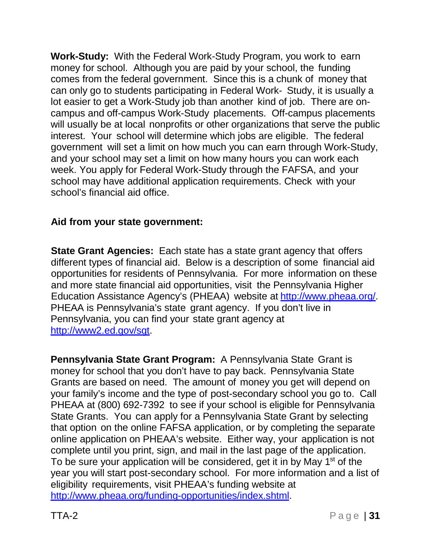**Work-Study:** With the Federal Work-Study Program, you work to earn money for school. Although you are paid by your school, the funding comes from the federal government. Since this is a chunk of money that can only go to students participating in Federal Work- Study, it is usually a lot easier to get a Work-Study job than another kind of job. There are oncampus and off-campus Work-Study placements. Off-campus placements will usually be at local nonprofits or other organizations that serve the public interest. Your school will determine which jobs are eligible. The federal government will set a limit on how much you can earn through Work-Study, and your school may set a limit on how many hours you can work each week. You apply for Federal Work-Study through the FAFSA, and your school may have additional application requirements. Check with your school's financial aid office.

### **Aid from your state government:**

**State Grant Agencies:** Each state has a state grant agency that offers different types of financial aid. Below is a description of some financial aid opportunities for residents of Pennsylvania. For more information on these and more state financial aid opportunities, visit the Pennsylvania Higher Education Assistance Agency's (PHEAA) website at [http://www.pheaa.org/.](http://www.pheaa.org/) PHEAA is Pennsylvania's state grant agency. If you don't live in Pennsylvania, you can find your state grant agency at [http://www2.ed.gov/sgt.](http://www2.ed.gov/sgt)

**Pennsylvania State Grant Program:** A Pennsylvania State Grant is money for school that you don't have to pay back. Pennsylvania State Grants are based on need. The amount of money you get will depend on your family's income and the type of post-secondary school you go to. Call PHEAA at (800) 692-7392 to see if your school is eligible for Pennsylvania State Grants. You can apply for a Pennsylvania State Grant by selecting that option on the online FAFSA application, or by completing the separate online application on PHEAA's website. Either way, your application is not complete until you print, sign, and mail in the last page of the application. To be sure your application will be considered, get it in by May 1<sup>st</sup> of the year you will start post-secondary school. For more information and a list of eligibility requirements, visit PHEAA's funding website at [http://www.pheaa.org/funding-opportunities/index.shtml.](http://www.pheaa.org/funding-opportunities/index.shtml)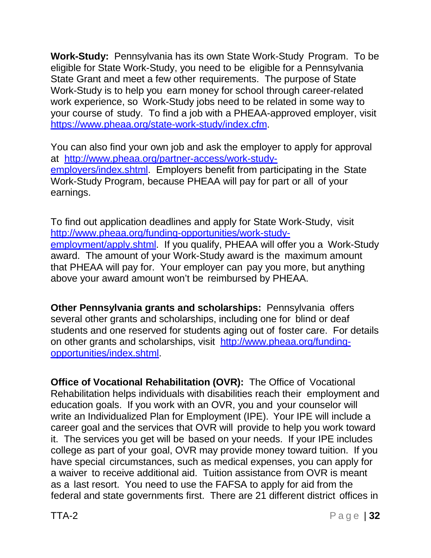**Work-Study:** Pennsylvania has its own State Work-Study Program. To be eligible for State Work-Study, you need to be eligible for a Pennsylvania State Grant and meet a few other requirements. The purpose of State Work-Study is to help you earn money for school through career-related work experience, so Work-Study jobs need to be related in some way to your course of study. To find a job with a PHEAA-approved employer, visit https:/[/www.pheaa.org/state-work-study/index.cfm.](http://www.pheaa.org/state-work-study/index.cfm)

You can also find your own job and ask the employer to apply for approval at [http://www.pheaa.org/partner-access/work-study](http://www.pheaa.org/partner-access/work-study-)employers/index.shtml. Employers benefit from participating in the State Work-Study Program, because PHEAA will pay for part or all of your earnings.

To find out application deadlines and apply for State Work-Study, visit [http://www.pheaa.org/funding-opportunities/work-study](http://www.pheaa.org/funding-opportunities/work-study-)employment/apply.shtml. If you qualify, PHEAA will offer you a Work-Study award. The amount of your Work-Study award is the maximum amount that PHEAA will pay for. Your employer can pay you more, but anything above your award amount won't be reimbursed by PHEAA.

**Other Pennsylvania grants and scholarships:** Pennsylvania offers several other grants and scholarships, including one for blind or deaf students and one reserved for students aging out of foster care. For details on other grants and scholarships, visit [http://www.pheaa.org/funding](http://www.pheaa.org/funding-opportunities/index.shtml)[opportunities/index.shtml.](http://www.pheaa.org/funding-opportunities/index.shtml)

**Office of Vocational Rehabilitation (OVR):** The Office of Vocational Rehabilitation helps individuals with disabilities reach their employment and education goals. If you work with an OVR, you and your counselor will write an Individualized Plan for Employment (IPE). Your IPE will include a career goal and the services that OVR will provide to help you work toward it. The services you get will be based on your needs. If your IPE includes college as part of your goal, OVR may provide money toward tuition. If you have special circumstances, such as medical expenses, you can apply for a waiver to receive additional aid. Tuition assistance from OVR is meant as a last resort. You need to use the FAFSA to apply for aid from the federal and state governments first. There are 21 different district offices in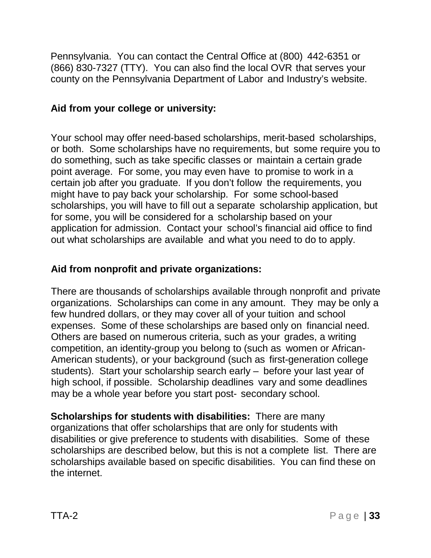Pennsylvania. You can contact the Central Office at (800) 442-6351 or (866) 830-7327 (TTY). You can also find the local OVR that serves your county on the Pennsylvania Department of Labor and Industry's website.

#### **Aid from your college or university:**

Your school may offer need-based scholarships, merit-based scholarships, or both. Some scholarships have no requirements, but some require you to do something, such as take specific classes or maintain a certain grade point average. For some, you may even have to promise to work in a certain job after you graduate. If you don't follow the requirements, you might have to pay back your scholarship. For some school-based scholarships, you will have to fill out a separate scholarship application, but for some, you will be considered for a scholarship based on your application for admission. Contact your school's financial aid office to find out what scholarships are available and what you need to do to apply.

### **Aid from nonprofit and private organizations:**

There are thousands of scholarships available through nonprofit and private organizations. Scholarships can come in any amount. They may be only a few hundred dollars, or they may cover all of your tuition and school expenses. Some of these scholarships are based only on financial need. Others are based on numerous criteria, such as your grades, a writing competition, an identity-group you belong to (such as women or African-American students), or your background (such as first-generation college students). Start your scholarship search early – before your last year of high school, if possible. Scholarship deadlines vary and some deadlines may be a whole year before you start post- secondary school.

**Scholarships for students with disabilities:** There are many organizations that offer scholarships that are only for students with disabilities or give preference to students with disabilities. Some of these scholarships are described below, but this is not a complete list. There are scholarships available based on specific disabilities. You can find these on the internet.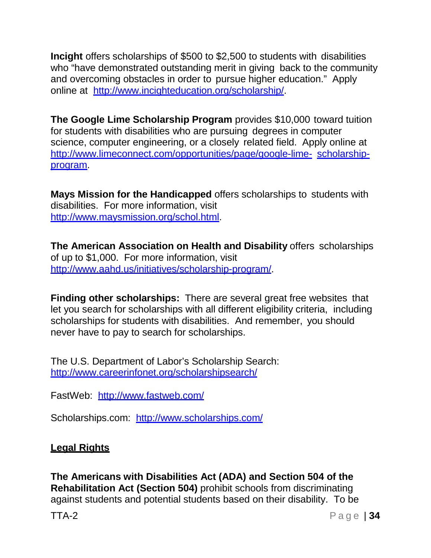**Incight** offers scholarships of \$500 to \$2,500 to students with disabilities who "have demonstrated outstanding merit in giving back to the community and overcoming obstacles in order to pursue higher education." Apply online at [http://www.incighteducation.org/scholarship/.](http://www.incighteducation.org/scholarship/)

**The Google Lime Scholarship Program** provides \$10,000 toward tuition for students with disabilities who are pursuing degrees in computer science, computer engineering, or a closely related field. Apply online at <http://www.limeconnect.com/opportunities/page/google-lime-> scholarshipprogram.

**Mays Mission for the Handicapped** offers scholarships to students with disabilities. For more information, visit [http://www.maysmission.org/schol.html.](http://www.maysmission.org/schol.html)

**The American Association on Health and Disability** offers scholarships of up to \$1,000. For more information, visit [http://www.aahd.us/initiatives/scholarship-program/.](http://www.aahd.us/initiatives/scholarship-program/)

**Finding other scholarships:** There are several great free websites that let you search for scholarships with all different eligibility criteria, including scholarships for students with disabilities. And remember, you should never have to pay to search for scholarships.

The U.S. Department of Labor's Scholarship Search: <http://www.careerinfonet.org/scholarshipsearch/>

FastWeb: <http://www.fastweb.com/>

Scholarships.com: <http://www.scholarships.com/>

## <span id="page-33-0"></span>**Legal Rights**

**The Americans with Disabilities Act (ADA) and Section 504 of the Rehabilitation Act (Section 504)** prohibit schools from discriminating against students and potential students based on their disability. To be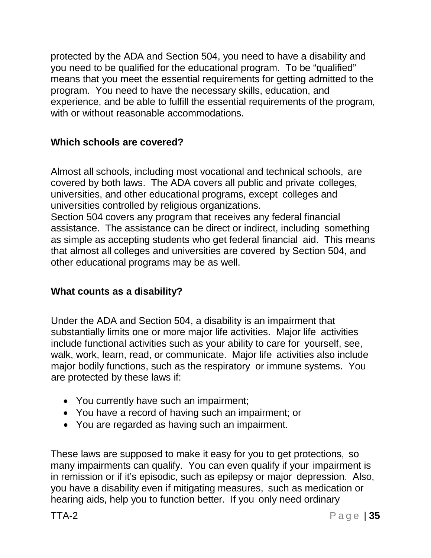protected by the ADA and Section 504, you need to have a disability and you need to be qualified for the educational program. To be "qualified" means that you meet the essential requirements for getting admitted to the program. You need to have the necessary skills, education, and experience, and be able to fulfill the essential requirements of the program, with or without reasonable accommodations.

### **Which schools are covered?**

Almost all schools, including most vocational and technical schools, are covered by both laws. The ADA covers all public and private colleges, universities, and other educational programs, except colleges and universities controlled by religious organizations.

Section 504 covers any program that receives any federal financial assistance. The assistance can be direct or indirect, including something as simple as accepting students who get federal financial aid. This means that almost all colleges and universities are covered by Section 504, and other educational programs may be as well.

#### **What counts as a disability?**

Under the ADA and Section 504, a disability is an impairment that substantially limits one or more major life activities. Major life activities include functional activities such as your ability to care for yourself, see, walk, work, learn, read, or communicate. Major life activities also include major bodily functions, such as the respiratory or immune systems. You are protected by these laws if:

- You currently have such an impairment;
- You have a record of having such an impairment; or
- You are regarded as having such an impairment.

These laws are supposed to make it easy for you to get protections, so many impairments can qualify. You can even qualify if your impairment is in remission or if it's episodic, such as epilepsy or major depression. Also, you have a disability even if mitigating measures, such as medication or hearing aids, help you to function better. If you only need ordinary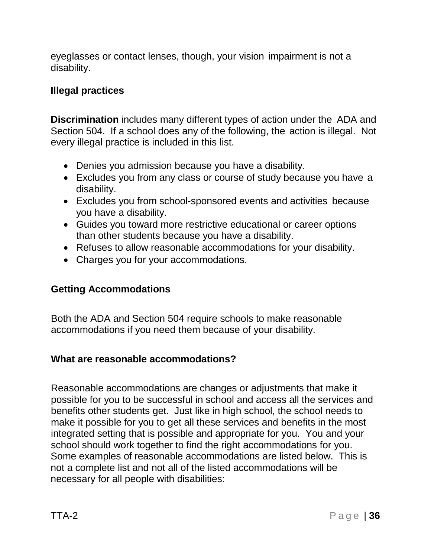eyeglasses or contact lenses, though, your vision impairment is not a disability.

#### **Illegal practices**

**Discrimination** includes many different types of action under the ADA and Section 504. If a school does any of the following, the action is illegal. Not every illegal practice is included in this list.

- Denies you admission because you have a disability.
- Excludes you from any class or course of study because you have a disability.
- Excludes you from school-sponsored events and activities because you have a disability.
- Guides you toward more restrictive educational or career options than other students because you have a disability.
- Refuses to allow reasonable accommodations for your disability.
- Charges you for your accommodations.

## <span id="page-35-0"></span>**Getting Accommodations**

Both the ADA and Section 504 require schools to make reasonable accommodations if you need them because of your disability.

#### **What are reasonable accommodations?**

Reasonable accommodations are changes or adjustments that make it possible for you to be successful in school and access all the services and benefits other students get. Just like in high school, the school needs to make it possible for you to get all these services and benefits in the most integrated setting that is possible and appropriate for you. You and your school should work together to find the right accommodations for you. Some examples of reasonable accommodations are listed below. This is not a complete list and not all of the listed accommodations will be necessary for all people with disabilities: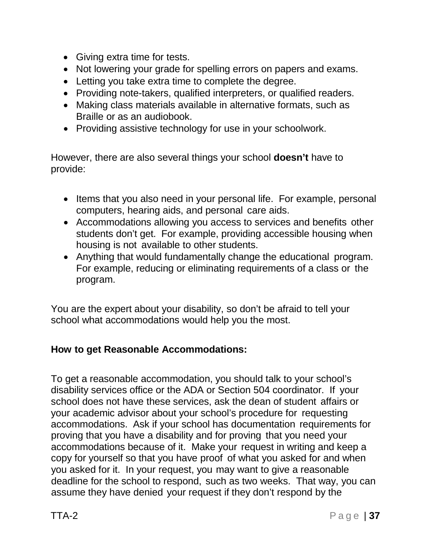- Giving extra time for tests.
- Not lowering your grade for spelling errors on papers and exams.
- Letting you take extra time to complete the degree.
- Providing note-takers, qualified interpreters, or qualified readers.
- Making class materials available in alternative formats, such as Braille or as an audiobook.
- Providing assistive technology for use in your schoolwork.

However, there are also several things your school **doesn't** have to provide:

- Items that you also need in your personal life. For example, personal computers, hearing aids, and personal care aids.
- Accommodations allowing you access to services and benefits other students don't get. For example, providing accessible housing when housing is not available to other students.
- Anything that would fundamentally change the educational program. For example, reducing or eliminating requirements of a class or the program.

You are the expert about your disability, so don't be afraid to tell your school what accommodations would help you the most.

# **How to get Reasonable Accommodations:**

To get a reasonable accommodation, you should talk to your school's disability services office or the ADA or Section 504 coordinator. If your school does not have these services, ask the dean of student affairs or your academic advisor about your school's procedure for requesting accommodations. Ask if your school has documentation requirements for proving that you have a disability and for proving that you need your accommodations because of it. Make your request in writing and keep a copy for yourself so that you have proof of what you asked for and when you asked for it. In your request, you may want to give a reasonable deadline for the school to respond, such as two weeks. That way, you can assume they have denied your request if they don't respond by the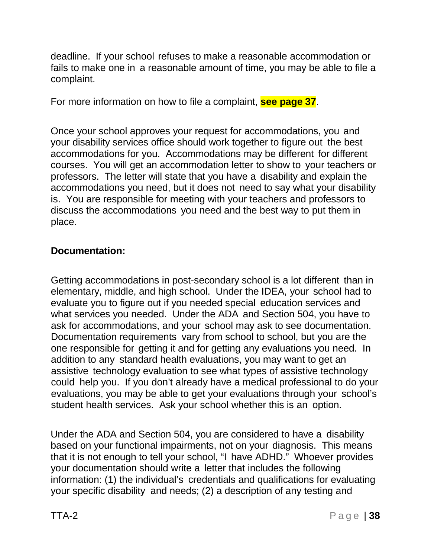deadline. If your school refuses to make a reasonable accommodation or fails to make one in a reasonable amount of time, you may be able to file a complaint.

For more information on how to file a complaint, **see page 37**.

Once your school approves your request for accommodations, you and your disability services office should work together to figure out the best accommodations for you. Accommodations may be different for different courses. You will get an accommodation letter to show to your teachers or professors. The letter will state that you have a disability and explain the accommodations you need, but it does not need to say what your disability is. You are responsible for meeting with your teachers and professors to discuss the accommodations you need and the best way to put them in place.

## **Documentation:**

Getting accommodations in post-secondary school is a lot different than in elementary, middle, and high school. Under the IDEA, your school had to evaluate you to figure out if you needed special education services and what services you needed. Under the ADA and Section 504, you have to ask for accommodations, and your school may ask to see documentation. Documentation requirements vary from school to school, but you are the one responsible for getting it and for getting any evaluations you need. In addition to any standard health evaluations, you may want to get an assistive technology evaluation to see what types of assistive technology could help you. If you don't already have a medical professional to do your evaluations, you may be able to get your evaluations through your school's student health services. Ask your school whether this is an option.

Under the ADA and Section 504, you are considered to have a disability based on your functional impairments, not on your diagnosis. This means that it is not enough to tell your school, "I have ADHD." Whoever provides your documentation should write a letter that includes the following information: (1) the individual's credentials and qualifications for evaluating your specific disability and needs; (2) a description of any testing and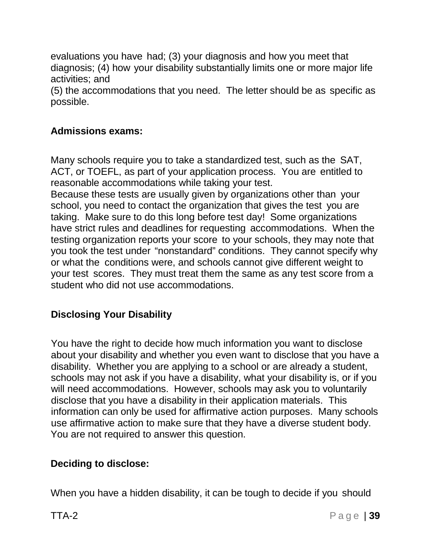evaluations you have had; (3) your diagnosis and how you meet that diagnosis; (4) how your disability substantially limits one or more major life activities; and

(5) the accommodations that you need. The letter should be as specific as possible.

## **Admissions exams:**

Many schools require you to take a standardized test, such as the SAT, ACT, or TOEFL, as part of your application process. You are entitled to reasonable accommodations while taking your test.

Because these tests are usually given by organizations other than your school, you need to contact the organization that gives the test you are taking. Make sure to do this long before test day! Some organizations have strict rules and deadlines for requesting accommodations. When the testing organization reports your score to your schools, they may note that you took the test under "nonstandard" conditions. They cannot specify why or what the conditions were, and schools cannot give different weight to your test scores. They must treat them the same as any test score from a student who did not use accommodations.

## **Disclosing Your Disability**

You have the right to decide how much information you want to disclose about your disability and whether you even want to disclose that you have a disability. Whether you are applying to a school or are already a student, schools may not ask if you have a disability, what your disability is, or if you will need accommodations. However, schools may ask you to voluntarily disclose that you have a disability in their application materials. This information can only be used for affirmative action purposes. Many schools use affirmative action to make sure that they have a diverse student body. You are not required to answer this question.

## **Deciding to disclose:**

When you have a hidden disability, it can be tough to decide if you should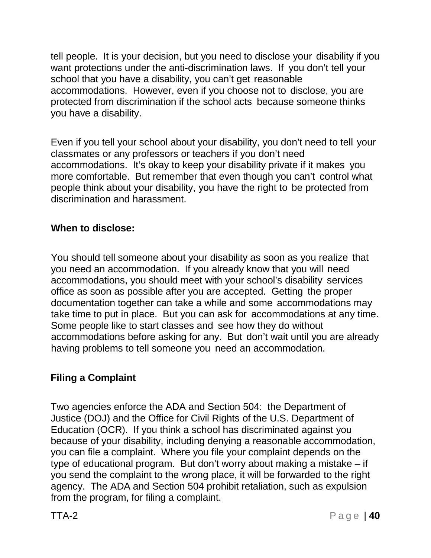tell people. It is your decision, but you need to disclose your disability if you want protections under the anti-discrimination laws. If you don't tell your school that you have a disability, you can't get reasonable accommodations. However, even if you choose not to disclose, you are protected from discrimination if the school acts because someone thinks you have a disability.

Even if you tell your school about your disability, you don't need to tell your classmates or any professors or teachers if you don't need accommodations. It's okay to keep your disability private if it makes you more comfortable. But remember that even though you can't control what people think about your disability, you have the right to be protected from discrimination and harassment.

## **When to disclose:**

You should tell someone about your disability as soon as you realize that you need an accommodation. If you already know that you will need accommodations, you should meet with your school's disability services office as soon as possible after you are accepted. Getting the proper documentation together can take a while and some accommodations may take time to put in place. But you can ask for accommodations at any time. Some people like to start classes and see how they do without accommodations before asking for any. But don't wait until you are already having problems to tell someone you need an accommodation.

# **Filing a Complaint**

Two agencies enforce the ADA and Section 504: the Department of Justice (DOJ) and the Office for Civil Rights of the U.S. Department of Education (OCR). If you think a school has discriminated against you because of your disability, including denying a reasonable accommodation, you can file a complaint. Where you file your complaint depends on the type of educational program. But don't worry about making a mistake – if you send the complaint to the wrong place, it will be forwarded to the right agency. The ADA and Section 504 prohibit retaliation, such as expulsion from the program, for filing a complaint.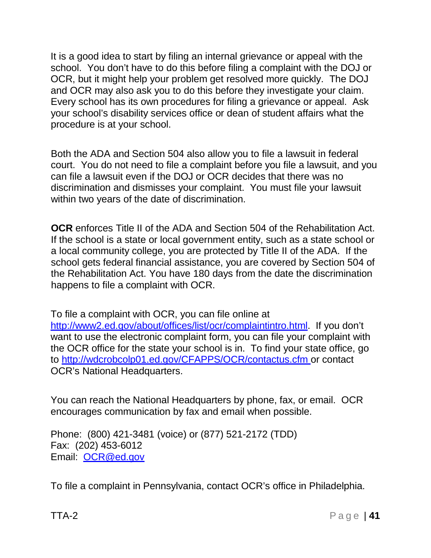It is a good idea to start by filing an internal grievance or appeal with the school. You don't have to do this before filing a complaint with the DOJ or OCR, but it might help your problem get resolved more quickly. The DOJ and OCR may also ask you to do this before they investigate your claim. Every school has its own procedures for filing a grievance or appeal. Ask your school's disability services office or dean of student affairs what the procedure is at your school.

Both the ADA and Section 504 also allow you to file a lawsuit in federal court. You do not need to file a complaint before you file a lawsuit, and you can file a lawsuit even if the DOJ or OCR decides that there was no discrimination and dismisses your complaint. You must file your lawsuit within two years of the date of discrimination.

**OCR** enforces Title II of the ADA and Section 504 of the Rehabilitation Act. If the school is a state or local government entity, such as a state school or a local community college, you are protected by Title II of the ADA. If the school gets federal financial assistance, you are covered by Section 504 of the Rehabilitation Act. You have 180 days from the date the discrimination happens to file a complaint with OCR.

To file a complaint with OCR, you can file online at [http://www2.ed.gov/about/offices/list/ocr/complaintintro.html.](http://www2.ed.gov/about/offices/list/ocr/complaintintro.html) If you don't want to use the electronic complaint form, you can file your complaint with the OCR office for the state your school is in. To find your state office, go to <http://wdcrobcolp01.ed.gov/CFAPPS/OCR/contactus.cfm> or contact OCR's National Headquarters.

You can reach the National Headquarters by phone, fax, or email. OCR encourages communication by fax and email when possible.

Phone: (800) 421-3481 (voice) or (877) 521-2172 (TDD) Fax: (202) 453-6012 Email: [OCR@ed.gov](mailto:OCR@ed.gov)

To file a complaint in Pennsylvania, contact OCR's office in Philadelphia.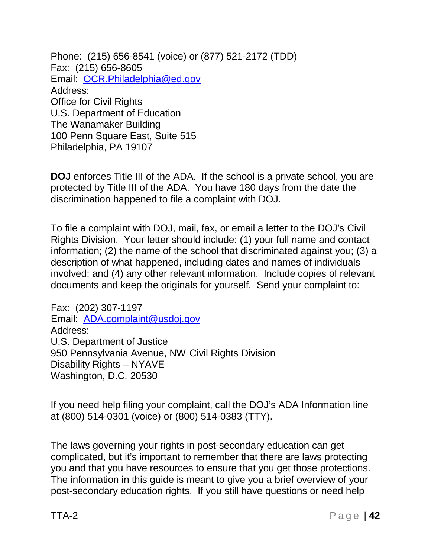Phone: (215) 656-8541 (voice) or (877) 521-2172 (TDD) Fax: (215) 656-8605 Email: [OCR.Philadelphia@ed.gov](mailto:OCR.Philadelphia@ed.gov) Address: Office for Civil Rights U.S. Department of Education The Wanamaker Building 100 Penn Square East, Suite 515 Philadelphia, PA 19107

**DOJ** enforces Title III of the ADA. If the school is a private school, you are protected by Title III of the ADA. You have 180 days from the date the discrimination happened to file a complaint with DOJ.

To file a complaint with DOJ, mail, fax, or email a letter to the DOJ's Civil Rights Division. Your letter should include: (1) your full name and contact information; (2) the name of the school that discriminated against you; (3) a description of what happened, including dates and names of individuals involved; and (4) any other relevant information. Include copies of relevant documents and keep the originals for yourself. Send your complaint to:

Fax: (202) 307-1197 Email: [ADA.complaint@usdoj.gov](mailto:ADA.complaint@usdoj.gov) Address: U.S. Department of Justice 950 Pennsylvania Avenue, NW Civil Rights Division Disability Rights – NYAVE Washington, D.C. 20530

If you need help filing your complaint, call the DOJ's ADA Information line at (800) 514-0301 (voice) or (800) 514-0383 (TTY).

The laws governing your rights in post-secondary education can get complicated, but it's important to remember that there are laws protecting you and that you have resources to ensure that you get those protections. The information in this guide is meant to give you a brief overview of your post-secondary education rights. If you still have questions or need help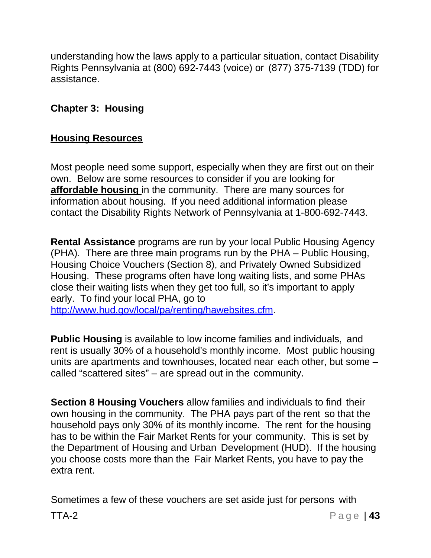understanding how the laws apply to a particular situation, contact Disability Rights Pennsylvania at (800) 692-7443 (voice) or (877) 375-7139 (TDD) for assistance.

## **Chapter 3: Housing**

#### **Housing Resources**

Most people need some support, especially when they are first out on their own. Below are some resources to consider if you are looking for **affordable housing** in the community. There are many sources for information about housing. If you need additional information please contact the Disability Rights Network of Pennsylvania at 1-800-692-7443.

**Rental Assistance** programs are run by your local Public Housing Agency (PHA). There are three main programs run by the PHA – Public Housing, Housing Choice Vouchers (Section 8), and Privately Owned Subsidized Housing. These programs often have long waiting lists, and some PHAs close their waiting lists when they get too full, so it's important to apply early. To find your local PHA, go to

[http://www.hud.gov/local/pa/renting/hawebsites.cfm.](http://www.hud.gov/local/pa/renting/hawebsites.cfm)

**Public Housing** is available to low income families and individuals, and rent is usually 30% of a household's monthly income. Most public housing units are apartments and townhouses, located near each other, but some – called "scattered sites" – are spread out in the community.

**Section 8 Housing Vouchers** allow families and individuals to find their own housing in the community. The PHA pays part of the rent so that the household pays only 30% of its monthly income. The rent for the housing has to be within the Fair Market Rents for your community. This is set by the Department of Housing and Urban Development (HUD). If the housing you choose costs more than the Fair Market Rents, you have to pay the extra rent.

Sometimes a few of these vouchers are set aside just for persons with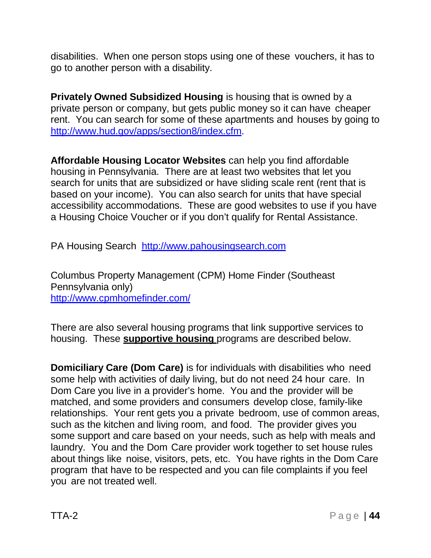disabilities. When one person stops using one of these vouchers, it has to go to another person with a disability.

**Privately Owned Subsidized Housing** is housing that is owned by a private person or company, but gets public money so it can have cheaper rent. You can search for some of these apartments and houses by going to [http://www.hud.gov/apps/section8/index.cfm.](http://www.hud.gov/apps/section8/index.cfm)

**Affordable Housing Locator Websites** can help you find affordable housing in Pennsylvania. There are at least two websites that let you search for units that are subsidized or have sliding scale rent (rent that is based on your income). You can also search for units that have special accessibility accommodations. These are good websites to use if you have a Housing Choice Voucher or if you don't qualify for Rental Assistance.

PA Housing Search [http://www.pahousingsearch.com](http://www.pahousingsearch.com/)

Columbus Property Management (CPM) Home Finder (Southeast Pennsylvania only) <http://www.cpmhomefinder.com/>

There are also several housing programs that link supportive services to housing. These **supportive housing** programs are described below.

**Domiciliary Care (Dom Care)** is for individuals with disabilities who need some help with activities of daily living, but do not need 24 hour care. In Dom Care you live in a provider's home. You and the provider will be matched, and some providers and consumers develop close, family-like relationships. Your rent gets you a private bedroom, use of common areas, such as the kitchen and living room, and food. The provider gives you some support and care based on your needs, such as help with meals and laundry. You and the Dom Care provider work together to set house rules about things like noise, visitors, pets, etc. You have rights in the Dom Care program that have to be respected and you can file complaints if you feel you are not treated well.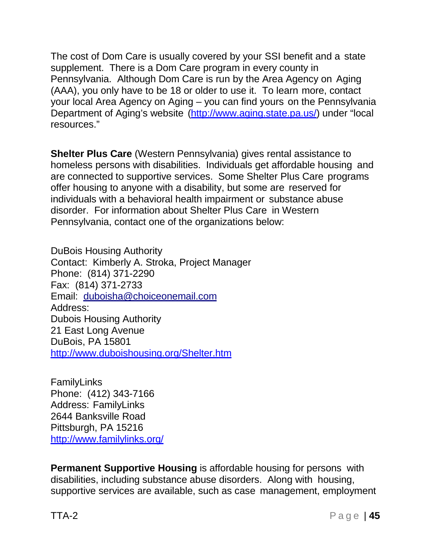The cost of Dom Care is usually covered by your SSI benefit and a state supplement. There is a Dom Care program in every county in Pennsylvania. Although Dom Care is run by the Area Agency on Aging (AAA), you only have to be 18 or older to use it. To learn more, contact your local Area Agency on Aging – you can find yours on the Pennsylvania Department of Aging's website [\(http://www.aging.state.pa.us/\)](http://www.aging.state.pa.us/)) under "local resources."

**Shelter Plus Care** (Western Pennsylvania) gives rental assistance to homeless persons with disabilities. Individuals get affordable housing and are connected to supportive services. Some Shelter Plus Care programs offer housing to anyone with a disability, but some are reserved for individuals with a behavioral health impairment or substance abuse disorder. For information about Shelter Plus Care in Western Pennsylvania, contact one of the organizations below:

DuBois Housing Authority Contact: Kimberly A. Stroka, Project Manager Phone: (814) 371-2290 Fax: (814) 371-2733 Email: [duboisha@choiceonemail.com](mailto:duboisha@choiceonemail.com) Address: Dubois Housing Authority 21 East Long Avenue DuBois, PA 15801 <http://www.duboishousing.org/Shelter.htm>

FamilyLinks Phone: (412) 343-7166 Address: FamilyLinks 2644 Banksville Road Pittsburgh, PA 15216 <http://www.familylinks.org/>

**Permanent Supportive Housing** is affordable housing for persons with disabilities, including substance abuse disorders. Along with housing, supportive services are available, such as case management, employment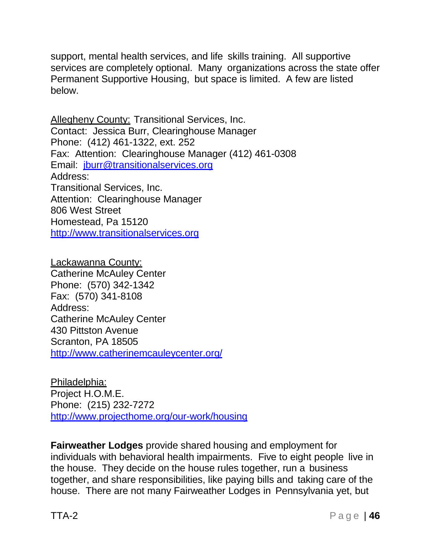support, mental health services, and life skills training. All supportive services are completely optional. Many organizations across the state offer Permanent Supportive Housing, but space is limited. A few are listed below.

Allegheny County: Transitional Services, Inc. Contact: Jessica Burr, Clearinghouse Manager Phone: (412) 461-1322, ext. 252 Fax: Attention: Clearinghouse Manager (412) 461-0308 Email: [jburr@transitionalservices.org](mailto:jburr@transitionalservices.org) Address: Transitional Services, Inc. Attention: Clearinghouse Manager 806 West Street Homestead, Pa 15120 [http://www.transitionalservices.org](http://www.transitionalservices.org/)

Lackawanna County: Catherine McAuley Center Phone: (570) 342-1342 Fax: (570) 341-8108 Address: Catherine McAuley Center 430 Pittston Avenue Scranton, PA 18505 <http://www.catherinemcauleycenter.org/>

Philadelphia: Project H.O.M.E. Phone: (215) 232-7272 <http://www.projecthome.org/our-work/housing>

**Fairweather Lodges** provide shared housing and employment for individuals with behavioral health impairments. Five to eight people live in the house. They decide on the house rules together, run a business together, and share responsibilities, like paying bills and taking care of the house. There are not many Fairweather Lodges in Pennsylvania yet, but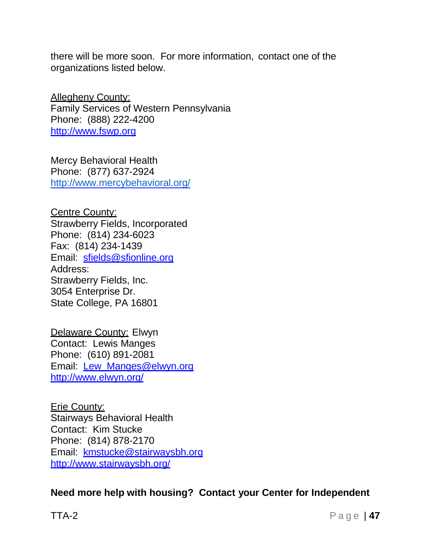there will be more soon. For more information, contact one of the organizations listed below.

Allegheny County: Family Services of Western Pennsylvania Phone: (888) 222-4200 [http://www.fswp.org](http://www.fswp.org/)

Mercy Behavioral Health Phone: (877) 637-2924 <http://www.mercybehavioral.org/>

Centre County: Strawberry Fields, Incorporated Phone: (814) 234-6023 Fax: (814) 234-1439 Email: [sfields@sfionline.org](mailto:sfields@sfionline.org) Address: Strawberry Fields, Inc. 3054 Enterprise Dr. State College, PA 16801

Delaware County: Elwyn Contact: Lewis Manges Phone: (610) 891-2081 Email: [Lew\\_Manges@elwyn.org](mailto:Lew_Manges@elwyn.org) <http://www.elwyn.org/>

Erie County: Stairways Behavioral Health Contact: Kim Stucke Phone: (814) 878-2170 Email: [kmstucke@stairwaysbh.org](mailto:kmstucke@stairwaysbh.org) <http://www.stairwaysbh.org/>

**Need more help with housing? Contact your Center for Independent**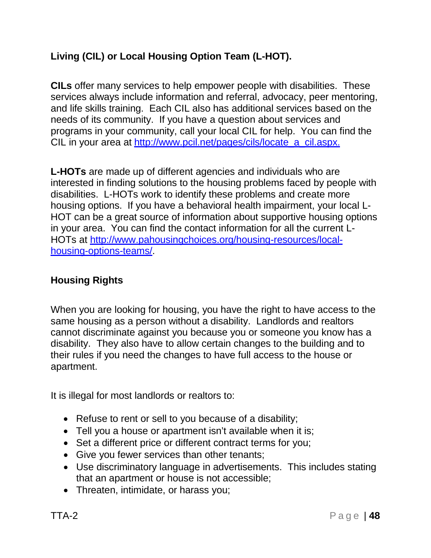# **Living (CIL) or Local Housing Option Team (L-HOT).**

**CILs** offer many services to help empower people with disabilities. These services always include information and referral, advocacy, peer mentoring, and life skills training. Each CIL also has additional services based on the needs of its community. If you have a question about services and programs in your community, call your local CIL for help. You can find the CIL in your area at [http://www.pcil.net/pages/cils/locate\\_a\\_cil.aspx.](http://www.pcil.net/pages/cils/locate_a_cil.aspx)

**L-HOTs** are made up of different agencies and individuals who are interested in finding solutions to the housing problems faced by people with disabilities. L-HOTs work to identify these problems and create more housing options. If you have a behavioral health impairment, your local L-HOT can be a great source of information about supportive housing options in your area. You can find the contact information for all the current L-HOTs at [http://www.pahousingchoices.org/housing-resources/local](http://www.pahousingchoices.org/housing-resources/local-)housing-options-teams/.

## **Housing Rights**

When you are looking for housing, you have the right to have access to the same housing as a person without a disability. Landlords and realtors cannot discriminate against you because you or someone you know has a disability. They also have to allow certain changes to the building and to their rules if you need the changes to have full access to the house or apartment.

It is illegal for most landlords or realtors to:

- Refuse to rent or sell to you because of a disability;
- Tell you a house or apartment isn't available when it is;
- Set a different price or different contract terms for you;
- Give you fewer services than other tenants;
- Use discriminatory language in advertisements. This includes stating that an apartment or house is not accessible;
- Threaten, intimidate, or harass you;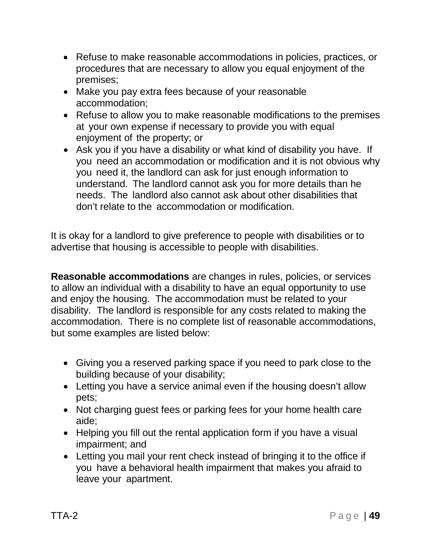- Refuse to make reasonable accommodations in policies, practices, or procedures that are necessary to allow you equal enjoyment of the premises;
- Make you pay extra fees because of your reasonable accommodation;
- Refuse to allow you to make reasonable modifications to the premises at your own expense if necessary to provide you with equal enjoyment of the property; or
- Ask you if you have a disability or what kind of disability you have. If you need an accommodation or modification and it is not obvious why you need it, the landlord can ask for just enough information to understand. The landlord cannot ask you for more details than he needs. The landlord also cannot ask about other disabilities that don't relate to the accommodation or modification.

It is okay for a landlord to give preference to people with disabilities or to advertise that housing is accessible to people with disabilities.

**Reasonable accommodations** are changes in rules, policies, or services to allow an individual with a disability to have an equal opportunity to use and enjoy the housing. The accommodation must be related to your disability. The landlord is responsible for any costs related to making the accommodation. There is no complete list of reasonable accommodations, but some examples are listed below:

- Giving you a reserved parking space if you need to park close to the building because of your disability;
- Letting you have a service animal even if the housing doesn't allow pets;
- Not charging guest fees or parking fees for your home health care aide;
- Helping you fill out the rental application form if you have a visual impairment; and
- Letting you mail your rent check instead of bringing it to the office if you have a behavioral health impairment that makes you afraid to leave your apartment.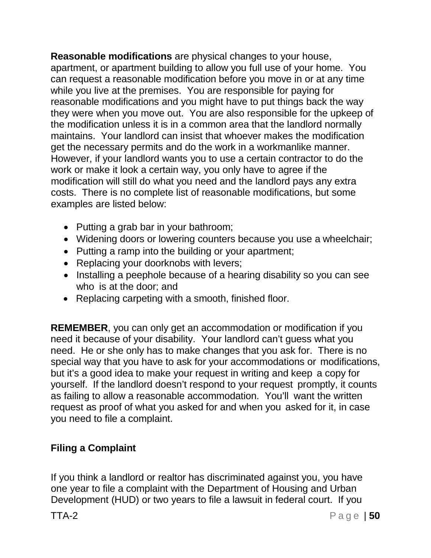**Reasonable modifications** are physical changes to your house, apartment, or apartment building to allow you full use of your home. You can request a reasonable modification before you move in or at any time while you live at the premises. You are responsible for paying for reasonable modifications and you might have to put things back the way they were when you move out. You are also responsible for the upkeep of the modification unless it is in a common area that the landlord normally maintains. Your landlord can insist that whoever makes the modification get the necessary permits and do the work in a workmanlike manner. However, if your landlord wants you to use a certain contractor to do the work or make it look a certain way, you only have to agree if the modification will still do what you need and the landlord pays any extra costs. There is no complete list of reasonable modifications, but some examples are listed below:

- Putting a grab bar in your bathroom;
- Widening doors or lowering counters because you use a wheelchair;
- Putting a ramp into the building or your apartment;
- Replacing your doorknobs with levers;
- Installing a peephole because of a hearing disability so you can see who is at the door; and
- Replacing carpeting with a smooth, finished floor.

**REMEMBER**, you can only get an accommodation or modification if you need it because of your disability. Your landlord can't guess what you need. He or she only has to make changes that you ask for. There is no special way that you have to ask for your accommodations or modifications, but it's a good idea to make your request in writing and keep a copy for yourself. If the landlord doesn't respond to your request promptly, it counts as failing to allow a reasonable accommodation. You'll want the written request as proof of what you asked for and when you asked for it, in case you need to file a complaint.

# **Filing a Complaint**

If you think a landlord or realtor has discriminated against you, you have one year to file a complaint with the Department of Housing and Urban Development (HUD) or two years to file a lawsuit in federal court. If you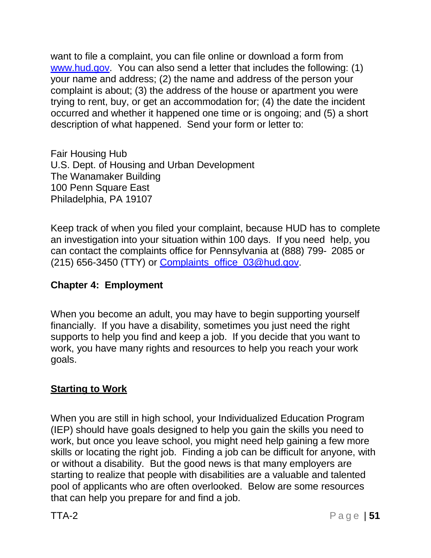want to file a complaint, you can file online or download a form from [www.hud.gov.](http://www.hud.gov/) You can also send a letter that includes the following: (1) your name and address; (2) the name and address of the person your complaint is about; (3) the address of the house or apartment you were trying to rent, buy, or get an accommodation for; (4) the date the incident occurred and whether it happened one time or is ongoing; and (5) a short description of what happened. Send your form or letter to:

Fair Housing Hub U.S. Dept. of Housing and Urban Development The Wanamaker Building 100 Penn Square East Philadelphia, PA 19107

Keep track of when you filed your complaint, because HUD has to complete an investigation into your situation within 100 days. If you need help, you can contact the complaints office for Pennsylvania at (888) 799- 2085 or (215) 656-3450 (TTY) or Complaints office 03@hud.gov.

## **Chapter 4: Employment**

When you become an adult, you may have to begin supporting yourself financially. If you have a disability, sometimes you just need the right supports to help you find and keep a job. If you decide that you want to work, you have many rights and resources to help you reach your work goals.

## **Starting to Work**

When you are still in high school, your Individualized Education Program (IEP) should have goals designed to help you gain the skills you need to work, but once you leave school, you might need help gaining a few more skills or locating the right job. Finding a job can be difficult for anyone, with or without a disability. But the good news is that many employers are starting to realize that people with disabilities are a valuable and talented pool of applicants who are often overlooked. Below are some resources that can help you prepare for and find a job.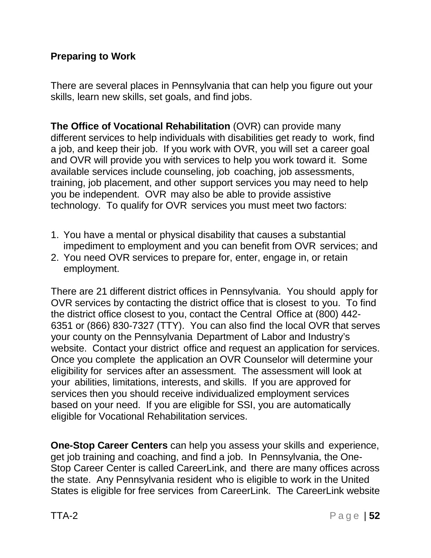## **Preparing to Work**

There are several places in Pennsylvania that can help you figure out your skills, learn new skills, set goals, and find jobs.

**The Office of Vocational Rehabilitation** (OVR) can provide many different services to help individuals with disabilities get ready to work, find a job, and keep their job. If you work with OVR, you will set a career goal and OVR will provide you with services to help you work toward it. Some available services include counseling, job coaching, job assessments, training, job placement, and other support services you may need to help you be independent. OVR may also be able to provide assistive technology. To qualify for OVR services you must meet two factors:

- 1. You have a mental or physical disability that causes a substantial impediment to employment and you can benefit from OVR services; and
- 2. You need OVR services to prepare for, enter, engage in, or retain employment.

There are 21 different district offices in Pennsylvania. You should apply for OVR services by contacting the district office that is closest to you. To find the district office closest to you, contact the Central Office at (800) 442- 6351 or (866) 830-7327 (TTY). You can also find the local OVR that serves your county on the Pennsylvania Department of Labor and Industry's website. Contact your district office and request an application for services. Once you complete the application an OVR Counselor will determine your eligibility for services after an assessment. The assessment will look at your abilities, limitations, interests, and skills. If you are approved for services then you should receive individualized employment services based on your need. If you are eligible for SSI, you are automatically eligible for Vocational Rehabilitation services.

**One-Stop Career Centers** can help you assess your skills and experience, get job training and coaching, and find a job. In Pennsylvania, the One-Stop Career Center is called CareerLink, and there are many offices across the state. Any Pennsylvania resident who is eligible to work in the United States is eligible for free services from CareerLink. The CareerLink website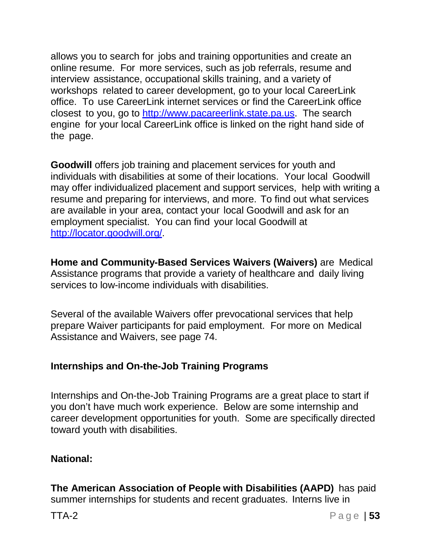allows you to search for jobs and training opportunities and create an online resume. For more services, such as job referrals, resume and interview assistance, occupational skills training, and a variety of workshops related to career development, go to your local CareerLink office. To use CareerLink internet services or find the CareerLink office closest to you, go to [http://www.pacareerlink.state.pa.us.](http://www.pacareerlink.state.pa.us/) The search engine for your local CareerLink office is linked on the right hand side of the page.

**Goodwill** offers job training and placement services for youth and individuals with disabilities at some of their locations. Your local Goodwill may offer individualized placement and support services, help with writing a resume and preparing for interviews, and more. To find out what services are available in your area, contact your local Goodwill and ask for an employment specialist. You can find your local Goodwill at [http://locator.goodwill.org/.](http://locator.goodwill.org/)

**Home and Community-Based Services Waivers (Waivers)** are Medical Assistance programs that provide a variety of healthcare and daily living services to low-income individuals with disabilities.

Several of the available Waivers offer prevocational services that help prepare Waiver participants for paid employment. For more on Medical Assistance and Waivers, see page 74.

## **Internships and On-the-Job Training Programs**

Internships and On-the-Job Training Programs are a great place to start if you don't have much work experience. Below are some internship and career development opportunities for youth. Some are specifically directed toward youth with disabilities.

#### **National:**

**The American Association of People with Disabilities (AAPD)** has paid summer internships for students and recent graduates. Interns live in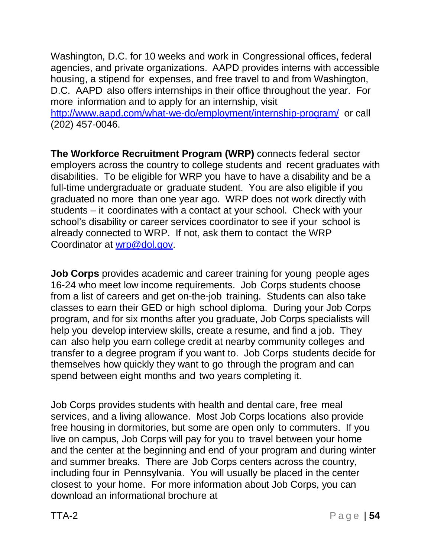Washington, D.C. for 10 weeks and work in Congressional offices, federal agencies, and private organizations. AAPD provides interns with accessible housing, a stipend for expenses, and free travel to and from Washington, D.C. AAPD also offers internships in their office throughout the year. For more information and to apply for an internship, visit

<http://www.aapd.com/what-we-do/employment/internship-program/> or call (202) 457-0046.

**The Workforce Recruitment Program (WRP)** connects federal sector employers across the country to college students and recent graduates with disabilities. To be eligible for WRP you have to have a disability and be a full-time undergraduate or graduate student. You are also eligible if you graduated no more than one year ago. WRP does not work directly with students – it coordinates with a contact at your school. Check with your school's disability or career services coordinator to see if your school is already connected to WRP. If not, ask them to contact the WRP Coordinator at [wrp@dol.gov.](mailto:wrp@dol.gov)

**Job Corps** provides academic and career training for young people ages 16-24 who meet low income requirements. Job Corps students choose from a list of careers and get on-the-job training. Students can also take classes to earn their GED or high school diploma. During your Job Corps program, and for six months after you graduate, Job Corps specialists will help you develop interview skills, create a resume, and find a job. They can also help you earn college credit at nearby community colleges and transfer to a degree program if you want to. Job Corps students decide for themselves how quickly they want to go through the program and can spend between eight months and two years completing it.

Job Corps provides students with health and dental care, free meal services, and a living allowance. Most Job Corps locations also provide free housing in dormitories, but some are open only to commuters. If you live on campus, Job Corps will pay for you to travel between your home and the center at the beginning and end of your program and during winter and summer breaks. There are Job Corps centers across the country, including four in Pennsylvania. You will usually be placed in the center closest to your home. For more information about Job Corps, you can download an informational brochure at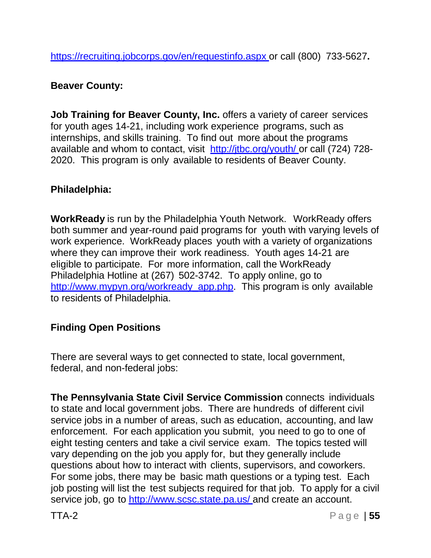https://recruiting.jobcorps.gov/en/requestinfo.aspx or call (800) 733-5627**.**

#### **Beaver County:**

**Job Training for Beaver County, Inc.** offers a variety of career services for youth ages 14-21, including work experience programs, such as internships, and skills training. To find out more about the programs available and whom to contact, visit http://itbc.org/youth/ or call (724) 728-2020. This program is only available to residents of Beaver County.

## **Philadelphia:**

**WorkReady** is run by the Philadelphia Youth Network. WorkReady offers both summer and year-round paid programs for youth with varying levels of work experience. WorkReady places youth with a variety of organizations where they can improve their work readiness. Youth ages 14-21 are eligible to participate. For more information, call the WorkReady Philadelphia Hotline at (267) 502-3742. To apply online, go to [http://www.mypyn.org/workready\\_app.php.](http://www.mypyn.org/workready_app.php) This program is only available to residents of Philadelphia.

# **Finding Open Positions**

There are several ways to get connected to state, local government, federal, and non-federal jobs:

**The Pennsylvania State Civil Service Commission** connects individuals to state and local government jobs. There are hundreds of different civil service jobs in a number of areas, such as education, accounting, and law enforcement. For each application you submit, you need to go to one of eight testing centers and take a civil service exam. The topics tested will vary depending on the job you apply for, but they generally include questions about how to interact with clients, supervisors, and coworkers. For some jobs, there may be basic math questions or a typing test. Each job posting will list the test subjects required for that job. To apply for a civil service job, go to <http://www.scsc.state.pa.us/> and create an account.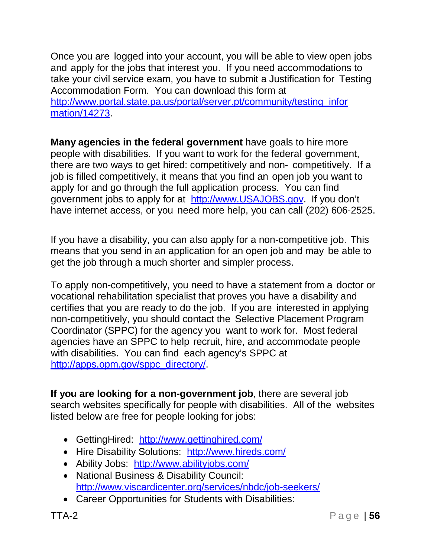Once you are logged into your account, you will be able to view open jobs and apply for the jobs that interest you. If you need accommodations to take your civil service exam, you have to submit a Justification for Testing Accommodation Form. You can download this form at [http://www.portal.state.pa.us/portal/server.pt/community/testing\\_infor](http://www.portal.state.pa.us/portal/server.pt/community/testing_infor) mation/14273.

**Many agencies in the federal government** have goals to hire more people with disabilities. If you want to work for the federal government, there are two ways to get hired: competitively and non- competitively. If a job is filled competitively, it means that you find an open job you want to apply for and go through the full application process. You can find government jobs to apply for at [http://www.USAJOBS.gov.](http://www.usajobs.gov/) If you don't have internet access, or you need more help, you can call (202) 606-2525.

If you have a disability, you can also apply for a non-competitive job. This means that you send in an application for an open job and may be able to get the job through a much shorter and simpler process.

To apply non-competitively, you need to have a statement from a doctor or vocational rehabilitation specialist that proves you have a disability and certifies that you are ready to do the job. If you are interested in applying non-competitively, you should contact the Selective Placement Program Coordinator (SPPC) for the agency you want to work for. Most federal agencies have an SPPC to help recruit, hire, and accommodate people with disabilities. You can find each agency's SPPC at [http://apps.opm.gov/sppc\\_directory/.](http://apps.opm.gov/sppc_directory/)

**If you are looking for a non-government job**, there are several job search websites specifically for people with disabilities. All of the websites listed below are free for people looking for jobs:

- GettingHired: <http://www.gettinghired.com/>
- Hire Disability Solutions: <http://www.hireds.com/>
- Ability Jobs: <http://www.abilityjobs.com/>
- National Business & Disability Council: <http://www.viscardicenter.org/services/nbdc/job-seekers/>
- Career Opportunities for Students with Disabilities: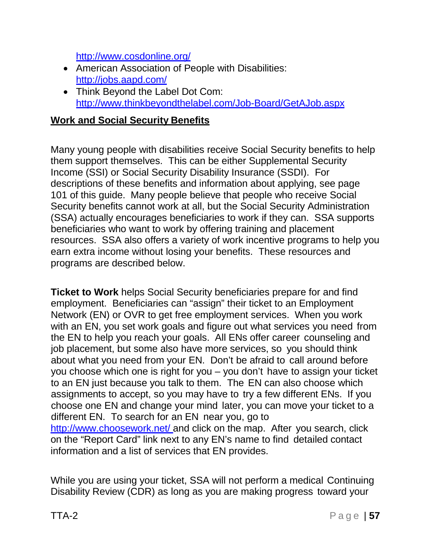<http://www.cosdonline.org/>

- American Association of People with Disabilities: <http://jobs.aapd.com/>
- Think Beyond the Label Dot Com: <http://www.thinkbeyondthelabel.com/Job-Board/GetAJob.aspx>

#### **Work and Social Security Benefits**

Many young people with disabilities receive Social Security benefits to help them support themselves. This can be either Supplemental Security Income (SSI) or Social Security Disability Insurance (SSDI). For descriptions of these benefits and information about applying, see page 101 of this guide. Many people believe that people who receive Social Security benefits cannot work at all, but the Social Security Administration (SSA) actually encourages beneficiaries to work if they can. SSA supports beneficiaries who want to work by offering training and placement resources. SSA also offers a variety of work incentive programs to help you earn extra income without losing your benefits. These resources and programs are described below.

**Ticket to Work** helps Social Security beneficiaries prepare for and find employment. Beneficiaries can "assign" their ticket to an Employment Network (EN) or OVR to get free employment services. When you work with an EN, you set work goals and figure out what services you need from the EN to help you reach your goals. All ENs offer career counseling and job placement, but some also have more services, so you should think about what you need from your EN. Don't be afraid to call around before you choose which one is right for you – you don't have to assign your ticket to an EN just because you talk to them. The EN can also choose which assignments to accept, so you may have to try a few different ENs. If you choose one EN and change your mind later, you can move your ticket to a different EN. To search for an EN near you, go to <http://www.choosework.net/> and click on the map. After you search, click on the "Report Card" link next to any EN's name to find detailed contact information and a list of services that EN provides.

While you are using your ticket, SSA will not perform a medical Continuing Disability Review (CDR) as long as you are making progress toward your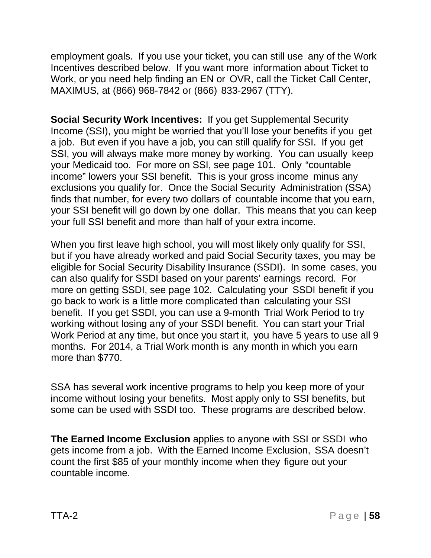employment goals. If you use your ticket, you can still use any of the Work Incentives described below. If you want more information about Ticket to Work, or you need help finding an EN or OVR, call the Ticket Call Center, MAXIMUS, at (866) 968-7842 or (866) 833-2967 (TTY).

**Social Security Work Incentives:** If you get Supplemental Security Income (SSI), you might be worried that you'll lose your benefits if you get a job. But even if you have a job, you can still qualify for SSI. If you get SSI, you will always make more money by working. You can usually keep your Medicaid too. For more on SSI, see page 101. Only "countable income" lowers your SSI benefit. This is your gross income minus any exclusions you qualify for. Once the Social Security Administration (SSA) finds that number, for every two dollars of countable income that you earn, your SSI benefit will go down by one dollar. This means that you can keep your full SSI benefit and more than half of your extra income.

When you first leave high school, you will most likely only qualify for SSI, but if you have already worked and paid Social Security taxes, you may be eligible for Social Security Disability Insurance (SSDI). In some cases, you can also qualify for SSDI based on your parents' earnings record. For more on getting SSDI, see page 102. Calculating your SSDI benefit if you go back to work is a little more complicated than calculating your SSI benefit. If you get SSDI, you can use a 9-month Trial Work Period to try working without losing any of your SSDI benefit. You can start your Trial Work Period at any time, but once you start it, you have 5 years to use all 9 months. For 2014, a Trial Work month is any month in which you earn more than \$770.

SSA has several work incentive programs to help you keep more of your income without losing your benefits. Most apply only to SSI benefits, but some can be used with SSDI too. These programs are described below.

**The Earned Income Exclusion** applies to anyone with SSI or SSDI who gets income from a job. With the Earned Income Exclusion, SSA doesn't count the first \$85 of your monthly income when they figure out your countable income.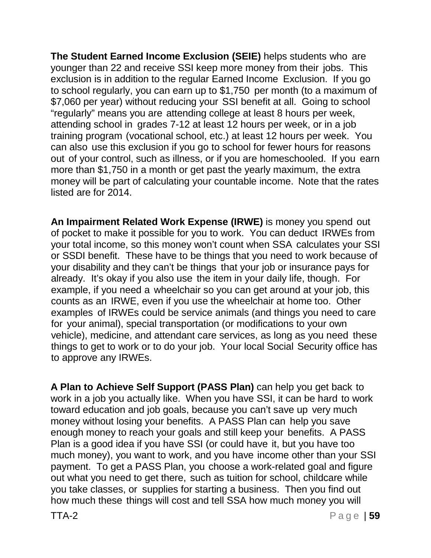**The Student Earned Income Exclusion (SEIE)** helps students who are younger than 22 and receive SSI keep more money from their jobs. This exclusion is in addition to the regular Earned Income Exclusion. If you go to school regularly, you can earn up to \$1,750 per month (to a maximum of \$7,060 per year) without reducing your SSI benefit at all. Going to school "regularly" means you are attending college at least 8 hours per week, attending school in grades 7-12 at least 12 hours per week, or in a job training program (vocational school, etc.) at least 12 hours per week. You can also use this exclusion if you go to school for fewer hours for reasons out of your control, such as illness, or if you are homeschooled. If you earn more than \$1,750 in a month or get past the yearly maximum, the extra money will be part of calculating your countable income. Note that the rates listed are for 2014.

**An Impairment Related Work Expense (IRWE)** is money you spend out of pocket to make it possible for you to work. You can deduct IRWEs from your total income, so this money won't count when SSA calculates your SSI or SSDI benefit. These have to be things that you need to work because of your disability and they can't be things that your job or insurance pays for already. It's okay if you also use the item in your daily life, though. For example, if you need a wheelchair so you can get around at your job, this counts as an IRWE, even if you use the wheelchair at home too. Other examples of IRWEs could be service animals (and things you need to care for your animal), special transportation (or modifications to your own vehicle), medicine, and attendant care services, as long as you need these things to get to work or to do your job. Your local Social Security office has to approve any IRWEs.

**A Plan to Achieve Self Support (PASS Plan)** can help you get back to work in a job you actually like. When you have SSI, it can be hard to work toward education and job goals, because you can't save up very much money without losing your benefits. A PASS Plan can help you save enough money to reach your goals and still keep your benefits. A PASS Plan is a good idea if you have SSI (or could have it, but you have too much money), you want to work, and you have income other than your SSI payment. To get a PASS Plan, you choose a work-related goal and figure out what you need to get there, such as tuition for school, childcare while you take classes, or supplies for starting a business. Then you find out how much these things will cost and tell SSA how much money you will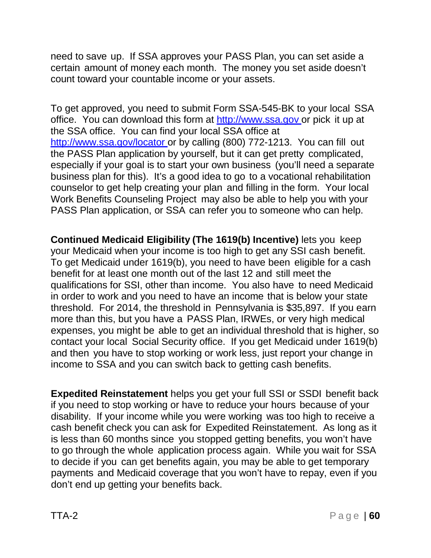need to save up. If SSA approves your PASS Plan, you can set aside a certain amount of money each month. The money you set aside doesn't count toward your countable income or your assets.

To get approved, you need to submit Form SSA-545-BK to your local SSA office. You can download this form at [http://www.ssa.gov](http://www.ssa.gov/) or pick it up at the SSA office. You can find your local SSA office at <http://www.ssa.gov/locator> or by calling (800) 772-1213. You can fill out the PASS Plan application by yourself, but it can get pretty complicated, especially if your goal is to start your own business (you'll need a separate business plan for this). It's a good idea to go to a vocational rehabilitation counselor to get help creating your plan and filling in the form. Your local Work Benefits Counseling Project may also be able to help you with your PASS Plan application, or SSA can refer you to someone who can help.

**Continued Medicaid Eligibility (The 1619(b) Incentive)** lets you keep your Medicaid when your income is too high to get any SSI cash benefit. To get Medicaid under 1619(b), you need to have been eligible for a cash benefit for at least one month out of the last 12 and still meet the qualifications for SSI, other than income. You also have to need Medicaid in order to work and you need to have an income that is below your state threshold. For 2014, the threshold in Pennsylvania is \$35,897. If you earn more than this, but you have a PASS Plan, IRWEs, or very high medical expenses, you might be able to get an individual threshold that is higher, so contact your local Social Security office. If you get Medicaid under 1619(b) and then you have to stop working or work less, just report your change in income to SSA and you can switch back to getting cash benefits.

**Expedited Reinstatement** helps you get your full SSI or SSDI benefit back if you need to stop working or have to reduce your hours because of your disability. If your income while you were working was too high to receive a cash benefit check you can ask for Expedited Reinstatement. As long as it is less than 60 months since you stopped getting benefits, you won't have to go through the whole application process again. While you wait for SSA to decide if you can get benefits again, you may be able to get temporary payments and Medicaid coverage that you won't have to repay, even if you don't end up getting your benefits back.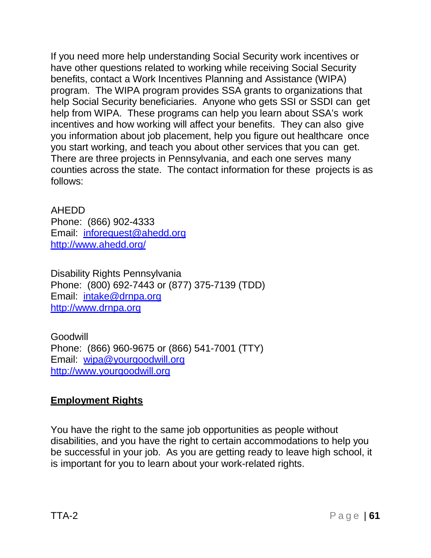If you need more help understanding Social Security work incentives or have other questions related to working while receiving Social Security benefits, contact a Work Incentives Planning and Assistance (WIPA) program. The WIPA program provides SSA grants to organizations that help Social Security beneficiaries. Anyone who gets SSI or SSDI can get help from WIPA. These programs can help you learn about SSA's work incentives and how working will affect your benefits. They can also give you information about job placement, help you figure out healthcare once you start working, and teach you about other services that you can get. There are three projects in Pennsylvania, and each one serves many counties across the state. The contact information for these projects is as follows:

AHEDD Phone: (866) 902-4333 Email: [inforequest@ahedd.org](mailto:inforequest@ahedd.org) <http://www.ahedd.org/>

Disability Rights Pennsylvania Phone: (800) 692-7443 or (877) 375-7139 (TDD) Email: [intake@drnpa.org](mailto:intake@drnpa.org) [http://www.drnpa.org](http://www.drnpa.org/)

Goodwill Phone: (866) 960-9675 or (866) 541-7001 (TTY) Email: [wipa@yourgoodwill.org](mailto:wipa@yourgoodwill.org) [http://www.yourgoodwill.org](http://www.yourgoodwill.org/)

# **Employment Rights**

You have the right to the same job opportunities as people without disabilities, and you have the right to certain accommodations to help you be successful in your job. As you are getting ready to leave high school, it is important for you to learn about your work-related rights.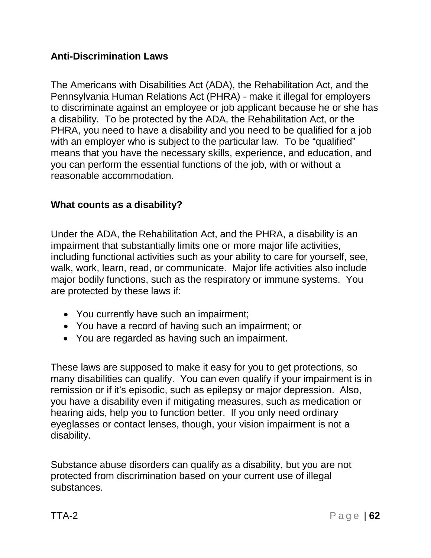## **Anti-Discrimination Laws**

The Americans with Disabilities Act (ADA), the Rehabilitation Act, and the Pennsylvania Human Relations Act (PHRA) - make it illegal for employers to discriminate against an employee or job applicant because he or she has a disability. To be protected by the ADA, the Rehabilitation Act, or the PHRA, you need to have a disability and you need to be qualified for a job with an employer who is subject to the particular law. To be "qualified" means that you have the necessary skills, experience, and education, and you can perform the essential functions of the job, with or without a reasonable accommodation.

#### **What counts as a disability?**

Under the ADA, the Rehabilitation Act, and the PHRA, a disability is an impairment that substantially limits one or more major life activities, including functional activities such as your ability to care for yourself, see, walk, work, learn, read, or communicate. Major life activities also include major bodily functions, such as the respiratory or immune systems. You are protected by these laws if:

- You currently have such an impairment;
- You have a record of having such an impairment; or
- You are regarded as having such an impairment.

These laws are supposed to make it easy for you to get protections, so many disabilities can qualify. You can even qualify if your impairment is in remission or if it's episodic, such as epilepsy or major depression. Also, you have a disability even if mitigating measures, such as medication or hearing aids, help you to function better. If you only need ordinary eyeglasses or contact lenses, though, your vision impairment is not a disability.

Substance abuse disorders can qualify as a disability, but you are not protected from discrimination based on your current use of illegal substances.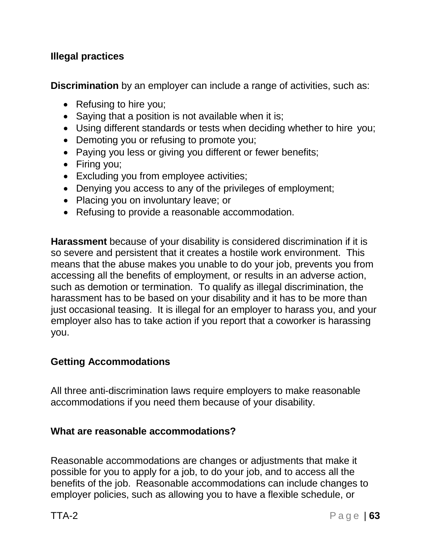## **Illegal practices**

**Discrimination** by an employer can include a range of activities, such as:

- Refusing to hire you;
- Saying that a position is not available when it is;
- Using different standards or tests when deciding whether to hire you;
- Demoting you or refusing to promote you;
- Paying you less or giving you different or fewer benefits;
- Firing you;
- Excluding you from employee activities;
- Denying you access to any of the privileges of employment;
- Placing you on involuntary leave; or
- Refusing to provide a reasonable accommodation.

**Harassment** because of your disability is considered discrimination if it is so severe and persistent that it creates a hostile work environment. This means that the abuse makes you unable to do your job, prevents you from accessing all the benefits of employment, or results in an adverse action, such as demotion or termination. To qualify as illegal discrimination, the harassment has to be based on your disability and it has to be more than just occasional teasing. It is illegal for an employer to harass you, and your employer also has to take action if you report that a coworker is harassing you.

## **Getting Accommodations**

All three anti-discrimination laws require employers to make reasonable accommodations if you need them because of your disability.

#### **What are reasonable accommodations?**

Reasonable accommodations are changes or adjustments that make it possible for you to apply for a job, to do your job, and to access all the benefits of the job. Reasonable accommodations can include changes to employer policies, such as allowing you to have a flexible schedule, or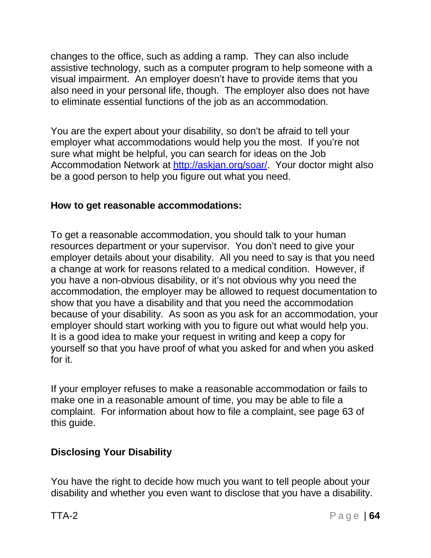changes to the office, such as adding a ramp. They can also include assistive technology, such as a computer program to help someone with a visual impairment. An employer doesn't have to provide items that you also need in your personal life, though. The employer also does not have to eliminate essential functions of the job as an accommodation.

You are the expert about your disability, so don't be afraid to tell your employer what accommodations would help you the most. If you're not sure what might be helpful, you can search for ideas on the Job Accommodation Network at http://askian.org/soar/. Your doctor might also be a good person to help you figure out what you need.

## **How to get reasonable accommodations:**

To get a reasonable accommodation, you should talk to your human resources department or your supervisor. You don't need to give your employer details about your disability. All you need to say is that you need a change at work for reasons related to a medical condition. However, if you have a non-obvious disability, or it's not obvious why you need the accommodation, the employer may be allowed to request documentation to show that you have a disability and that you need the accommodation because of your disability. As soon as you ask for an accommodation, your employer should start working with you to figure out what would help you. It is a good idea to make your request in writing and keep a copy for yourself so that you have proof of what you asked for and when you asked for it.

If your employer refuses to make a reasonable accommodation or fails to make one in a reasonable amount of time, you may be able to file a complaint. For information about how to file a complaint, see page 63 of this guide.

# **Disclosing Your Disability**

You have the right to decide how much you want to tell people about your disability and whether you even want to disclose that you have a disability.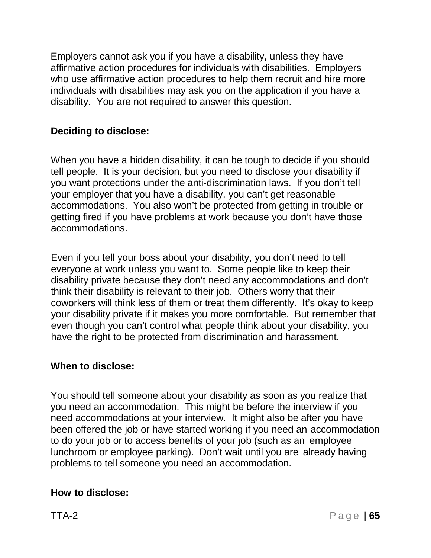Employers cannot ask you if you have a disability, unless they have affirmative action procedures for individuals with disabilities. Employers who use affirmative action procedures to help them recruit and hire more individuals with disabilities may ask you on the application if you have a disability. You are not required to answer this question.

## **Deciding to disclose:**

When you have a hidden disability, it can be tough to decide if you should tell people. It is your decision, but you need to disclose your disability if you want protections under the anti-discrimination laws. If you don't tell your employer that you have a disability, you can't get reasonable accommodations. You also won't be protected from getting in trouble or getting fired if you have problems at work because you don't have those accommodations.

Even if you tell your boss about your disability, you don't need to tell everyone at work unless you want to. Some people like to keep their disability private because they don't need any accommodations and don't think their disability is relevant to their job. Others worry that their coworkers will think less of them or treat them differently. It's okay to keep your disability private if it makes you more comfortable. But remember that even though you can't control what people think about your disability, you have the right to be protected from discrimination and harassment.

#### **When to disclose:**

You should tell someone about your disability as soon as you realize that you need an accommodation. This might be before the interview if you need accommodations at your interview. It might also be after you have been offered the job or have started working if you need an accommodation to do your job or to access benefits of your job (such as an employee lunchroom or employee parking). Don't wait until you are already having problems to tell someone you need an accommodation.

#### **How to disclose:**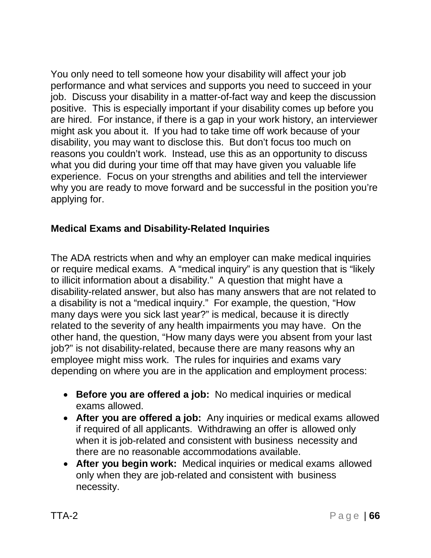You only need to tell someone how your disability will affect your job performance and what services and supports you need to succeed in your job. Discuss your disability in a matter-of-fact way and keep the discussion positive. This is especially important if your disability comes up before you are hired. For instance, if there is a gap in your work history, an interviewer might ask you about it. If you had to take time off work because of your disability, you may want to disclose this. But don't focus too much on reasons you couldn't work. Instead, use this as an opportunity to discuss what you did during your time off that may have given you valuable life experience. Focus on your strengths and abilities and tell the interviewer why you are ready to move forward and be successful in the position you're applying for.

# **Medical Exams and Disability-Related Inquiries**

The ADA restricts when and why an employer can make medical inquiries or require medical exams. A "medical inquiry" is any question that is "likely to illicit information about a disability." A question that might have a disability-related answer, but also has many answers that are not related to a disability is not a "medical inquiry." For example, the question, "How many days were you sick last year?" is medical, because it is directly related to the severity of any health impairments you may have. On the other hand, the question, "How many days were you absent from your last job?" is not disability-related, because there are many reasons why an employee might miss work. The rules for inquiries and exams vary depending on where you are in the application and employment process:

- **Before you are offered a job:** No medical inquiries or medical exams allowed.
- **After you are offered a job:** Any inquiries or medical exams allowed if required of all applicants. Withdrawing an offer is allowed only when it is job-related and consistent with business necessity and there are no reasonable accommodations available.
- **After you begin work:** Medical inquiries or medical exams allowed only when they are job-related and consistent with business necessity.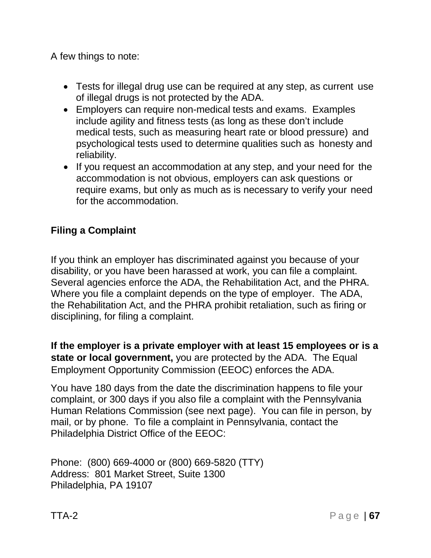A few things to note:

- Tests for illegal drug use can be required at any step, as current use of illegal drugs is not protected by the ADA.
- Employers can require non-medical tests and exams. Examples include agility and fitness tests (as long as these don't include medical tests, such as measuring heart rate or blood pressure) and psychological tests used to determine qualities such as honesty and reliability.
- If you request an accommodation at any step, and your need for the accommodation is not obvious, employers can ask questions or require exams, but only as much as is necessary to verify your need for the accommodation.

## **Filing a Complaint**

If you think an employer has discriminated against you because of your disability, or you have been harassed at work, you can file a complaint. Several agencies enforce the ADA, the Rehabilitation Act, and the PHRA. Where you file a complaint depends on the type of employer. The ADA, the Rehabilitation Act, and the PHRA prohibit retaliation, such as firing or disciplining, for filing a complaint.

**If the employer is a private employer with at least 15 employees or is a state or local government,** you are protected by the ADA. The Equal Employment Opportunity Commission (EEOC) enforces the ADA.

You have 180 days from the date the discrimination happens to file your complaint, or 300 days if you also file a complaint with the Pennsylvania Human Relations Commission (see next page). You can file in person, by mail, or by phone. To file a complaint in Pennsylvania, contact the Philadelphia District Office of the EEOC:

Phone: (800) 669-4000 or (800) 669-5820 (TTY) Address: 801 Market Street, Suite 1300 Philadelphia, PA 19107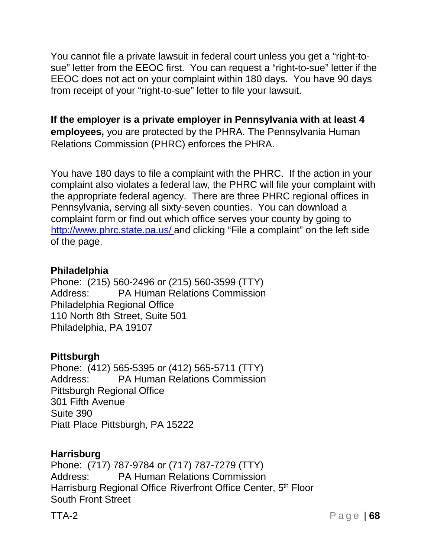You cannot file a private lawsuit in federal court unless you get a "right-tosue" letter from the EEOC first. You can request a "right-to-sue" letter if the EEOC does not act on your complaint within 180 days. You have 90 days from receipt of your "right-to-sue" letter to file your lawsuit.

**If the employer is a private employer in Pennsylvania with at least 4 employees,** you are protected by the PHRA. The Pennsylvania Human Relations Commission (PHRC) enforces the PHRA.

You have 180 days to file a complaint with the PHRC. If the action in your complaint also violates a federal law, the PHRC will file your complaint with the appropriate federal agency. There are three PHRC regional offices in Pennsylvania, serving all sixty-seven counties. You can download a complaint form or find out which office serves your county by going to <http://www.phrc.state.pa.us/> and clicking "File a complaint" on the left side of the page.

#### **Philadelphia**

Phone: (215) 560-2496 or (215) 560-3599 (TTY) Address: PA Human Relations Commission Philadelphia Regional Office 110 North 8th Street, Suite 501 Philadelphia, PA 19107

#### **Pittsburgh**

Phone: (412) 565-5395 or (412) 565-5711 (TTY) Address: PA Human Relations Commission Pittsburgh Regional Office 301 Fifth Avenue Suite 390 Piatt Place Pittsburgh, PA 15222

#### **Harrisburg**

Phone: (717) 787-9784 or (717) 787-7279 (TTY) Address: PA Human Relations Commission Harrisburg Regional Office Riverfront Office Center, 5<sup>th</sup> Floor South Front Street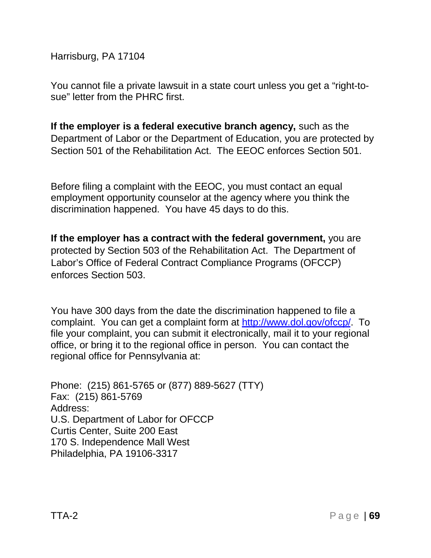Harrisburg, PA 17104

You cannot file a private lawsuit in a state court unless you get a "right-tosue" letter from the PHRC first.

**If the employer is a federal executive branch agency,** such as the Department of Labor or the Department of Education, you are protected by Section 501 of the Rehabilitation Act. The EEOC enforces Section 501.

Before filing a complaint with the EEOC, you must contact an equal employment opportunity counselor at the agency where you think the discrimination happened. You have 45 days to do this.

**If the employer has a contract with the federal government,** you are protected by Section 503 of the Rehabilitation Act. The Department of Labor's Office of Federal Contract Compliance Programs (OFCCP) enforces Section 503.

You have 300 days from the date the discrimination happened to file a complaint. You can get a complaint form at [http://www.dol.gov/ofccp/.](http://www.dol.gov/ofccp/) To file your complaint, you can submit it electronically, mail it to your regional office, or bring it to the regional office in person. You can contact the regional office for Pennsylvania at:

Phone: (215) 861-5765 or (877) 889-5627 (TTY) Fax: (215) 861-5769 Address: U.S. Department of Labor for OFCCP Curtis Center, Suite 200 East 170 S. Independence Mall West Philadelphia, PA 19106-3317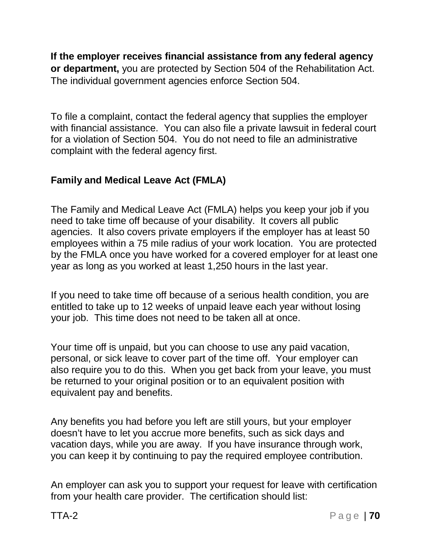**If the employer receives financial assistance from any federal agency or department,** you are protected by Section 504 of the Rehabilitation Act. The individual government agencies enforce Section 504.

To file a complaint, contact the federal agency that supplies the employer with financial assistance. You can also file a private lawsuit in federal court for a violation of Section 504. You do not need to file an administrative complaint with the federal agency first.

## **Family and Medical Leave Act (FMLA)**

The Family and Medical Leave Act (FMLA) helps you keep your job if you need to take time off because of your disability. It covers all public agencies. It also covers private employers if the employer has at least 50 employees within a 75 mile radius of your work location. You are protected by the FMLA once you have worked for a covered employer for at least one year as long as you worked at least 1,250 hours in the last year.

If you need to take time off because of a serious health condition, you are entitled to take up to 12 weeks of unpaid leave each year without losing your job. This time does not need to be taken all at once.

Your time off is unpaid, but you can choose to use any paid vacation, personal, or sick leave to cover part of the time off. Your employer can also require you to do this. When you get back from your leave, you must be returned to your original position or to an equivalent position with equivalent pay and benefits.

Any benefits you had before you left are still yours, but your employer doesn't have to let you accrue more benefits, such as sick days and vacation days, while you are away. If you have insurance through work, you can keep it by continuing to pay the required employee contribution.

An employer can ask you to support your request for leave with certification from your health care provider. The certification should list: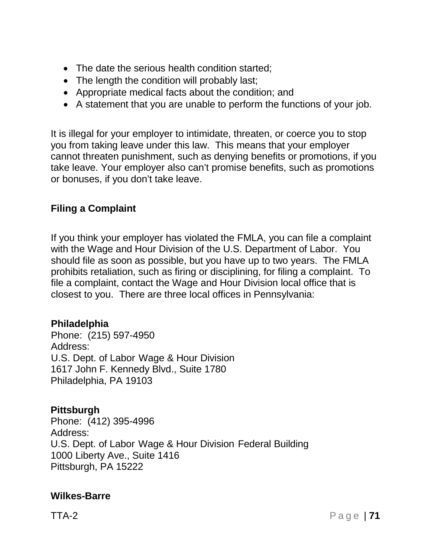- The date the serious health condition started:
- The length the condition will probably last;
- Appropriate medical facts about the condition; and
- A statement that you are unable to perform the functions of your job.

It is illegal for your employer to intimidate, threaten, or coerce you to stop you from taking leave under this law. This means that your employer cannot threaten punishment, such as denying benefits or promotions, if you take leave. Your employer also can't promise benefits, such as promotions or bonuses, if you don't take leave.

#### **Filing a Complaint**

If you think your employer has violated the FMLA, you can file a complaint with the Wage and Hour Division of the U.S. Department of Labor. You should file as soon as possible, but you have up to two years. The FMLA prohibits retaliation, such as firing or disciplining, for filing a complaint. To file a complaint, contact the Wage and Hour Division local office that is closest to you. There are three local offices in Pennsylvania:

#### **Philadelphia**

Phone: (215) 597-4950 Address: U.S. Dept. of Labor Wage & Hour Division 1617 John F. Kennedy Blvd., Suite 1780 Philadelphia, PA 19103

#### **Pittsburgh**

Phone: (412) 395-4996 Address: U.S. Dept. of Labor Wage & Hour Division Federal Building 1000 Liberty Ave., Suite 1416 Pittsburgh, PA 15222

#### **Wilkes-Barre**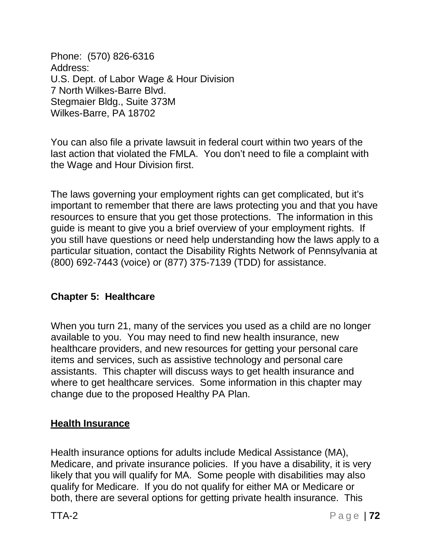Phone: (570) 826-6316 Address: U.S. Dept. of Labor Wage & Hour Division 7 North Wilkes-Barre Blvd. Stegmaier Bldg., Suite 373M Wilkes-Barre, PA 18702

You can also file a private lawsuit in federal court within two years of the last action that violated the FMLA. You don't need to file a complaint with the Wage and Hour Division first.

The laws governing your employment rights can get complicated, but it's important to remember that there are laws protecting you and that you have resources to ensure that you get those protections. The information in this guide is meant to give you a brief overview of your employment rights. If you still have questions or need help understanding how the laws apply to a particular situation, contact the Disability Rights Network of Pennsylvania at (800) 692-7443 (voice) or (877) 375-7139 (TDD) for assistance.

## **Chapter 5: Healthcare**

When you turn 21, many of the services you used as a child are no longer available to you. You may need to find new health insurance, new healthcare providers, and new resources for getting your personal care items and services, such as assistive technology and personal care assistants. This chapter will discuss ways to get health insurance and where to get healthcare services. Some information in this chapter may change due to the proposed Healthy PA Plan.

## **Health Insurance**

Health insurance options for adults include Medical Assistance (MA), Medicare, and private insurance policies. If you have a disability, it is very likely that you will qualify for MA. Some people with disabilities may also qualify for Medicare. If you do not qualify for either MA or Medicare or both, there are several options for getting private health insurance. This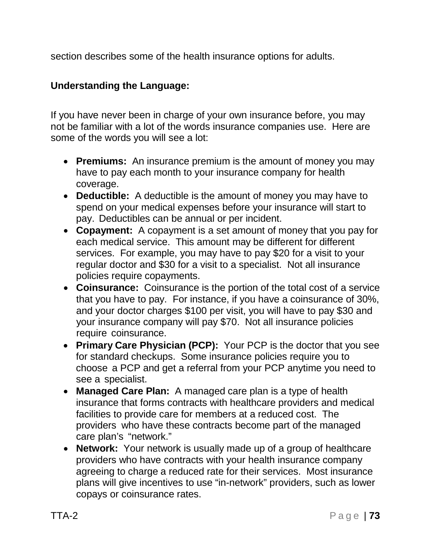section describes some of the health insurance options for adults.

#### **Understanding the Language:**

If you have never been in charge of your own insurance before, you may not be familiar with a lot of the words insurance companies use. Here are some of the words you will see a lot:

- **Premiums:** An insurance premium is the amount of money you may have to pay each month to your insurance company for health coverage.
- **Deductible:** A deductible is the amount of money you may have to spend on your medical expenses before your insurance will start to pay. Deductibles can be annual or per incident.
- **Copayment:** A copayment is a set amount of money that you pay for each medical service. This amount may be different for different services. For example, you may have to pay \$20 for a visit to your regular doctor and \$30 for a visit to a specialist. Not all insurance policies require copayments.
- **Coinsurance:** Coinsurance is the portion of the total cost of a service that you have to pay. For instance, if you have a coinsurance of 30%, and your doctor charges \$100 per visit, you will have to pay \$30 and your insurance company will pay \$70. Not all insurance policies require coinsurance.
- **Primary Care Physician (PCP):** Your PCP is the doctor that you see for standard checkups. Some insurance policies require you to choose a PCP and get a referral from your PCP anytime you need to see a specialist.
- **Managed Care Plan:** A managed care plan is a type of health insurance that forms contracts with healthcare providers and medical facilities to provide care for members at a reduced cost. The providers who have these contracts become part of the managed care plan's "network."
- **Network:** Your network is usually made up of a group of healthcare providers who have contracts with your health insurance company agreeing to charge a reduced rate for their services. Most insurance plans will give incentives to use "in-network" providers, such as lower copays or coinsurance rates.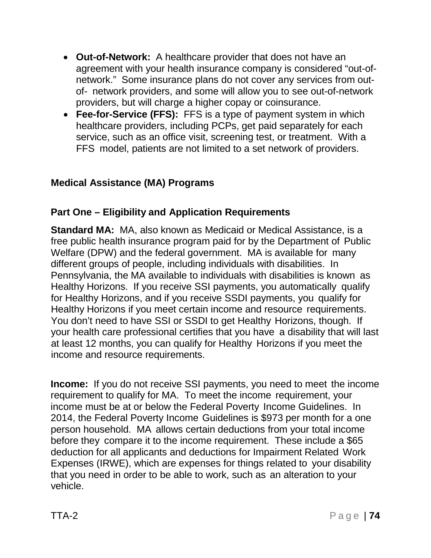- **Out-of-Network:** A healthcare provider that does not have an agreement with your health insurance company is considered "out-ofnetwork." Some insurance plans do not cover any services from outof- network providers, and some will allow you to see out-of-network providers, but will charge a higher copay or coinsurance.
- **Fee-for-Service (FFS):** FFS is a type of payment system in which healthcare providers, including PCPs, get paid separately for each service, such as an office visit, screening test, or treatment. With a FFS model, patients are not limited to a set network of providers.

## **Medical Assistance (MA) Programs**

#### **Part One – Eligibility and Application Requirements**

**Standard MA:** MA, also known as Medicaid or Medical Assistance, is a free public health insurance program paid for by the Department of Public Welfare (DPW) and the federal government. MA is available for many different groups of people, including individuals with disabilities. In Pennsylvania, the MA available to individuals with disabilities is known as Healthy Horizons. If you receive SSI payments, you automatically qualify for Healthy Horizons, and if you receive SSDI payments, you qualify for Healthy Horizons if you meet certain income and resource requirements. You don't need to have SSI or SSDI to get Healthy Horizons, though. If your health care professional certifies that you have a disability that will last at least 12 months, you can qualify for Healthy Horizons if you meet the income and resource requirements.

**Income:** If you do not receive SSI payments, you need to meet the income requirement to qualify for MA. To meet the income requirement, your income must be at or below the Federal Poverty Income Guidelines. In 2014, the Federal Poverty Income Guidelines is \$973 per month for a one person household. MA allows certain deductions from your total income before they compare it to the income requirement. These include a \$65 deduction for all applicants and deductions for Impairment Related Work Expenses (IRWE), which are expenses for things related to your disability that you need in order to be able to work, such as an alteration to your vehicle.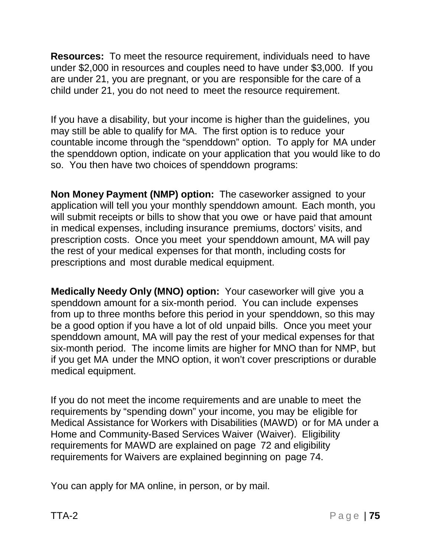**Resources:** To meet the resource requirement, individuals need to have under \$2,000 in resources and couples need to have under \$3,000. If you are under 21, you are pregnant, or you are responsible for the care of a child under 21, you do not need to meet the resource requirement.

If you have a disability, but your income is higher than the guidelines, you may still be able to qualify for MA. The first option is to reduce your countable income through the "spenddown" option. To apply for MA under the spenddown option, indicate on your application that you would like to do so. You then have two choices of spenddown programs:

**Non Money Payment (NMP) option:** The caseworker assigned to your application will tell you your monthly spenddown amount. Each month, you will submit receipts or bills to show that you owe or have paid that amount in medical expenses, including insurance premiums, doctors' visits, and prescription costs. Once you meet your spenddown amount, MA will pay the rest of your medical expenses for that month, including costs for prescriptions and most durable medical equipment.

**Medically Needy Only (MNO) option:** Your caseworker will give you a spenddown amount for a six-month period. You can include expenses from up to three months before this period in your spenddown, so this may be a good option if you have a lot of old unpaid bills. Once you meet your spenddown amount, MA will pay the rest of your medical expenses for that six-month period. The income limits are higher for MNO than for NMP, but if you get MA under the MNO option, it won't cover prescriptions or durable medical equipment.

If you do not meet the income requirements and are unable to meet the requirements by "spending down" your income, you may be eligible for Medical Assistance for Workers with Disabilities (MAWD) or for MA under a Home and Community-Based Services Waiver (Waiver). Eligibility requirements for MAWD are explained on page 72 and eligibility requirements for Waivers are explained beginning on page 74.

You can apply for MA online, in person, or by mail.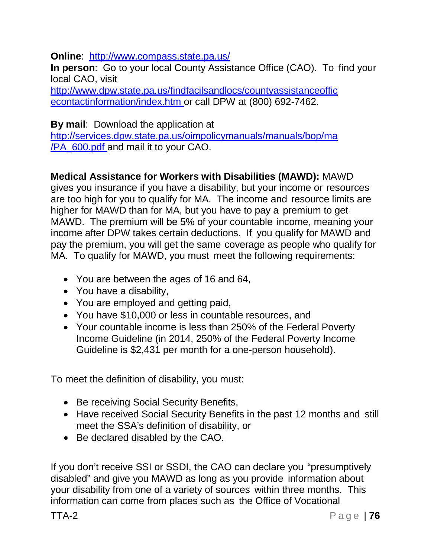**Online**: <http://www.compass.state.pa.us/>

**In person**: Go to your local County Assistance Office (CAO). To find your local CAO, visit

<http://www.dpw.state.pa.us/findfacilsandlocs/countyassistanceoffic> econtactinformation/index.htm or call DPW at (800) 692-7462.

**By mail**: Download the application at

<http://services.dpw.state.pa.us/oimpolicymanuals/manuals/bop/ma> /PA\_600.pdf and mail it to your CAO.

# **Medical Assistance for Workers with Disabilities (MAWD):** MAWD

gives you insurance if you have a disability, but your income or resources are too high for you to qualify for MA. The income and resource limits are higher for MAWD than for MA, but you have to pay a premium to get MAWD. The premium will be 5% of your countable income, meaning your income after DPW takes certain deductions. If you qualify for MAWD and pay the premium, you will get the same coverage as people who qualify for MA. To qualify for MAWD, you must meet the following requirements:

- You are between the ages of 16 and 64,
- You have a disability,
- You are employed and getting paid,
- You have \$10,000 or less in countable resources, and
- Your countable income is less than 250% of the Federal Poverty Income Guideline (in 2014, 250% of the Federal Poverty Income Guideline is \$2,431 per month for a one-person household).

To meet the definition of disability, you must:

- Be receiving Social Security Benefits,
- Have received Social Security Benefits in the past 12 months and still meet the SSA's definition of disability, or
- Be declared disabled by the CAO.

If you don't receive SSI or SSDI, the CAO can declare you "presumptively disabled" and give you MAWD as long as you provide information about your disability from one of a variety of sources within three months. This information can come from places such as the Office of Vocational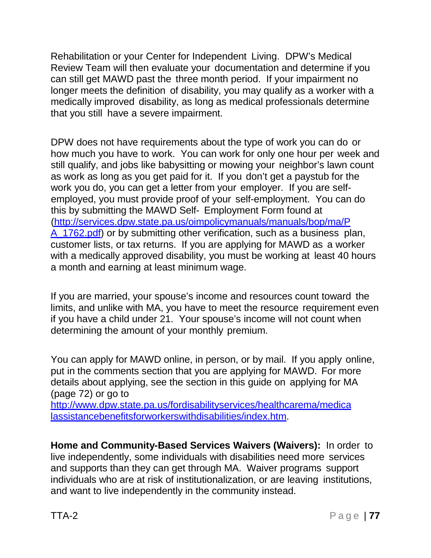Rehabilitation or your Center for Independent Living. DPW's Medical Review Team will then evaluate your documentation and determine if you can still get MAWD past the three month period. If your impairment no longer meets the definition of disability, you may qualify as a worker with a medically improved disability, as long as medical professionals determine that you still have a severe impairment.

DPW does not have requirements about the type of work you can do or how much you have to work. You can work for only one hour per week and still qualify, and jobs like babysitting or mowing your neighbor's lawn count as work as long as you get paid for it. If you don't get a paystub for the work you do, you can get a letter from your employer. If you are selfemployed, you must provide proof of your self-employment. You can do this by submitting the MAWD Self- Employment Form found at [\(http://services.dpw.state.pa.us/oimpolicymanuals/manuals/bop/ma/P](http://services.dpw.state.pa.us/oimpolicymanuals/manuals/bop/ma/P) A 1762.pdf) or by submitting other verification, such as a business plan, customer lists, or tax returns. If you are applying for MAWD as a worker with a medically approved disability, you must be working at least 40 hours a month and earning at least minimum wage.

If you are married, your spouse's income and resources count toward the limits, and unlike with MA, you have to meet the resource requirement even if you have a child under 21. Your spouse's income will not count when determining the amount of your monthly premium.

You can apply for MAWD online, in person, or by mail. If you apply online, put in the comments section that you are applying for MAWD. For more details about applying, see the section in this guide on applying for MA (page 72) or go to

<http://www.dpw.state.pa.us/fordisabilityservices/healthcarema/medica> lassistancebenefitsforworkerswithdisabilities/index.htm.

**Home and Community-Based Services Waivers (Waivers):** In order to live independently, some individuals with disabilities need more services and supports than they can get through MA. Waiver programs support individuals who are at risk of institutionalization, or are leaving institutions, and want to live independently in the community instead.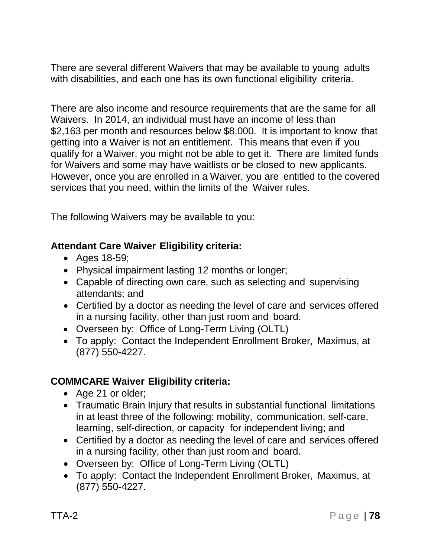There are several different Waivers that may be available to young adults with disabilities, and each one has its own functional eligibility criteria.

There are also income and resource requirements that are the same for all Waivers. In 2014, an individual must have an income of less than \$2,163 per month and resources below \$8,000. It is important to know that getting into a Waiver is not an entitlement. This means that even if you qualify for a Waiver, you might not be able to get it. There are limited funds for Waivers and some may have waitlists or be closed to new applicants. However, once you are enrolled in a Waiver, you are entitled to the covered services that you need, within the limits of the Waiver rules.

The following Waivers may be available to you:

#### **Attendant Care Waiver Eligibility criteria:**

- Ages 18-59;
- Physical impairment lasting 12 months or longer;
- Capable of directing own care, such as selecting and supervising attendants; and
- Certified by a doctor as needing the level of care and services offered in a nursing facility, other than just room and board.
- Overseen by: Office of Long-Term Living (OLTL)
- To apply: Contact the Independent Enrollment Broker, Maximus, at (877) 550-4227.

# **COMMCARE Waiver Eligibility criteria:**

- Age 21 or older;
- Traumatic Brain Injury that results in substantial functional limitations in at least three of the following: mobility, communication, self-care, learning, self-direction, or capacity for independent living; and
- Certified by a doctor as needing the level of care and services offered in a nursing facility, other than just room and board.
- Overseen by: Office of Long-Term Living (OLTL)
- To apply: Contact the Independent Enrollment Broker, Maximus, at (877) 550-4227.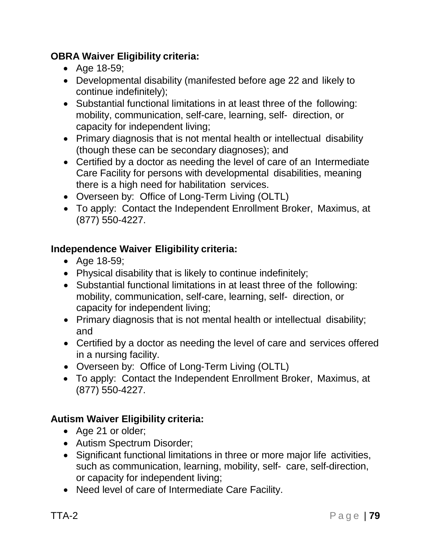# **OBRA Waiver Eligibility criteria:**

- Age 18-59;
- Developmental disability (manifested before age 22 and likely to continue indefinitely);
- Substantial functional limitations in at least three of the following: mobility, communication, self-care, learning, self- direction, or capacity for independent living;
- Primary diagnosis that is not mental health or intellectual disability (though these can be secondary diagnoses); and
- Certified by a doctor as needing the level of care of an Intermediate Care Facility for persons with developmental disabilities, meaning there is a high need for habilitation services.
- Overseen by: Office of Long-Term Living (OLTL)
- To apply: Contact the Independent Enrollment Broker, Maximus, at (877) 550-4227.

# **Independence Waiver Eligibility criteria:**

- Age 18-59;
- Physical disability that is likely to continue indefinitely;
- Substantial functional limitations in at least three of the following: mobility, communication, self-care, learning, self- direction, or capacity for independent living;
- Primary diagnosis that is not mental health or intellectual disability; and
- Certified by a doctor as needing the level of care and services offered in a nursing facility.
- Overseen by: Office of Long-Term Living (OLTL)
- To apply: Contact the Independent Enrollment Broker, Maximus, at (877) 550-4227.

# **Autism Waiver Eligibility criteria:**

- Age 21 or older;
- Autism Spectrum Disorder;
- Significant functional limitations in three or more major life activities, such as communication, learning, mobility, self- care, self-direction, or capacity for independent living;
- Need level of care of Intermediate Care Facility.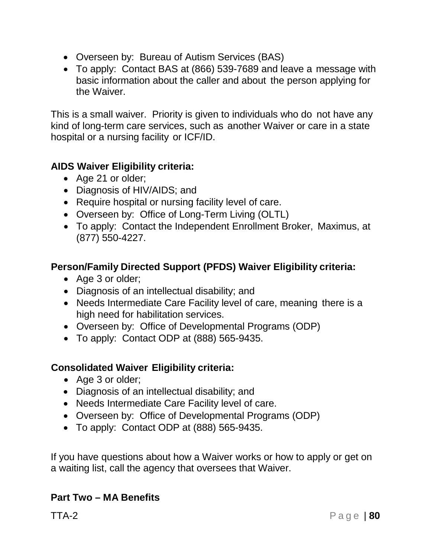- Overseen by: Bureau of Autism Services (BAS)
- To apply: Contact BAS at (866) 539-7689 and leave a message with basic information about the caller and about the person applying for the Waiver.

This is a small waiver. Priority is given to individuals who do not have any kind of long-term care services, such as another Waiver or care in a state hospital or a nursing facility or ICF/ID.

# **AIDS Waiver Eligibility criteria:**

- Age 21 or older;
- Diagnosis of HIV/AIDS; and
- Require hospital or nursing facility level of care.
- Overseen by: Office of Long-Term Living (OLTL)
- To apply: Contact the Independent Enrollment Broker, Maximus, at (877) 550-4227.

## **Person/Family Directed Support (PFDS) Waiver Eligibility criteria:**

- Age 3 or older;
- Diagnosis of an intellectual disability; and
- Needs Intermediate Care Facility level of care, meaning there is a high need for habilitation services.
- Overseen by: Office of Developmental Programs (ODP)
- To apply: Contact ODP at (888) 565-9435.

#### **Consolidated Waiver Eligibility criteria:**

- Age 3 or older;
- Diagnosis of an intellectual disability; and
- Needs Intermediate Care Facility level of care.
- Overseen by: Office of Developmental Programs (ODP)
- To apply: Contact ODP at (888) 565-9435.

If you have questions about how a Waiver works or how to apply or get on a waiting list, call the agency that oversees that Waiver.

# **Part Two – MA Benefits**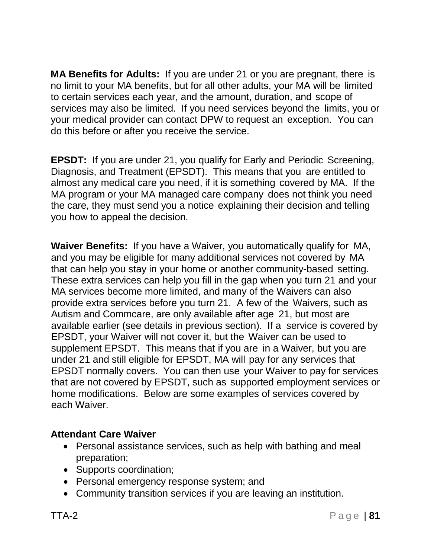**MA Benefits for Adults:** If you are under 21 or you are pregnant, there is no limit to your MA benefits, but for all other adults, your MA will be limited to certain services each year, and the amount, duration, and scope of services may also be limited. If you need services beyond the limits, you or your medical provider can contact DPW to request an exception. You can do this before or after you receive the service.

**EPSDT:** If you are under 21, you qualify for Early and Periodic Screening, Diagnosis, and Treatment (EPSDT). This means that you are entitled to almost any medical care you need, if it is something covered by MA. If the MA program or your MA managed care company does not think you need the care, they must send you a notice explaining their decision and telling you how to appeal the decision.

**Waiver Benefits:** If you have a Waiver, you automatically qualify for MA, and you may be eligible for many additional services not covered by MA that can help you stay in your home or another community-based setting. These extra services can help you fill in the gap when you turn 21 and your MA services become more limited, and many of the Waivers can also provide extra services before you turn 21. A few of the Waivers, such as Autism and Commcare, are only available after age 21, but most are available earlier (see details in previous section). If a service is covered by EPSDT, your Waiver will not cover it, but the Waiver can be used to supplement EPSDT. This means that if you are in a Waiver, but you are under 21 and still eligible for EPSDT, MA will pay for any services that EPSDT normally covers. You can then use your Waiver to pay for services that are not covered by EPSDT, such as supported employment services or home modifications. Below are some examples of services covered by each Waiver.

#### **Attendant Care Waiver**

- Personal assistance services, such as help with bathing and meal preparation;
- Supports coordination;
- Personal emergency response system; and
- Community transition services if you are leaving an institution.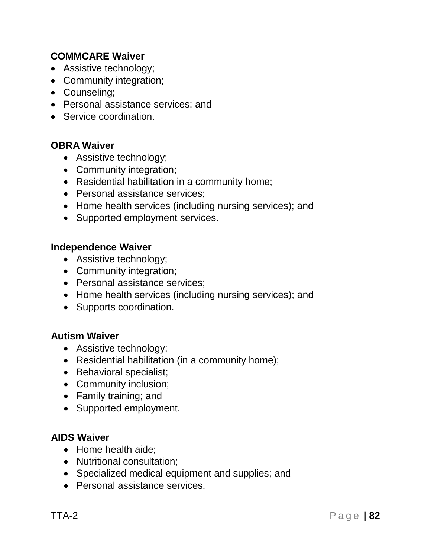#### **COMMCARE Waiver**

- Assistive technology;
- Community integration;
- Counseling;
- Personal assistance services; and
- Service coordination.

#### **OBRA Waiver**

- Assistive technology;
- Community integration;
- Residential habilitation in a community home;
- Personal assistance services;
- Home health services (including nursing services); and
- Supported employment services.

#### **Independence Waiver**

- Assistive technology;
- Community integration;
- Personal assistance services:
- Home health services (including nursing services); and
- Supports coordination.

#### **Autism Waiver**

- Assistive technology;
- Residential habilitation (in a community home);
- Behavioral specialist;
- Community inclusion;
- Family training; and
- Supported employment.

#### **AIDS Waiver**

- Home health aide;
- Nutritional consultation;
- Specialized medical equipment and supplies; and
- Personal assistance services.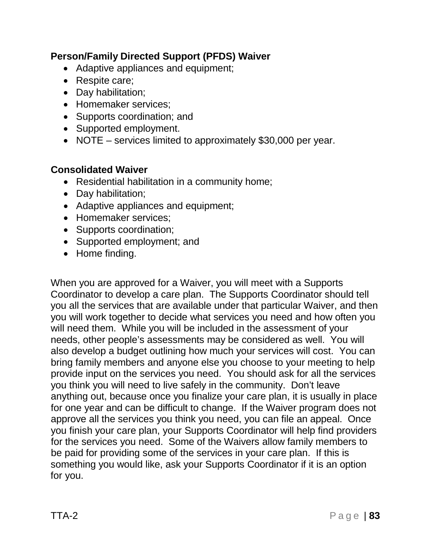#### **Person/Family Directed Support (PFDS) Waiver**

- Adaptive appliances and equipment;
- Respite care;
- Day habilitation;
- Homemaker services;
- Supports coordination; and
- Supported employment.
- NOTE services limited to approximately \$30,000 per year.

#### **Consolidated Waiver**

- Residential habilitation in a community home;
- Day habilitation;
- Adaptive appliances and equipment;
- Homemaker services;
- Supports coordination:
- Supported employment; and
- Home finding.

When you are approved for a Waiver, you will meet with a Supports Coordinator to develop a care plan. The Supports Coordinator should tell you all the services that are available under that particular Waiver, and then you will work together to decide what services you need and how often you will need them. While you will be included in the assessment of your needs, other people's assessments may be considered as well. You will also develop a budget outlining how much your services will cost. You can bring family members and anyone else you choose to your meeting to help provide input on the services you need. You should ask for all the services you think you will need to live safely in the community. Don't leave anything out, because once you finalize your care plan, it is usually in place for one year and can be difficult to change. If the Waiver program does not approve all the services you think you need, you can file an appeal. Once you finish your care plan, your Supports Coordinator will help find providers for the services you need. Some of the Waivers allow family members to be paid for providing some of the services in your care plan. If this is something you would like, ask your Supports Coordinator if it is an option for you.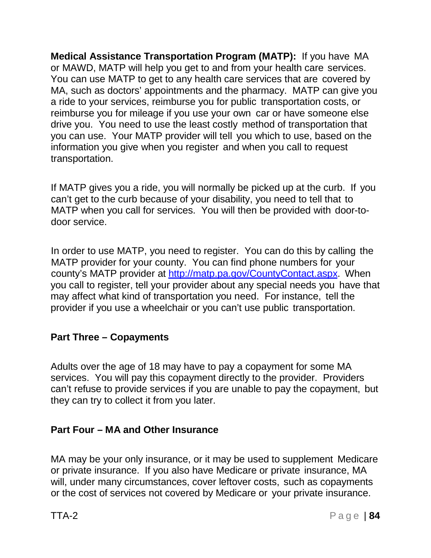**Medical Assistance Transportation Program (MATP):** If you have MA or MAWD, MATP will help you get to and from your health care services. You can use MATP to get to any health care services that are covered by MA, such as doctors' appointments and the pharmacy. MATP can give you a ride to your services, reimburse you for public transportation costs, or reimburse you for mileage if you use your own car or have someone else drive you. You need to use the least costly method of transportation that you can use. Your MATP provider will tell you which to use, based on the information you give when you register and when you call to request transportation.

If MATP gives you a ride, you will normally be picked up at the curb. If you can't get to the curb because of your disability, you need to tell that to MATP when you call for services. You will then be provided with door-todoor service.

In order to use MATP, you need to register. You can do this by calling the MATP provider for your county. You can find phone numbers for your county's MATP provider at [http://matp.pa.gov/CountyContact.aspx.](http://matp.pa.gov/CountyContact.aspx) When you call to register, tell your provider about any special needs you have that may affect what kind of transportation you need. For instance, tell the provider if you use a wheelchair or you can't use public transportation.

#### **Part Three – Copayments**

Adults over the age of 18 may have to pay a copayment for some MA services. You will pay this copayment directly to the provider. Providers can't refuse to provide services if you are unable to pay the copayment, but they can try to collect it from you later.

#### **Part Four – MA and Other Insurance**

MA may be your only insurance, or it may be used to supplement Medicare or private insurance. If you also have Medicare or private insurance, MA will, under many circumstances, cover leftover costs, such as copayments or the cost of services not covered by Medicare or your private insurance.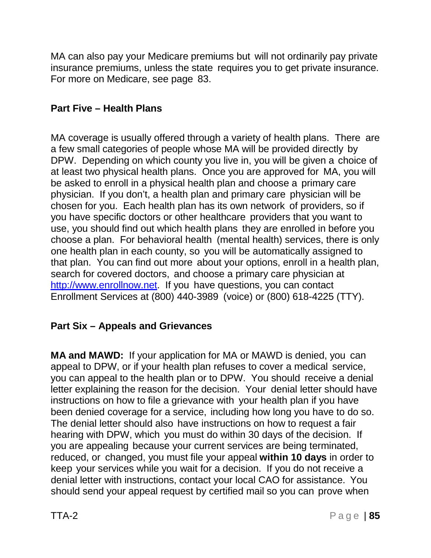MA can also pay your Medicare premiums but will not ordinarily pay private insurance premiums, unless the state requires you to get private insurance. For more on Medicare, see page 83.

# **Part Five – Health Plans**

MA coverage is usually offered through a variety of health plans. There are a few small categories of people whose MA will be provided directly by DPW. Depending on which county you live in, you will be given a choice of at least two physical health plans. Once you are approved for MA, you will be asked to enroll in a physical health plan and choose a primary care physician. If you don't, a health plan and primary care physician will be chosen for you. Each health plan has its own network of providers, so if you have specific doctors or other healthcare providers that you want to use, you should find out which health plans they are enrolled in before you choose a plan. For behavioral health (mental health) services, there is only one health plan in each county, so you will be automatically assigned to that plan. You can find out more about your options, enroll in a health plan, search for covered doctors, and choose a primary care physician at [http://www.enrollnow.net.](http://www.enrollnow.net/) If you have questions, you can contact Enrollment Services at (800) 440-3989 (voice) or (800) 618-4225 (TTY).

# **Part Six – Appeals and Grievances**

**MA and MAWD:** If your application for MA or MAWD is denied, you can appeal to DPW, or if your health plan refuses to cover a medical service, you can appeal to the health plan or to DPW. You should receive a denial letter explaining the reason for the decision. Your denial letter should have instructions on how to file a grievance with your health plan if you have been denied coverage for a service, including how long you have to do so. The denial letter should also have instructions on how to request a fair hearing with DPW, which you must do within 30 days of the decision. If you are appealing because your current services are being terminated, reduced, or changed, you must file your appeal **within 10 days** in order to keep your services while you wait for a decision. If you do not receive a denial letter with instructions, contact your local CAO for assistance. You should send your appeal request by certified mail so you can prove when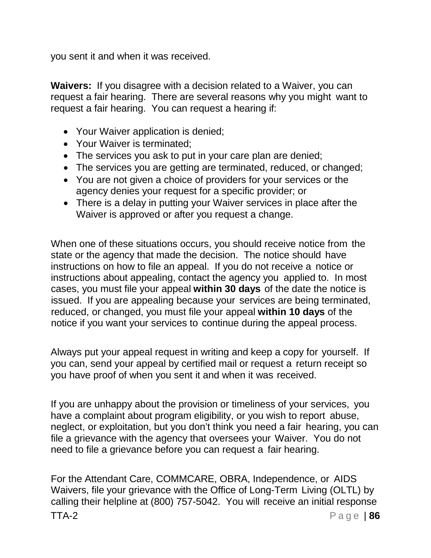you sent it and when it was received.

**Waivers:** If you disagree with a decision related to a Waiver, you can request a fair hearing. There are several reasons why you might want to request a fair hearing. You can request a hearing if:

- Your Waiver application is denied;
- Your Waiver is terminated;
- The services you ask to put in your care plan are denied;
- The services you are getting are terminated, reduced, or changed;
- You are not given a choice of providers for your services or the agency denies your request for a specific provider; or
- There is a delay in putting your Waiver services in place after the Waiver is approved or after you request a change.

When one of these situations occurs, you should receive notice from the state or the agency that made the decision. The notice should have instructions on how to file an appeal. If you do not receive a notice or instructions about appealing, contact the agency you applied to. In most cases, you must file your appeal **within 30 days** of the date the notice is issued. If you are appealing because your services are being terminated, reduced, or changed, you must file your appeal **within 10 days** of the notice if you want your services to continue during the appeal process.

Always put your appeal request in writing and keep a copy for yourself. If you can, send your appeal by certified mail or request a return receipt so you have proof of when you sent it and when it was received.

If you are unhappy about the provision or timeliness of your services, you have a complaint about program eligibility, or you wish to report abuse, neglect, or exploitation, but you don't think you need a fair hearing, you can file a grievance with the agency that oversees your Waiver. You do not need to file a grievance before you can request a fair hearing.

TTA-2 Page | **86** For the Attendant Care, COMMCARE, OBRA, Independence, or AIDS Waivers, file your grievance with the Office of Long-Term Living (OLTL) by calling their helpline at (800) 757-5042. You will receive an initial response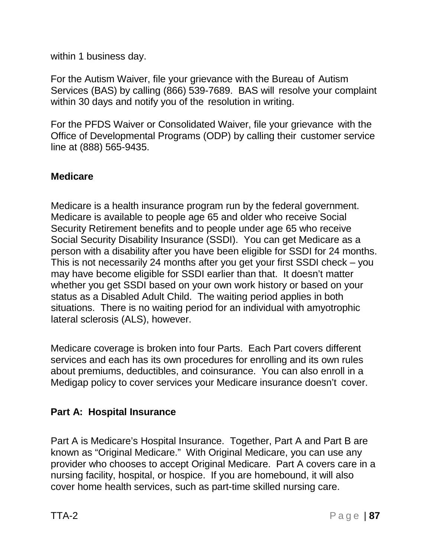within 1 business day.

For the Autism Waiver, file your grievance with the Bureau of Autism Services (BAS) by calling (866) 539-7689. BAS will resolve your complaint within 30 days and notify you of the resolution in writing.

For the PFDS Waiver or Consolidated Waiver, file your grievance with the Office of Developmental Programs (ODP) by calling their customer service line at (888) 565-9435.

## **Medicare**

Medicare is a health insurance program run by the federal government. Medicare is available to people age 65 and older who receive Social Security Retirement benefits and to people under age 65 who receive Social Security Disability Insurance (SSDI). You can get Medicare as a person with a disability after you have been eligible for SSDI for 24 months. This is not necessarily 24 months after you get your first SSDI check – you may have become eligible for SSDI earlier than that. It doesn't matter whether you get SSDI based on your own work history or based on your status as a Disabled Adult Child. The waiting period applies in both situations. There is no waiting period for an individual with amyotrophic lateral sclerosis (ALS), however.

Medicare coverage is broken into four Parts. Each Part covers different services and each has its own procedures for enrolling and its own rules about premiums, deductibles, and coinsurance. You can also enroll in a Medigap policy to cover services your Medicare insurance doesn't cover.

# **Part A: Hospital Insurance**

Part A is Medicare's Hospital Insurance. Together, Part A and Part B are known as "Original Medicare." With Original Medicare, you can use any provider who chooses to accept Original Medicare. Part A covers care in a nursing facility, hospital, or hospice. If you are homebound, it will also cover home health services, such as part-time skilled nursing care.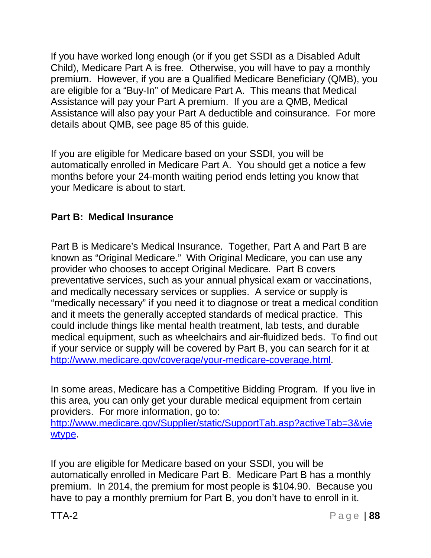If you have worked long enough (or if you get SSDI as a Disabled Adult Child), Medicare Part A is free. Otherwise, you will have to pay a monthly premium. However, if you are a Qualified Medicare Beneficiary (QMB), you are eligible for a "Buy-In" of Medicare Part A. This means that Medical Assistance will pay your Part A premium. If you are a QMB, Medical Assistance will also pay your Part A deductible and coinsurance. For more details about QMB, see page 85 of this guide.

If you are eligible for Medicare based on your SSDI, you will be automatically enrolled in Medicare Part A. You should get a notice a few months before your 24-month waiting period ends letting you know that your Medicare is about to start.

## **Part B: Medical Insurance**

Part B is Medicare's Medical Insurance. Together, Part A and Part B are known as "Original Medicare." With Original Medicare, you can use any provider who chooses to accept Original Medicare. Part B covers preventative services, such as your annual physical exam or vaccinations, and medically necessary services or supplies. A service or supply is "medically necessary" if you need it to diagnose or treat a medical condition and it meets the generally accepted standards of medical practice. This could include things like mental health treatment, lab tests, and durable medical equipment, such as wheelchairs and air-fluidized beds. To find out if your service or supply will be covered by Part B, you can search for it at [http://www.medicare.gov/coverage/your-medicare-coverage.html.](http://www.medicare.gov/coverage/your-medicare-coverage.html)

In some areas, Medicare has a Competitive Bidding Program. If you live in this area, you can only get your durable medical equipment from certain providers. For more information, go to: <http://www.medicare.gov/Supplier/static/SupportTab.asp?activeTab=3&vie> wtype.

If you are eligible for Medicare based on your SSDI, you will be automatically enrolled in Medicare Part B. Medicare Part B has a monthly premium. In 2014, the premium for most people is \$104.90. Because you have to pay a monthly premium for Part B, you don't have to enroll in it.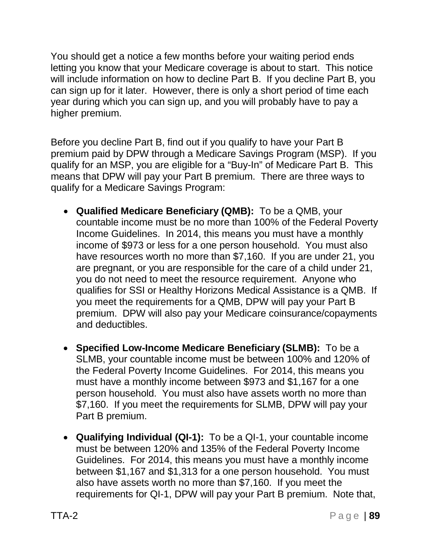You should get a notice a few months before your waiting period ends letting you know that your Medicare coverage is about to start. This notice will include information on how to decline Part B. If you decline Part B, you can sign up for it later. However, there is only a short period of time each year during which you can sign up, and you will probably have to pay a higher premium.

Before you decline Part B, find out if you qualify to have your Part B premium paid by DPW through a Medicare Savings Program (MSP). If you qualify for an MSP, you are eligible for a "Buy-In" of Medicare Part B. This means that DPW will pay your Part B premium. There are three ways to qualify for a Medicare Savings Program:

- **Qualified Medicare Beneficiary (QMB):** To be a QMB, your countable income must be no more than 100% of the Federal Poverty Income Guidelines. In 2014, this means you must have a monthly income of \$973 or less for a one person household. You must also have resources worth no more than \$7,160. If you are under 21, you are pregnant, or you are responsible for the care of a child under 21, you do not need to meet the resource requirement. Anyone who qualifies for SSI or Healthy Horizons Medical Assistance is a QMB. If you meet the requirements for a QMB, DPW will pay your Part B premium. DPW will also pay your Medicare coinsurance/copayments and deductibles.
- **Specified Low-Income Medicare Beneficiary (SLMB):** To be a SLMB, your countable income must be between 100% and 120% of the Federal Poverty Income Guidelines. For 2014, this means you must have a monthly income between \$973 and \$1,167 for a one person household. You must also have assets worth no more than \$7,160. If you meet the requirements for SLMB, DPW will pay your Part B premium.
- **Qualifying Individual (QI-1):** To be a QI-1, your countable income must be between 120% and 135% of the Federal Poverty Income Guidelines. For 2014, this means you must have a monthly income between \$1,167 and \$1,313 for a one person household. You must also have assets worth no more than \$7,160. If you meet the requirements for QI-1, DPW will pay your Part B premium. Note that,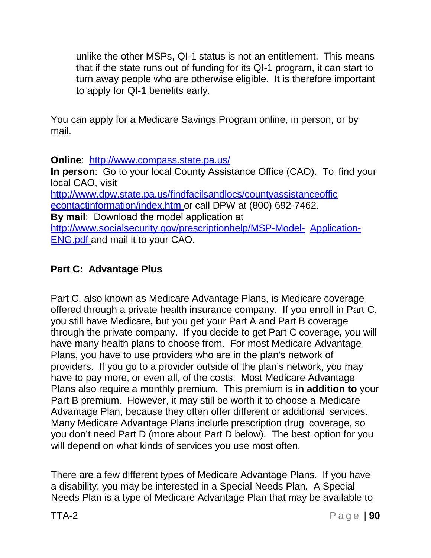unlike the other MSPs, QI-1 status is not an entitlement. This means that if the state runs out of funding for its QI-1 program, it can start to turn away people who are otherwise eligible. It is therefore important to apply for QI-1 benefits early.

You can apply for a Medicare Savings Program online, in person, or by mail.

**Online**: <http://www.compass.state.pa.us/>

**In person**: Go to your local County Assistance Office (CAO). To find your local CAO, visit

<http://www.dpw.state.pa.us/findfacilsandlocs/countyassistanceoffic> econtactinformation/index.htm or call DPW at (800) 692-7462. **By mail**: Download the model application at <http://www.socialsecurity.gov/prescriptionhelp/MSP-Model-> Application-ENG.pdf and mail it to your CAO.

# **Part C: Advantage Plus**

Part C, also known as Medicare Advantage Plans, is Medicare coverage offered through a private health insurance company. If you enroll in Part C, you still have Medicare, but you get your Part A and Part B coverage through the private company. If you decide to get Part C coverage, you will have many health plans to choose from. For most Medicare Advantage Plans, you have to use providers who are in the plan's network of providers. If you go to a provider outside of the plan's network, you may have to pay more, or even all, of the costs. Most Medicare Advantage Plans also require a monthly premium. This premium is **in addition to** your Part B premium. However, it may still be worth it to choose a Medicare Advantage Plan, because they often offer different or additional services. Many Medicare Advantage Plans include prescription drug coverage, so you don't need Part D (more about Part D below). The best option for you will depend on what kinds of services you use most often.

There are a few different types of Medicare Advantage Plans. If you have a disability, you may be interested in a Special Needs Plan. A Special Needs Plan is a type of Medicare Advantage Plan that may be available to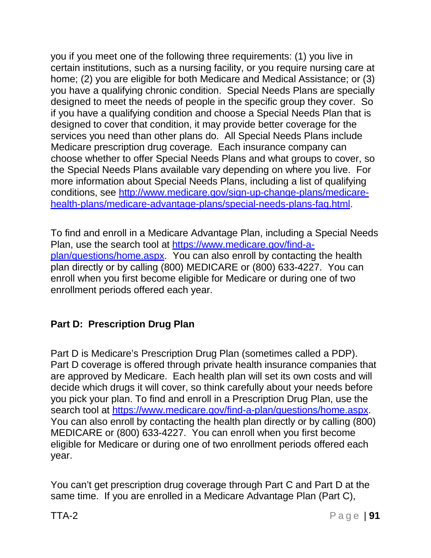you if you meet one of the following three requirements: (1) you live in certain institutions, such as a nursing facility, or you require nursing care at home; (2) you are eligible for both Medicare and Medical Assistance; or (3) you have a qualifying chronic condition. Special Needs Plans are specially designed to meet the needs of people in the specific group they cover. So if you have a qualifying condition and choose a Special Needs Plan that is designed to cover that condition, it may provide better coverage for the services you need than other plans do. All Special Needs Plans include Medicare prescription drug coverage. Each insurance company can choose whether to offer Special Needs Plans and what groups to cover, so the Special Needs Plans available vary depending on where you live. For more information about Special Needs Plans, including a list of qualifying conditions, see [http://www.medicare.gov/sign-up-change-plans/medicare](http://www.medicare.gov/sign-up-change-plans/medicare-)health-plans/medicare-advantage-plans/special-needs-plans-faq.html.

To find and enroll in a Medicare Advantage Plan, including a Special Needs Plan, use the search tool at https:/[/www.medicare.gov/find-a](http://www.medicare.gov/find-a-)plan/questions/home.aspx. You can also enroll by contacting the health plan directly or by calling (800) MEDICARE or (800) 633-4227. You can enroll when you first become eligible for Medicare or during one of two enrollment periods offered each year.

# **Part D: Prescription Drug Plan**

Part D is Medicare's Prescription Drug Plan (sometimes called a PDP). Part D coverage is offered through private health insurance companies that are approved by Medicare. Each health plan will set its own costs and will decide which drugs it will cover, so think carefully about your needs before you pick your plan. To find and enroll in a Prescription Drug Plan, use the search tool at https:/[/www.medicare.gov/find-a-plan/questions/home.aspx.](http://www.medicare.gov/find-a-plan/questions/home.aspx) You can also enroll by contacting the health plan directly or by calling (800) MEDICARE or (800) 633-4227. You can enroll when you first become eligible for Medicare or during one of two enrollment periods offered each year.

You can't get prescription drug coverage through Part C and Part D at the same time. If you are enrolled in a Medicare Advantage Plan (Part C),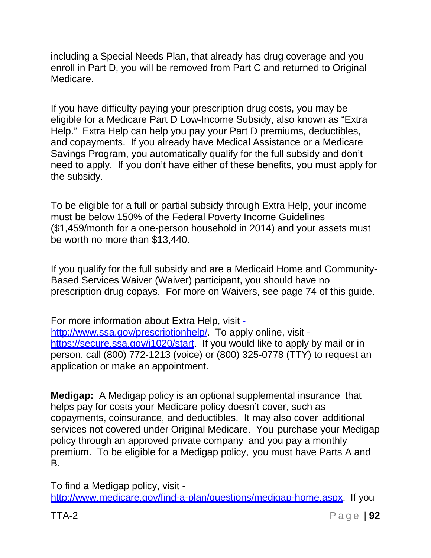including a Special Needs Plan, that already has drug coverage and you enroll in Part D, you will be removed from Part C and returned to Original Medicare.

If you have difficulty paying your prescription drug costs, you may be eligible for a Medicare Part D Low-Income Subsidy, also known as "Extra Help." Extra Help can help you pay your Part D premiums, deductibles, and copayments. If you already have Medical Assistance or a Medicare Savings Program, you automatically qualify for the full subsidy and don't need to apply. If you don't have either of these benefits, you must apply for the subsidy.

To be eligible for a full or partial subsidy through Extra Help, your income must be below 150% of the Federal Poverty Income Guidelines (\$1,459/month for a one-person household in 2014) and your assets must be worth no more than \$13,440.

If you qualify for the full subsidy and are a Medicaid Home and Community-Based Services Waiver (Waiver) participant, you should have no prescription drug copays. For more on Waivers, see page 74 of this guide.

For more information about Extra Help, visit -

http://www.ssa.gov/prescriptionhelp/ To apply online, visit https://secure.ssa.gov/i1020/start. If you would like to apply by mail or in person, call (800) 772-1213 (voice) or (800) 325-0778 (TTY) to request an application or make an appointment.

**Medigap:** A Medigap policy is an optional supplemental insurance that helps pay for costs your Medicare policy doesn't cover, such as copayments, coinsurance, and deductibles. It may also cover additional services not covered under Original Medicare. You purchase your Medigap policy through an approved private company and you pay a monthly premium. To be eligible for a Medigap policy, you must have Parts A and B.

To find a Medigap policy, visit [http://www.medicare.gov/find-a-plan/questions/medigap-home.aspx.](http://www.medicare.gov/find-a-plan/questions/medigap-home.aspx) If you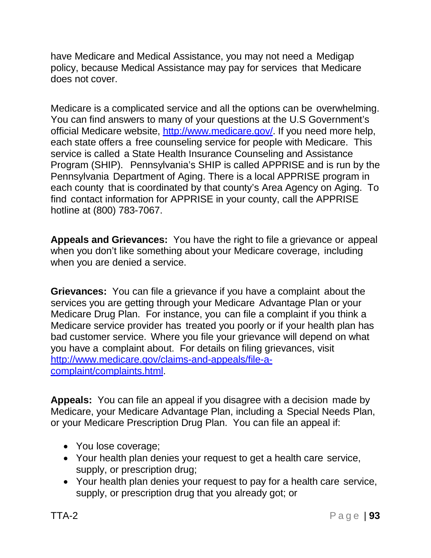have Medicare and Medical Assistance, you may not need a Medigap policy, because Medical Assistance may pay for services that Medicare does not cover.

Medicare is a complicated service and all the options can be overwhelming. You can find answers to many of your questions at the U.S Government's official Medicare website, [http://www.medicare.gov/.](http://www.medicare.gov/) If you need more help, each state offers a free counseling service for people with Medicare. This service is called a State Health Insurance Counseling and Assistance Program (SHIP). Pennsylvania's SHIP is called APPRISE and is run by the Pennsylvania Department of Aging. There is a local APPRISE program in each county that is coordinated by that county's Area Agency on Aging. To find contact information for APPRISE in your county, call the APPRISE hotline at (800) 783-7067.

**Appeals and Grievances:** You have the right to file a grievance or appeal when you don't like something about your Medicare coverage, including when you are denied a service.

**Grievances:** You can file a grievance if you have a complaint about the services you are getting through your Medicare Advantage Plan or your Medicare Drug Plan. For instance, you can file a complaint if you think a Medicare service provider has treated you poorly or if your health plan has bad customer service. Where you file your grievance will depend on what you have a complaint about. For details on filing grievances, visit [http://www.medicare.gov/claims-and-appeals/file-a](http://www.medicare.gov/claims-and-appeals/file-a-)complaint/complaints.html.

**Appeals:** You can file an appeal if you disagree with a decision made by Medicare, your Medicare Advantage Plan, including a Special Needs Plan, or your Medicare Prescription Drug Plan. You can file an appeal if:

- You lose coverage;
- Your health plan denies your request to get a health care service, supply, or prescription drug;
- Your health plan denies your request to pay for a health care service, supply, or prescription drug that you already got; or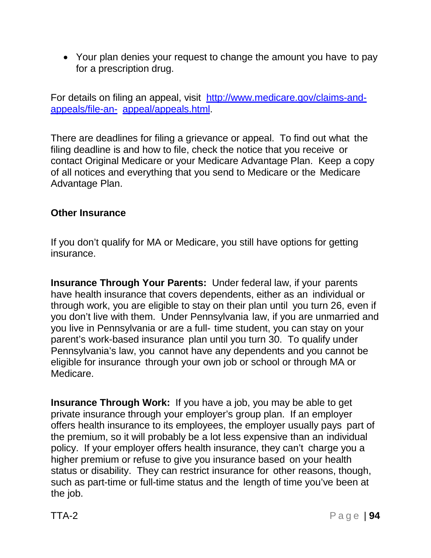• Your plan denies your request to change the amount you have to pay for a prescription drug.

For details on filing an appeal, visit [http://www.medicare.gov/claims-and](http://www.medicare.gov/claims-and-appeals/file-an-)[appeals/file-an-](http://www.medicare.gov/claims-and-appeals/file-an-) appeal/appeals.html.

There are deadlines for filing a grievance or appeal. To find out what the filing deadline is and how to file, check the notice that you receive or contact Original Medicare or your Medicare Advantage Plan. Keep a copy of all notices and everything that you send to Medicare or the Medicare Advantage Plan.

#### **Other Insurance**

If you don't qualify for MA or Medicare, you still have options for getting insurance.

**Insurance Through Your Parents:** Under federal law, if your parents have health insurance that covers dependents, either as an individual or through work, you are eligible to stay on their plan until you turn 26, even if you don't live with them. Under Pennsylvania law, if you are unmarried and you live in Pennsylvania or are a full- time student, you can stay on your parent's work-based insurance plan until you turn 30. To qualify under Pennsylvania's law, you cannot have any dependents and you cannot be eligible for insurance through your own job or school or through MA or Medicare.

**Insurance Through Work:** If you have a job, you may be able to get private insurance through your employer's group plan. If an employer offers health insurance to its employees, the employer usually pays part of the premium, so it will probably be a lot less expensive than an individual policy. If your employer offers health insurance, they can't charge you a higher premium or refuse to give you insurance based on your health status or disability. They can restrict insurance for other reasons, though, such as part-time or full-time status and the length of time you've been at the job.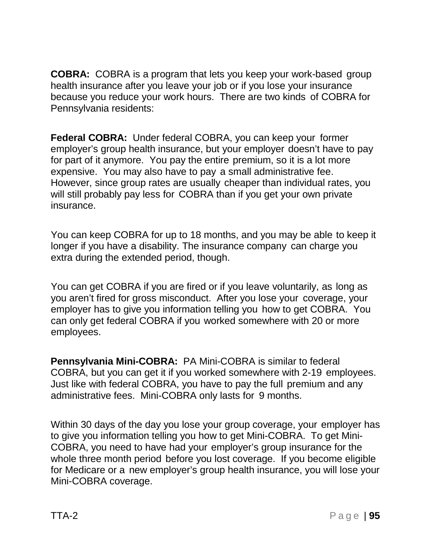**COBRA:** COBRA is a program that lets you keep your work-based group health insurance after you leave your job or if you lose your insurance because you reduce your work hours. There are two kinds of COBRA for Pennsylvania residents:

**Federal COBRA:** Under federal COBRA, you can keep your former employer's group health insurance, but your employer doesn't have to pay for part of it anymore. You pay the entire premium, so it is a lot more expensive. You may also have to pay a small administrative fee. However, since group rates are usually cheaper than individual rates, you will still probably pay less for COBRA than if you get your own private insurance.

You can keep COBRA for up to 18 months, and you may be able to keep it longer if you have a disability. The insurance company can charge you extra during the extended period, though.

You can get COBRA if you are fired or if you leave voluntarily, as long as you aren't fired for gross misconduct. After you lose your coverage, your employer has to give you information telling you how to get COBRA. You can only get federal COBRA if you worked somewhere with 20 or more employees.

**Pennsylvania Mini-COBRA:** PA Mini-COBRA is similar to federal COBRA, but you can get it if you worked somewhere with 2-19 employees. Just like with federal COBRA, you have to pay the full premium and any administrative fees. Mini-COBRA only lasts for 9 months.

Within 30 days of the day you lose your group coverage, your employer has to give you information telling you how to get Mini-COBRA. To get Mini-COBRA, you need to have had your employer's group insurance for the whole three month period before you lost coverage. If you become eligible for Medicare or a new employer's group health insurance, you will lose your Mini-COBRA coverage.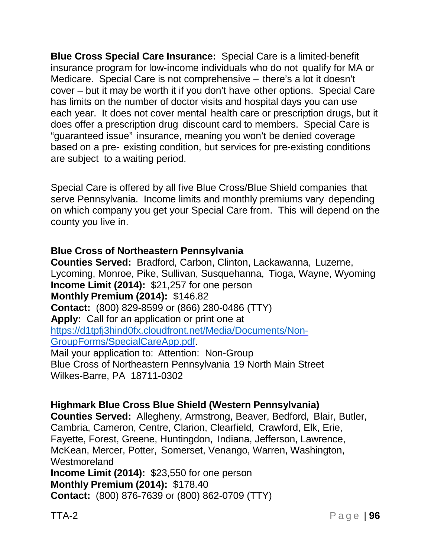**Blue Cross Special Care Insurance:** Special Care is a limited-benefit insurance program for low-income individuals who do not qualify for MA or Medicare. Special Care is not comprehensive – there's a lot it doesn't cover – but it may be worth it if you don't have other options. Special Care has limits on the number of doctor visits and hospital days you can use each year. It does not cover mental health care or prescription drugs, but it does offer a prescription drug discount card to members. Special Care is "guaranteed issue" insurance, meaning you won't be denied coverage based on a pre- existing condition, but services for pre-existing conditions are subject to a waiting period.

Special Care is offered by all five Blue Cross/Blue Shield companies that serve Pennsylvania. Income limits and monthly premiums vary depending on which company you get your Special Care from. This will depend on the county you live in.

#### **Blue Cross of Northeastern Pennsylvania**

**Counties Served:** Bradford, Carbon, Clinton, Lackawanna, Luzerne, Lycoming, Monroe, Pike, Sullivan, Susquehanna, Tioga, Wayne, Wyoming **Income Limit (2014):** \$21,257 for one person **Monthly Premium (2014):** \$146.82 **Contact:** (800) 829-8599 or (866) 280-0486 (TTY) **Apply:** Call for an application or print one at [https://d1tpfj3hind0fx.cloudfront.net/Media/Documents/Non-](https://d1tpfj3hind0fx.cloudfront.net/Media/Documents/Non-%20GroupForms/SpecialCareApp.pdf)[GroupForms/SpecialCareApp.pdf.](https://d1tpfj3hind0fx.cloudfront.net/Media/Documents/Non-%20GroupForms/SpecialCareApp.pdf) Mail your application to: Attention: Non-Group Blue Cross of Northeastern Pennsylvania 19 North Main Street Wilkes-Barre, PA 18711-0302

**Highmark Blue Cross Blue Shield (Western Pennsylvania) Counties Served:** Allegheny, Armstrong, Beaver, Bedford, Blair, Butler, Cambria, Cameron, Centre, Clarion, Clearfield, Crawford, Elk, Erie, Fayette, Forest, Greene, Huntingdon, Indiana, Jefferson, Lawrence, McKean, Mercer, Potter, Somerset, Venango, Warren, Washington, **Westmoreland Income Limit (2014):** \$23,550 for one person **Monthly Premium (2014):** \$178.40 **Contact:** (800) 876-7639 or (800) 862-0709 (TTY)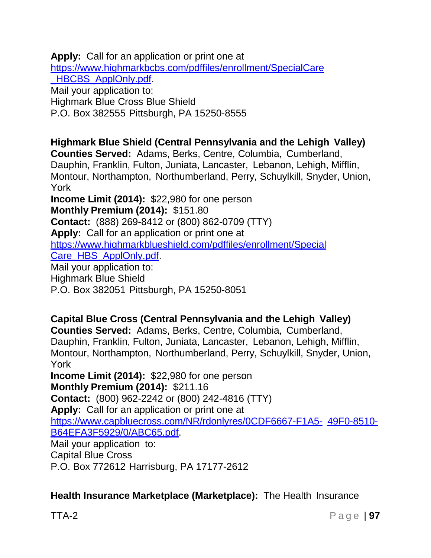**Apply:** Call for an application or print one at https:/[/www.highmarkbcbs.com/pdffiles/enrollment/SpecialCare](http://www.highmarkbcbs.com/pdffiles/enrollment/SpecialCare) HBCBS ApplOnly.pdf Mail your application to: Highmark Blue Cross Blue Shield P.O. Box 382555 Pittsburgh, PA 15250-8555 **Highmark Blue Shield (Central Pennsylvania and the Lehigh Valley) Counties Served:** Adams, Berks, Centre, Columbia, Cumberland, Dauphin, Franklin, Fulton, Juniata, Lancaster, Lebanon, Lehigh, Mifflin, Montour, Northampton, Northumberland, Perry, Schuylkill, Snyder, Union, York **Income Limit (2014):** \$22,980 for one person **Monthly Premium (2014):** \$151.80 **Contact:** (888) 269-8412 or (800) 862-0709 (TTY) **Apply:** Call for an application or print one at https:/[/www.highmarkblueshield.com/pdffiles/enrollment/Special](http://www.highmarkblueshield.com/pdffiles/enrollment/Special) Care HBS ApplOnly.pdf Mail your application to: Highmark Blue Shield P.O. Box 382051 Pittsburgh, PA 15250-8051

**Capital Blue Cross (Central Pennsylvania and the Lehigh Valley) Counties Served:** Adams, Berks, Centre, Columbia, Cumberland, Dauphin, Franklin, Fulton, Juniata, Lancaster, Lebanon, Lehigh, Mifflin, Montour, Northampton, Northumberland, Perry, Schuylkill, Snyder, Union, York **Income Limit (2014):** \$22,980 for one person **Monthly Premium (2014):** \$211.16 **Contact:** (800) 962-2242 or (800) 242-4816 (TTY) **Apply:** Call for an application or print one at https:/[/www.capbluecross.com/NR/rdonlyres/0CDF6667-F1A5-](http://www.capbluecross.com/NR/rdonlyres/0CDF6667-F1A5-) 49F0-8510- B64EFA3F5929/0/ABC65.pdf. Mail your application to: Capital Blue Cross P.O. Box 772612 Harrisburg, PA 17177-2612

**Health Insurance Marketplace (Marketplace):** The Health Insurance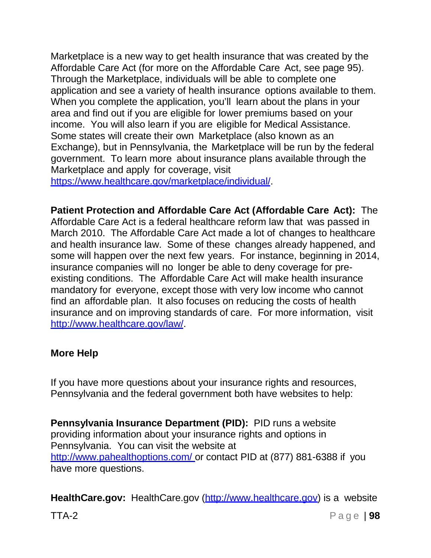Marketplace is a new way to get health insurance that was created by the Affordable Care Act (for more on the Affordable Care Act, see page 95). Through the Marketplace, individuals will be able to complete one application and see a variety of health insurance options available to them. When you complete the application, you'll learn about the plans in your area and find out if you are eligible for lower premiums based on your income. You will also learn if you are eligible for Medical Assistance. Some states will create their own Marketplace (also known as an Exchange), but in Pennsylvania, the Marketplace will be run by the federal government. To learn more about insurance plans available through the Marketplace and apply for coverage, visit

https:/[/www.healthcare.gov/marketplace/individual/.](http://www.healthcare.gov/marketplace/individual/)

**Patient Protection and Affordable Care Act (Affordable Care Act):** The Affordable Care Act is a federal healthcare reform law that was passed in March 2010. The Affordable Care Act made a lot of changes to healthcare and health insurance law. Some of these changes already happened, and some will happen over the next few years. For instance, beginning in 2014, insurance companies will no longer be able to deny coverage for preexisting conditions. The Affordable Care Act will make health insurance mandatory for everyone, except those with very low income who cannot find an affordable plan. It also focuses on reducing the costs of health insurance and on improving standards of care. For more information, visit [http://www.healthcare.gov/law/.](http://www.healthcare.gov/law/)

#### **More Help**

If you have more questions about your insurance rights and resources, Pennsylvania and the federal government both have websites to help:

**Pennsylvania Insurance Department (PID):** PID runs a website providing information about your insurance rights and options in Pennsylvania. You can visit the website at <http://www.pahealthoptions.com/> or contact PID at (877) 881-6388 if you have more questions.

**HealthCare.gov:** HealthCare.gov (http://www.healthcare.gov) is a website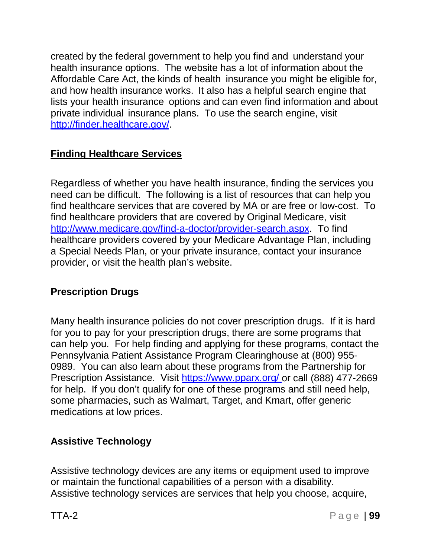created by the federal government to help you find and understand your health insurance options. The website has a lot of information about the Affordable Care Act, the kinds of health insurance you might be eligible for, and how health insurance works. It also has a helpful search engine that lists your health insurance options and can even find information and about private individual insurance plans. To use the search engine, visit [http://finder.healthcare.gov/.](http://finder.healthcare.gov/)

## **Finding Healthcare Services**

Regardless of whether you have health insurance, finding the services you need can be difficult. The following is a list of resources that can help you find healthcare services that are covered by MA or are free or low-cost. To find healthcare providers that are covered by Original Medicare, visit [http://www.medicare.gov/find-a-doctor/provider-search.aspx.](http://www.medicare.gov/find-a-doctor/provider-search.aspx) To find healthcare providers covered by your Medicare Advantage Plan, including a Special Needs Plan, or your private insurance, contact your insurance provider, or visit the health plan's website.

#### **Prescription Drugs**

Many health insurance policies do not cover prescription drugs. If it is hard for you to pay for your prescription drugs, there are some programs that can help you. For help finding and applying for these programs, contact the Pennsylvania Patient Assistance Program Clearinghouse at (800) 955- 0989. You can also learn about these programs from the Partnership for Prescription Assistance. Visit https:/[/www.pparx.org/](http://www.pparx.org/) or call (888) 477-2669 for help. If you don't qualify for one of these programs and still need help, some pharmacies, such as Walmart, Target, and Kmart, offer generic medications at low prices.

# **Assistive Technology**

Assistive technology devices are any items or equipment used to improve or maintain the functional capabilities of a person with a disability. Assistive technology services are services that help you choose, acquire,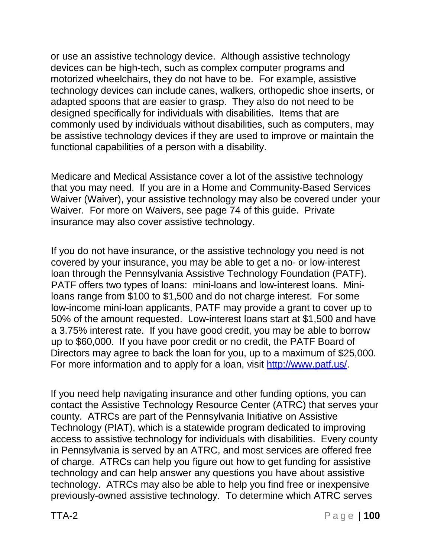or use an assistive technology device. Although assistive technology devices can be high-tech, such as complex computer programs and motorized wheelchairs, they do not have to be. For example, assistive technology devices can include canes, walkers, orthopedic shoe inserts, or adapted spoons that are easier to grasp. They also do not need to be designed specifically for individuals with disabilities. Items that are commonly used by individuals without disabilities, such as computers, may be assistive technology devices if they are used to improve or maintain the functional capabilities of a person with a disability.

Medicare and Medical Assistance cover a lot of the assistive technology that you may need. If you are in a Home and Community-Based Services Waiver (Waiver), your assistive technology may also be covered under your Waiver. For more on Waivers, see page 74 of this guide. Private insurance may also cover assistive technology.

If you do not have insurance, or the assistive technology you need is not covered by your insurance, you may be able to get a no- or low-interest loan through the Pennsylvania Assistive Technology Foundation (PATF). PATF offers two types of loans: mini-loans and low-interest loans. Miniloans range from \$100 to \$1,500 and do not charge interest. For some low-income mini-loan applicants, PATF may provide a grant to cover up to 50% of the amount requested. Low-interest loans start at \$1,500 and have a 3.75% interest rate. If you have good credit, you may be able to borrow up to \$60,000. If you have poor credit or no credit, the PATF Board of Directors may agree to back the loan for you, up to a maximum of \$25,000. For more information and to apply for a loan, visit [http://www.patf.us/.](http://www.patf.us/)

If you need help navigating insurance and other funding options, you can contact the Assistive Technology Resource Center (ATRC) that serves your county. ATRCs are part of the Pennsylvania Initiative on Assistive Technology (PIAT), which is a statewide program dedicated to improving access to assistive technology for individuals with disabilities. Every county in Pennsylvania is served by an ATRC, and most services are offered free of charge. ATRCs can help you figure out how to get funding for assistive technology and can help answer any questions you have about assistive technology. ATRCs may also be able to help you find free or inexpensive previously-owned assistive technology. To determine which ATRC serves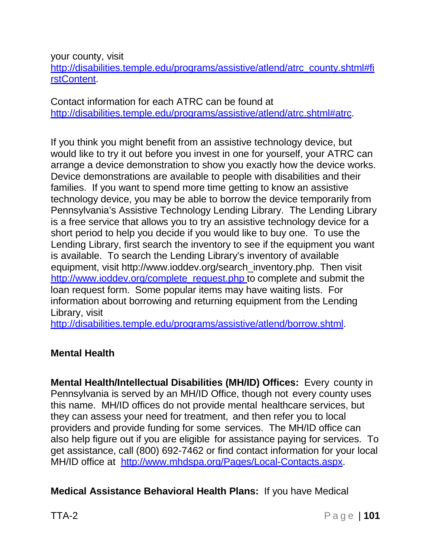your county, visit

[http://disabilities.temple.edu/programs/assistive/atlend/atrc\\_county.shtml#fi](http://disabilities.temple.edu/programs/assistive/atlend/atrc_county.shtml#fi) rstContent.

Contact information for each ATRC can be found at [http://disabilities.temple.edu/programs/assistive/atlend/atrc.shtml#atrc.](http://disabilities.temple.edu/programs/assistive/atlend/atrc.shtml#atrc)

If you think you might benefit from an assistive technology device, but would like to try it out before you invest in one for yourself, your ATRC can arrange a device demonstration to show you exactly how the device works. Device demonstrations are available to people with disabilities and their families. If you want to spend more time getting to know an assistive technology device, you may be able to borrow the device temporarily from Pennsylvania's Assistive Technology Lending Library. The Lending Library is a free service that allows you to try an assistive technology device for a short period to help you decide if you would like to buy one. To use the Lending Library, first search the inventory to see if the equipment you want is available. To search the Lending Library's inventory of available equipment, visit [http://www.ioddev.org/search\\_inventory.php.](http://www.ioddev.org/search_inventory.php) Then visit [http://www.ioddev.org/complete\\_request.php t](http://www.ioddev.org/complete_request.php)o complete and submit the loan request form. Some popular items may have waiting lists. For information [about borrowing](http://disabilities.temple.edu/programs/assistive/atlend/borrow.shtml) and returning equipment from the Lending Library, visit

[http://disabilities.temple.edu/programs/assistive/atlend/borrow.shtml.](http://disabilities.temple.edu/programs/assistive/atlend/borrow.shtml)

#### **Mental Health**

**Mental Health/Intellectual Disabilities (MH/ID) Offices:** Every county in Pennsylvania is served by an MH/ID Office, though not every county uses this name. MH/ID offices do not provide mental healthcare services, but they can assess your need for treatment, and then refer you to local providers and provide funding for some services. The MH/ID office can also help figure out if you are eligible for assistance paying for services. To get assistance, call (800) 692-7462 or find contact information for your local MH/ID office at [http://www.mhdspa.org/Pages/Local-Contacts.aspx.](http://www.mhdspa.org/Pages/Local-Contacts.aspx)

**Medical Assistance Behavioral Health Plans:** If you have Medical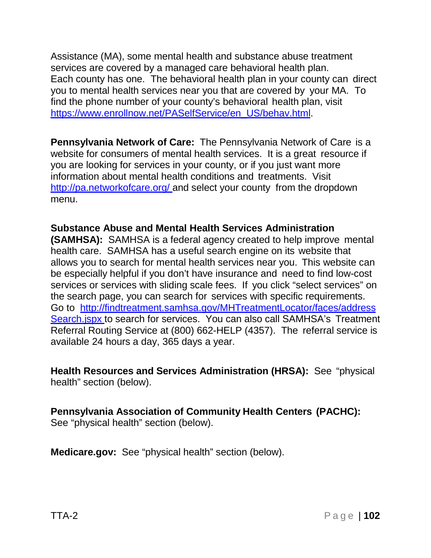Assistance (MA), some mental health and substance abuse treatment services are covered by a managed care behavioral health plan. Each county has one. The behavioral health plan in your county can direct you to mental health services near you that are covered by your MA. To find the phone number of your county's behavioral health plan, visit https:/[/www.enrollnow.net/PASelfService/en\\_US/behav.html.](http://www.enrollnow.net/PASelfService/en_US/behav.html)

**Pennsylvania Network of Care:** The Pennsylvania Network of Care is a website for consumers of mental health services. It is a great resource if you are looking for services in your county, or if you just want more information about mental health conditions and treatments. Visit <http://pa.networkofcare.org/> and select your county from the dropdown menu.

**Substance Abuse and Mental Health Services Administration (SAMHSA):** SAMHSA is a federal agency created to help improve mental health care. SAMHSA has a useful search engine on its website that allows you to search for mental health services near you. This website can be especially helpful if you don't have insurance and need to find low-cost services or services with sliding scale fees. If you click "select services" on the search page, you can search for services with specific requirements. Go to <http://findtreatment.samhsa.gov/MHTreatmentLocator/faces/address> Search.jspx to search for services. You can also call SAMHSA's Treatment Referral Routing Service at (800) 662-HELP (4357). The referral service is available 24 hours a day, 365 days a year.

**Health Resources and Services Administration (HRSA):** See "physical health" section (below).

# **Pennsylvania Association of Community Health Centers (PACHC):**

See "physical health" section (below).

**Medicare.gov:** See "physical health" section (below).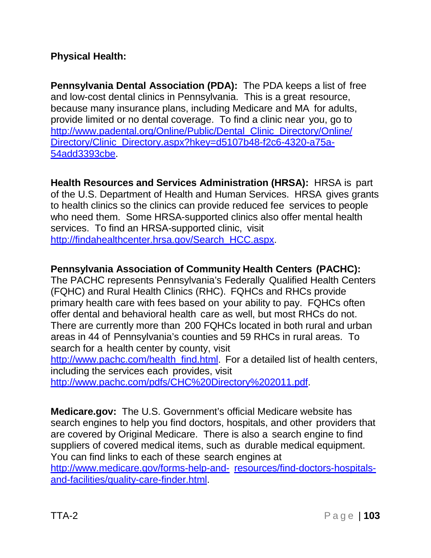#### **Physical Health:**

**Pennsylvania Dental Association (PDA):** The PDA keeps a list of free and low-cost dental clinics in Pennsylvania. This is a great resource, because many insurance plans, including Medicare and MA for adults, provide limited or no dental coverage. To find a clinic near you, go to [http://www.padental.org/Online/Public/Dental\\_Clinic\\_Directory/Online/](http://www.padental.org/Online/Public/Dental_Clinic_Directory/Online/) Directory/Clinic\_Directory.aspx?hkey=d5107b48-f2c6-4320-a75a-54add3393cbe.

**Health Resources and Services Administration (HRSA):** HRSA is part of the U.S. Department of Health and Human Services. HRSA gives grants to health clinics so the clinics can provide reduced fee services to people who need them. Some HRSA-supported clinics also offer mental health services. To find an HRSA-supported clinic, visit [http://findahealthcenter.hrsa.gov/Search\\_HCC.aspx.](http://findahealthcenter.hrsa.gov/Search_HCC.aspx)

## **Pennsylvania Association of Community Health Centers (PACHC):**

The PACHC represents Pennsylvania's Federally Qualified Health Centers (FQHC) and Rural Health Clinics (RHC). FQHCs and RHCs provide primary health care with fees based on your ability to pay. FQHCs often offer dental and behavioral health care as well, but most RHCs do not. There are currently more than 200 FQHCs located in both rural and urban areas in 44 of Pennsylvania's counties and 59 RHCs in rural areas. To search for a health center by county, visit

[http://www.pachc.com/health\\_find.html.](http://www.pachc.com/health_find.html) For a detailed list of [health centers,](http://www.pachc.com/pdfs/CHC%20Directory%202011.pdf) including the services each provides, visit

[http://www.pachc.com/pdfs/CHC%20Directory%202011.pdf.](http://www.pachc.com/pdfs/CHC%20Directory%202011.pdf)

**Medicare.gov:** The U.S. Government's official Medicare website has search engines to help you find doctors, hospitals, and other providers that are covered by Original Medicare. There is also a search engine to find suppliers of covered medical items, such as durable medical equipment. You can find links to each of these search engines at <http://www.medicare.gov/forms-help-and-> resources/find-doctors-hospitalsand-facilities/quality-care-finder.html.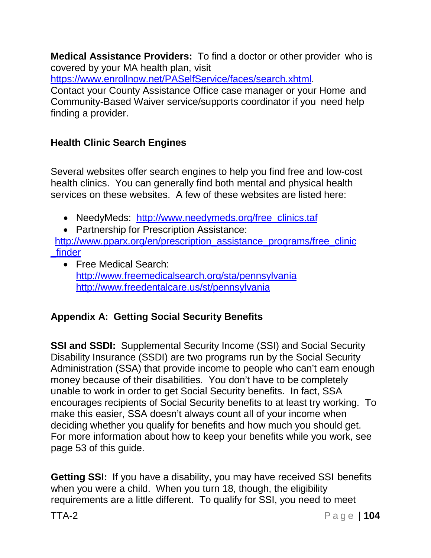**Medical Assistance Providers:** To find a doctor or other provider who is covered by your MA health plan, visit

https:/[/www.enrollnow.net/PASelfService/faces/search.xhtml.](http://www.enrollnow.net/PASelfService/faces/search.xhtml)

Contact your County Assistance Office case manager or your Home and Community-Based Waiver service/supports coordinator if you need help finding a provider.

# **Health Clinic Search Engines**

Several websites offer search engines to help you find free and low-cost health clinics. You can generally find both mental and physical health services on these websites. A few of these websites are listed here:

- NeedyMeds: [http://www.needymeds.org/free\\_clinics.taf](http://www.needymeds.org/free_clinics.taf)
- Partnership for Prescription Assistance:

[http://www.pparx.org/en/prescription\\_assistance\\_programs/free\\_clinic](http://www.pparx.org/en/prescription_assistance_programs/free_clinic) \_finder

• Free Medical Search: <http://www.freemedicalsearch.org/sta/pennsylvania> <http://www.freedentalcare.us/st/pennsylvania>

# **Appendix A: Getting Social Security Benefits**

**SSI and SSDI:** Supplemental Security Income (SSI) and Social Security Disability Insurance (SSDI) are two programs run by the Social Security Administration (SSA) that provide income to people who can't earn enough money because of their disabilities. You don't have to be completely unable to work in order to get Social Security benefits. In fact, SSA encourages recipients of Social Security benefits to at least try working. To make this easier, SSA doesn't always count all of your income when deciding whether you qualify for benefits and how much you should get. For more information about how to keep your benefits while you work, see page 53 of this guide.

**Getting SSI:** If you have a disability, you may have received SSI benefits when you were a child. When you turn 18, though, the eligibility requirements are a little different. To qualify for SSI, you need to meet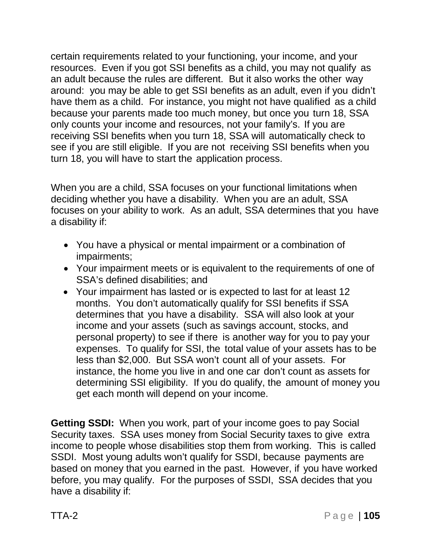certain requirements related to your functioning, your income, and your resources. Even if you got SSI benefits as a child, you may not qualify as an adult because the rules are different. But it also works the other way around: you may be able to get SSI benefits as an adult, even if you didn't have them as a child. For instance, you might not have qualified as a child because your parents made too much money, but once you turn 18, SSA only counts your income and resources, not your family's. If you are receiving SSI benefits when you turn 18, SSA will automatically check to see if you are still eligible. If you are not receiving SSI benefits when you turn 18, you will have to start the application process.

When you are a child, SSA focuses on your functional limitations when deciding whether you have a disability. When you are an adult, SSA focuses on your ability to work. As an adult, SSA determines that you have a disability if:

- You have a physical or mental impairment or a combination of impairments;
- Your impairment meets or is equivalent to the requirements of one of SSA's defined disabilities; and
- Your impairment has lasted or is expected to last for at least 12 months. You don't automatically qualify for SSI benefits if SSA determines that you have a disability. SSA will also look at your income and your assets (such as savings account, stocks, and personal property) to see if there is another way for you to pay your expenses. To qualify for SSI, the total value of your assets has to be less than \$2,000. But SSA won't count all of your assets. For instance, the home you live in and one car don't count as assets for determining SSI eligibility. If you do qualify, the amount of money you get each month will depend on your income.

**Getting SSDI:** When you work, part of your income goes to pay Social Security taxes. SSA uses money from Social Security taxes to give extra income to people whose disabilities stop them from working. This is called SSDI. Most young adults won't qualify for SSDI, because payments are based on money that you earned in the past. However, if you have worked before, you may qualify. For the purposes of SSDI, SSA decides that you have a disability if: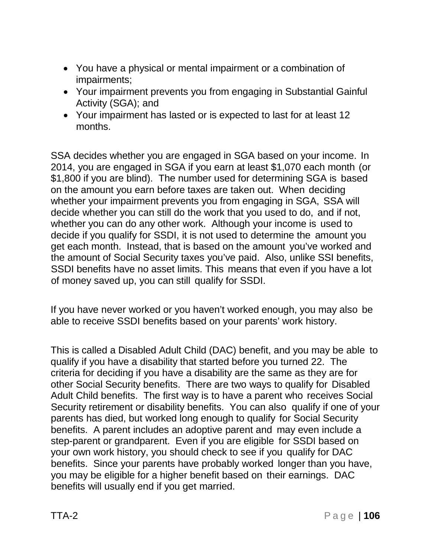- You have a physical or mental impairment or a combination of impairments;
- Your impairment prevents you from engaging in Substantial Gainful Activity (SGA); and
- Your impairment has lasted or is expected to last for at least 12 months.

SSA decides whether you are engaged in SGA based on your income. In 2014, you are engaged in SGA if you earn at least \$1,070 each month (or \$1,800 if you are blind). The number used for determining SGA is based on the amount you earn before taxes are taken out. When deciding whether your impairment prevents you from engaging in SGA, SSA will decide whether you can still do the work that you used to do, and if not, whether you can do any other work. Although your income is used to decide if you qualify for SSDI, it is not used to determine the amount you get each month. Instead, that is based on the amount you've worked and the amount of Social Security taxes you've paid. Also, unlike SSI benefits, SSDI benefits have no asset limits. This means that even if you have a lot of money saved up, you can still qualify for SSDI.

If you have never worked or you haven't worked enough, you may also be able to receive SSDI benefits based on your parents' work history.

This is called a Disabled Adult Child (DAC) benefit, and you may be able to qualify if you have a disability that started before you turned 22. The criteria for deciding if you have a disability are the same as they are for other Social Security benefits. There are two ways to qualify for Disabled Adult Child benefits. The first way is to have a parent who receives Social Security retirement or disability benefits. You can also qualify if one of your parents has died, but worked long enough to qualify for Social Security benefits. A parent includes an adoptive parent and may even include a step-parent or grandparent. Even if you are eligible for SSDI based on your own work history, you should check to see if you qualify for DAC benefits. Since your parents have probably worked longer than you have, you may be eligible for a higher benefit based on their earnings. DAC benefits will usually end if you get married.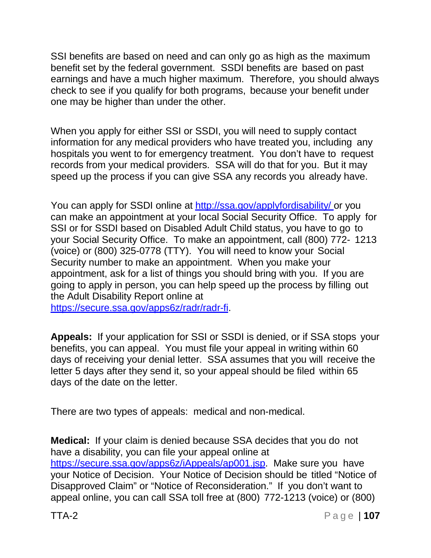SSI benefits are based on need and can only go as high as the maximum benefit set by the federal government. SSDI benefits are based on past earnings and have a much higher maximum. Therefore, you should always check to see if you qualify for both programs, because your benefit under one may be higher than under the other.

When you apply for either SSI or SSDI, you will need to supply contact information for any medical providers who have treated you, including any hospitals you went to for emergency treatment. You don't have to request records from your medical providers. SSA will do that for you. But it may speed up the process if you can give SSA any records you already have.

You can apply for SSDI online at <http://ssa.gov/applyfordisability/> or you can make an appointment at your local Social Security Office. To apply for SSI or for SSDI based on Disabled Adult Child status, you have to go to your Social Security Office. To make an appointment, call (800) 772- 1213 (voice) or (800) 325-0778 (TTY). You will need to know your Social Security number to make an appointment. When you make your appointment, ask for a list of things you should bring with you. If you are going to apply in person, you can help speed up the process by filling out the Adult Disability Report online at

https://secure.ssa.gov/apps6z/radr/radr-fi.

**Appeals:** If your application for SSI or SSDI is denied, or if SSA stops your benefits, you can appeal. You must file your appeal in writing within 60 days of receiving your denial letter. SSA assumes that you will receive the letter 5 days after they send it, so your appeal should be filed within 65 days of the date on the letter.

There are two types of appeals: medical and non-medical.

**Medical:** If your claim is denied because SSA decides that you do not have a disability, you can file your appeal online at https://secure.ssa.gov/apps6z/iAppeals/ap001.jsp. Make sure you have your Notice of Decision. Your Notice of Decision should be titled "Notice of Disapproved Claim" or "Notice of Reconsideration." If you don't want to appeal online, you can call SSA toll free at (800) 772-1213 (voice) or (800)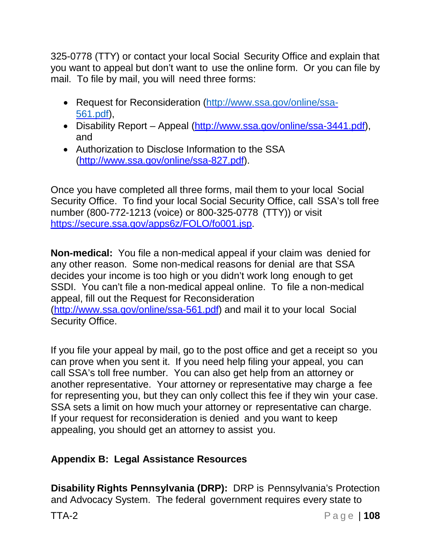325-0778 (TTY) or contact your local Social Security Office and explain that you want to appeal but don't want to use the online form. Or you can file by mail. To file by mail, you will need three forms:

- Request for Reconsideration [\(http://www.ssa.gov/online/ssa-](http://www.ssa.gov/online/ssa-%20561.pdf)[561.pdf\)](http://www.ssa.gov/online/ssa-%20561.pdf),
- Disability Report Appeal [\(http://www.ssa.gov/online/ssa-3441.pdf\),](http://www.ssa.gov/online/ssa-3441.pdf)) and
- Authorization to Disclose Information to the SSA [\(http://www.ssa.gov/online/ssa-827.pdf\).](http://www.ssa.gov/online/ssa-827.pdf))

Once you have completed all three forms, mail them to your local Social Security Office. To find your local Social Security Office, call SSA's toll free number (800-772-1213 (voice) or 800-325-0778 (TTY)) or visit https://secure.ssa.gov/apps6z/FOLO/fo001.jsp.

**Non-medical:** You file a non-medical appeal if your claim was denied for any other reason. Some non-medical reasons for denial are that SSA decides your income is too high or you didn't work long enough to get SSDI. You can't file a non-medical appeal online. To file a non-medical appeal, fill out the Request for Reconsideration [\(http://www.ssa.gov/online/ssa-561.pdf\)](http://www.ssa.gov/online/ssa-561.pdf)) and mail it to your local Social Security Office.

If you file your appeal by mail, go to the post office and get a receipt so you can prove when you sent it. If you need help filing your appeal, you can call SSA's toll free number. You can also get help from an attorney or another representative. Your attorney or representative may charge a fee for representing you, but they can only collect this fee if they win your case. SSA sets a limit on how much your attorney or representative can charge. If your request for reconsideration is denied and you want to keep appealing, you should get an attorney to assist you.

#### **Appendix B: Legal Assistance Resources**

**Disability Rights Pennsylvania (DRP):** DRP is Pennsylvania's Protection and Advocacy System. The federal government requires every state to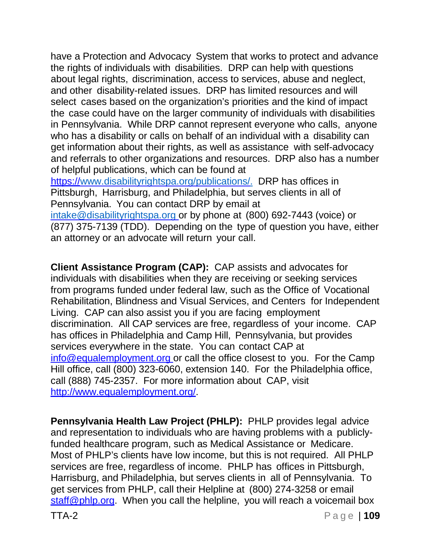have a Protection and Advocacy System that works to protect and advance the rights of individuals with disabilities. DRP can help with questions about legal rights, discrimination, access to services, abuse and neglect, and other disability-related issues. DRP has limited resources and will select cases based on the organization's priorities and the kind of impact the case could have on the larger community of individuals with disabilities in Pennsylvania. While DRP cannot represent everyone who calls, anyone who has a disability or calls on behalf of an individual with a disability can get information about their rights, as well as assistance with self-advocacy and referrals to other organizations and resources. DRP also has a number of helpful publications, which can be found at https:/[/www.disabilityrightspa.org/publications/.](http://www.disabilityrightspa.org/publications/) DRP has offices in Pittsburgh, Harrisburg, and Philadelphia, but serves clients in all of Pennsylvania. You can contact DRP by email at

[intake@disabilityrightspa.org o](mailto:intake@disabilityrightspa.org)r by phone at (800) 692-7443 (voice) or (877) 375-7139 (TDD). Depending on the type of question you have, either an attorney or an advocate will return your call.

**Client Assistance Program (CAP):** CAP assists and advocates for individuals with disabilities when they are receiving or seeking services from programs funded under federal law, such as the Office of Vocational Rehabilitation, Blindness and Visual Services, and Centers for Independent Living. CAP can also assist you if you are facing employment discrimination. All CAP services are free, regardless of your income. CAP has offices in Philadelphia and Camp Hill, Pennsylvania, but provides services everywhere in the state. You can contact CAP at [info@equalemployment.org](mailto:info@equalemployment.org) or call the office closest to you. For the Camp Hill office, call (800) 323-6060, extension 140. For the Philadelphia office, call (888) 745-2357. For more information about CAP, visit [http://www.equalemployment.org/.](http://www.equalemployment.org/)

**Pennsylvania Health Law Project (PHLP):** PHLP provides legal advice and representation to individuals who are having problems with a publiclyfunded healthcare program, such as Medical Assistance or Medicare. Most of PHLP's clients have low income, but this is not required. All PHLP services are free, regardless of income. PHLP has offices in Pittsburgh, Harrisburg, and Philadelphia, but serves clients in all of Pennsylvania. To get services from PHLP, call their Helpline at (800) 274-3258 or email [staff@phlp.org.](mailto:staff@phlp.org) When you call the helpline, you will reach a voicemail box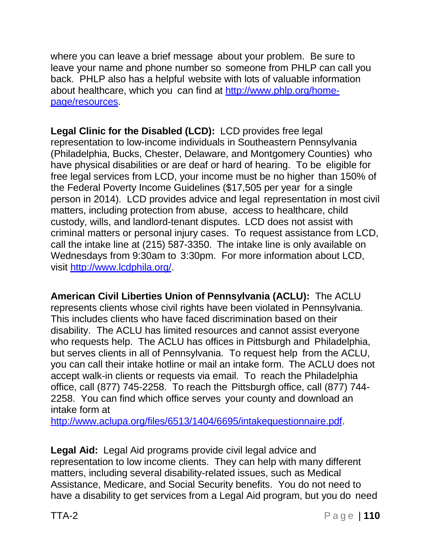where you can leave a brief message about your problem. Be sure to leave your name and phone number so someone from PHLP can call you back. PHLP also has a helpful website with lots of valuable information about healthcare, which you can find at [http://www.phlp.org/home](http://www.phlp.org/home-page/resources)[page/resources.](http://www.phlp.org/home-page/resources)

**Legal Clinic for the Disabled (LCD):** LCD provides free legal representation to low-income individuals in Southeastern Pennsylvania (Philadelphia, Bucks, Chester, Delaware, and Montgomery Counties) who have physical disabilities or are deaf or hard of hearing. To be eligible for free legal services from LCD, your income must be no higher than 150% of the Federal Poverty Income Guidelines (\$17,505 per year for a single person in 2014). LCD provides advice and legal representation in most civil matters, including protection from abuse, access to healthcare, child custody, wills, and landlord-tenant disputes. LCD does not assist with criminal matters or personal injury cases. To request assistance from LCD, call the intake line at (215) 587-3350. The intake line is only available on Wednesdays from 9:30am to 3:30pm. For more information about LCD, visit [http://www.lcdphila.org/.](http://www.lcdphila.org/)

**American Civil Liberties Union of Pennsylvania (ACLU):** The ACLU represents clients whose civil rights have been violated in Pennsylvania. This includes clients who have faced discrimination based on their disability. The ACLU has limited resources and cannot assist everyone who requests help. The ACLU has offices in Pittsburgh and Philadelphia, but serves clients in all of Pennsylvania. To request help from the ACLU, you can call their intake hotline or mail an intake form. The ACLU does not accept walk-in clients or requests via email. To reach the Philadelphia office, call (877) 745-2258. To reach the Pittsburgh office, call (877) 744- 2258. You can find which office serves your county and download an intake form at

[http://www.aclupa.org/files/6513/1404/6695/intakequestionnaire.pdf.](http://www.aclupa.org/files/6513/1404/6695/intakequestionnaire.pdf)

**Legal Aid:** Legal Aid programs provide civil legal advice and representation to low income clients. They can help with many different matters, including several disability-related issues, such as Medical Assistance, Medicare, and Social Security benefits. You do not need to have a disability to get services from a Legal Aid program, but you do need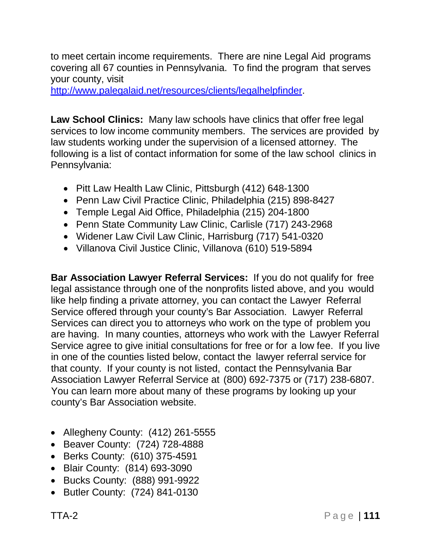to meet certain income requirements. There are nine Legal Aid programs covering all 67 counties in Pennsylvania. To find the program that serves your county, visit

[http://www.palegalaid.net/resources/clients/legalhelpfinder.](http://www.palegalaid.net/resources/clients/legalhelpfinder)

**Law School Clinics:** Many law schools have clinics that offer free legal services to low income community members. The services are provided by law students working under the supervision of a licensed attorney. The following is a list of contact information for some of the law school clinics in Pennsylvania:

- Pitt Law Health Law Clinic, Pittsburgh (412) 648-1300
- Penn Law Civil Practice Clinic, Philadelphia (215) 898-8427
- Temple Legal Aid Office, Philadelphia (215) 204-1800
- Penn State Community Law Clinic, Carlisle (717) 243-2968
- Widener Law Civil Law Clinic, Harrisburg (717) 541-0320
- Villanova Civil Justice Clinic, Villanova (610) 519-5894

**Bar Association Lawyer Referral Services:** If you do not qualify for free legal assistance through one of the nonprofits listed above, and you would like help finding a private attorney, you can contact the Lawyer Referral Service offered through your county's Bar Association. Lawyer Referral Services can direct you to attorneys who work on the type of problem you are having. In many counties, attorneys who work with the Lawyer Referral Service agree to give initial consultations for free or for a low fee. If you live in one of the counties listed below, contact the lawyer referral service for that county. If your county is not listed, contact the Pennsylvania Bar Association Lawyer Referral Service at (800) 692-7375 or (717) 238-6807. You can learn more about many of these programs by looking up your county's Bar Association website.

- Allegheny County: (412) 261-5555
- Beaver County: (724) 728-4888
- Berks County: (610) 375-4591
- Blair County: (814) 693-3090
- Bucks County: (888) 991-9922
- Butler County: (724) 841-0130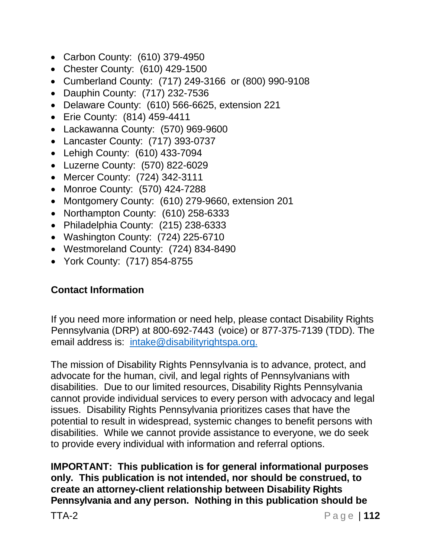- Carbon County: (610) 379-4950
- Chester County: (610) 429-1500
- Cumberland County: (717) 249-3166 or (800) 990-9108
- Dauphin County: (717) 232-7536
- Delaware County: (610) 566-6625, extension 221
- Erie County: (814) 459-4411
- Lackawanna County: (570) 969-9600
- Lancaster County: (717) 393-0737
- Lehigh County: (610) 433-7094
- Luzerne County: (570) 822-6029
- Mercer County: (724) 342-3111
- Monroe County: (570) 424-7288
- Montgomery County: (610) 279-9660, extension 201
- Northampton County: (610) 258-6333
- Philadelphia County: (215) 238-6333
- Washington County: (724) 225-6710
- Westmoreland County: (724) 834-8490
- York County: (717) 854-8755

## **Contact Information**

If you need more information or need help, please contact Disability Rights Pennsylvania (DRP) at 800-692-7443 (voice) or 877-375-7139 (TDD). The email address is: [intake@disabilityrightspa.org.](mailto:intake@disabilityrightspa.org.)

The mission of Disability Rights Pennsylvania is to advance, protect, and advocate for the human, civil, and legal rights of Pennsylvanians with disabilities. Due to our limited resources, Disability Rights Pennsylvania cannot provide individual services to every person with advocacy and legal issues. Disability Rights Pennsylvania prioritizes cases that have the potential to result in widespread, systemic changes to benefit persons with disabilities. While we cannot provide assistance to everyone, we do seek to provide every individual with information and referral options.

**IMPORTANT: This publication is for general informational purposes only. This publication is not intended, nor should be construed, to create an attorney-client relationship between Disability Rights Pennsylvania and any person. Nothing in this publication should be**